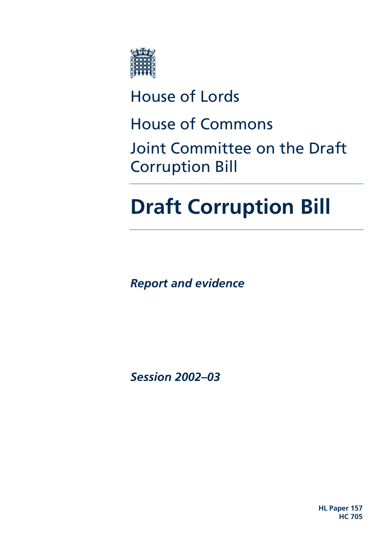

# House of Lords

House of Commons

Joint Committee on the Draft Corruption Bill

# **Draft Corruption Bill**

*Report and evidence* 

*Session 2002–03* 

**HL Paper 157 HC 705**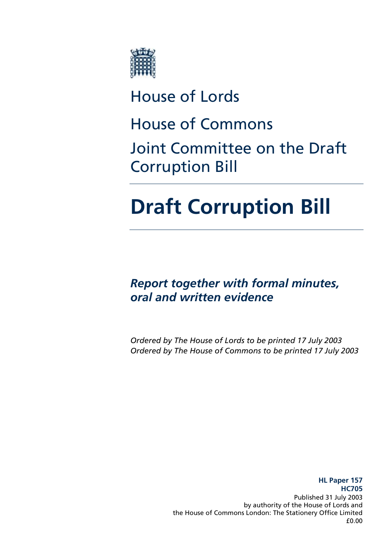

# House of Lords

House of Commons

Joint Committee on the Draft Corruption Bill

# **Draft Corruption Bill**

*Report together with formal minutes, oral and written evidence* 

*Ordered by The House of Lords to be printed 17 July 2003 Ordered by The House of Commons to be printed 17 July 2003* 

> **HL Paper 157 HC705**  Published 31 July 2003 by authority of the House of Lords and the House of Commons London: The Stationery Office Limited £0.00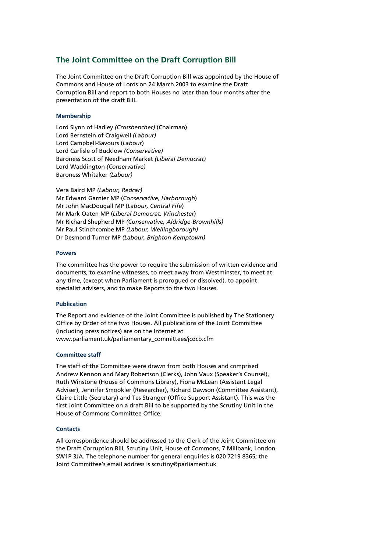#### **The Joint Committee on the Draft Corruption Bill**

The Joint Committee on the Draft Corruption Bill was appointed by the House of Commons and House of Lords on 24 March 2003 to examine the Draft Corruption Bill and report to both Houses no later than four months after the presentation of the draft Bill.

#### **Membership**

Lord Slynn of Hadley *(Crossbencher)* (Chairman) Lord Bernstein of Craigweil *(Labour)* Lord Campbell-Savours (*Labour*) Lord Carlisle of Bucklow *(Conservative)* Baroness Scott of Needham Market *(Liberal Democrat)* Lord Waddington *(Conservative)* Baroness Whitaker *(Labour)*

Vera Baird MP *(Labour, Redcar)* Mr Edward Garnier MP (*Conservative, Harborough*) Mr John MacDougall MP (*Labour, Central Fife*) Mr Mark Oaten MP (*Liberal Democrat, Winchester*) Mr Richard Shepherd MP *(Conservative, Aldridge-Brownhills)*  Mr Paul Stinchcombe MP *(Labour, Wellingborough)* Dr Desmond Turner MP *(Labour, Brighton Kemptown)*

#### **Powers**

The committee has the power to require the submission of written evidence and documents, to examine witnesses, to meet away from Westminster, to meet at any time, (except when Parliament is prorogued or dissolved), to appoint specialist advisers, and to make Reports to the two Houses.

#### **Publication**

The Report and evidence of the Joint Committee is published by The Stationery Office by Order of the two Houses. All publications of the Joint Committee (including press notices) are on the Internet at www.parliament.uk/parliamentary\_committees/jcdcb.cfm

#### **Committee staff**

The staff of the Committee were drawn from both Houses and comprised Andrew Kennon and Mary Robertson (Clerks), John Vaux (Speaker's Counsel), Ruth Winstone (House of Commons Library), Fiona McLean (Assistant Legal Adviser), Jennifer Smookler (Researcher), Richard Dawson (Committee Assistant), Claire Little (Secretary) and Tes Stranger (Office Support Assistant). This was the first Joint Committee on a draft Bill to be supported by the Scrutiny Unit in the House of Commons Committee Office.

#### **Contacts**

All correspondence should be addressed to the Clerk of the Joint Committee on the Draft Corruption Bill, Scrutiny Unit, House of Commons, 7 Millbank, London SW1P 3JA. The telephone number for general enquiries is 020 7219 8365; the Joint Committee's email address is scrutiny@parliament.uk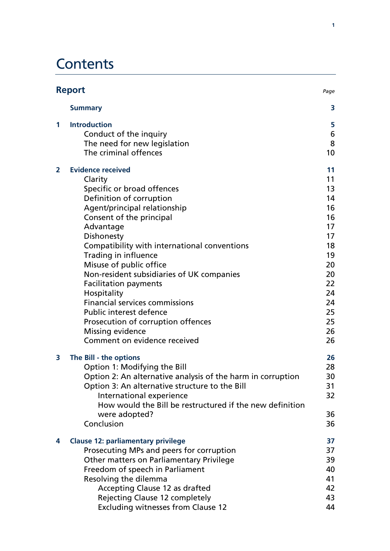# **Contents**

| <b>Report</b>  |                                                                                                                                                                                                                                                                                                                                                                                                                                                                                                                                                   | Page                                                                                                           |
|----------------|---------------------------------------------------------------------------------------------------------------------------------------------------------------------------------------------------------------------------------------------------------------------------------------------------------------------------------------------------------------------------------------------------------------------------------------------------------------------------------------------------------------------------------------------------|----------------------------------------------------------------------------------------------------------------|
|                | <b>Summary</b>                                                                                                                                                                                                                                                                                                                                                                                                                                                                                                                                    | 3                                                                                                              |
| 1              | <b>Introduction</b><br>Conduct of the inquiry<br>The need for new legislation<br>The criminal offences                                                                                                                                                                                                                                                                                                                                                                                                                                            | 5<br>6<br>8<br>10                                                                                              |
| $\overline{2}$ | <b>Evidence received</b><br>Clarity<br>Specific or broad offences<br>Definition of corruption<br>Agent/principal relationship<br>Consent of the principal<br>Advantage<br>Dishonesty<br>Compatibility with international conventions<br>Trading in influence<br>Misuse of public office<br>Non-resident subsidiaries of UK companies<br><b>Facilitation payments</b><br>Hospitality<br><b>Financial services commissions</b><br>Public interest defence<br>Prosecution of corruption offences<br>Missing evidence<br>Comment on evidence received | 11<br>11<br>13<br>14<br>16<br>16<br>17<br>17<br>18<br>19<br>20<br>20<br>22<br>24<br>24<br>25<br>25<br>26<br>26 |
| 3              | The Bill - the options<br>Option 1: Modifying the Bill<br>Option 2: An alternative analysis of the harm in corruption<br>Option 3: An alternative structure to the Bill<br>International experience<br>How would the Bill be restructured if the new definition<br>were adopted?<br>Conclusion                                                                                                                                                                                                                                                    | 26<br>28<br>30<br>31<br>32<br>36<br>36                                                                         |
| 4              | <b>Clause 12: parliamentary privilege</b><br>Prosecuting MPs and peers for corruption<br>Other matters on Parliamentary Privilege<br>Freedom of speech in Parliament<br>Resolving the dilemma<br>Accepting Clause 12 as drafted<br><b>Rejecting Clause 12 completely</b><br><b>Excluding witnesses from Clause 12</b>                                                                                                                                                                                                                             | 37<br>37<br>39<br>40<br>41<br>42<br>43<br>44                                                                   |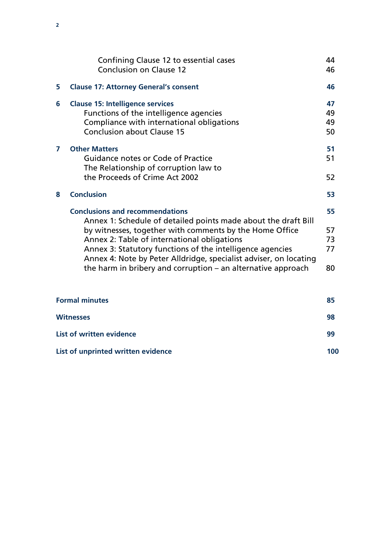|                                 | Confining Clause 12 to essential cases                                                                                                                                                                                                                                                                                                                                                                                 | 44                         |
|---------------------------------|------------------------------------------------------------------------------------------------------------------------------------------------------------------------------------------------------------------------------------------------------------------------------------------------------------------------------------------------------------------------------------------------------------------------|----------------------------|
|                                 | <b>Conclusion on Clause 12</b>                                                                                                                                                                                                                                                                                                                                                                                         | 46                         |
| 5                               | <b>Clause 17: Attorney General's consent</b>                                                                                                                                                                                                                                                                                                                                                                           | 46                         |
| 6                               | <b>Clause 15: Intelligence services</b><br>Functions of the intelligence agencies<br>Compliance with international obligations<br><b>Conclusion about Clause 15</b>                                                                                                                                                                                                                                                    | 47<br>49<br>49<br>50       |
| 7                               | <b>Other Matters</b><br>Guidance notes or Code of Practice<br>The Relationship of corruption law to<br>the Proceeds of Crime Act 2002                                                                                                                                                                                                                                                                                  | 51<br>51<br>52             |
| 8                               | <b>Conclusion</b>                                                                                                                                                                                                                                                                                                                                                                                                      | 53                         |
|                                 | <b>Conclusions and recommendations</b><br>Annex 1: Schedule of detailed points made about the draft Bill<br>by witnesses, together with comments by the Home Office<br>Annex 2: Table of international obligations<br>Annex 3: Statutory functions of the intelligence agencies<br>Annex 4: Note by Peter Alldridge, specialist adviser, on locating<br>the harm in bribery and corruption $-$ an alternative approach | 55<br>57<br>73<br>77<br>80 |
|                                 | <b>Formal minutes</b>                                                                                                                                                                                                                                                                                                                                                                                                  | 85                         |
| <b>Witnesses</b>                |                                                                                                                                                                                                                                                                                                                                                                                                                        | 98                         |
| <b>List of written evidence</b> |                                                                                                                                                                                                                                                                                                                                                                                                                        | 99                         |
|                                 | List of unprinted written evidence                                                                                                                                                                                                                                                                                                                                                                                     | 100                        |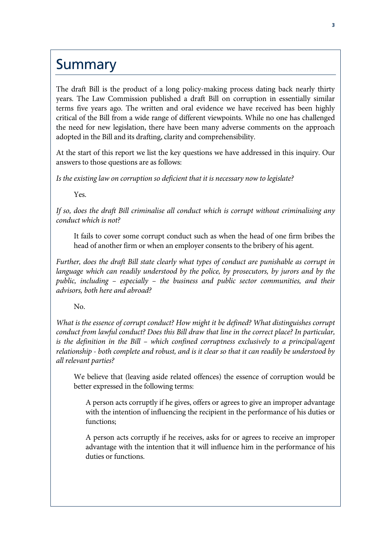# **Summary**

The draft Bill is the product of a long policy-making process dating back nearly thirty years. The Law Commission published a draft Bill on corruption in essentially similar terms five years ago. The written and oral evidence we have received has been highly critical of the Bill from a wide range of different viewpoints. While no one has challenged the need for new legislation, there have been many adverse comments on the approach adopted in the Bill and its drafting, clarity and comprehensibility.

At the start of this report we list the key questions we have addressed in this inquiry. Our answers to those questions are as follows:

*Is the existing law on corruption so deficient that it is necessary now to legislate?* 

Yes.

*If so, does the draft Bill criminalise all conduct which is corrupt without criminalising any conduct which is not?* 

It fails to cover some corrupt conduct such as when the head of one firm bribes the head of another firm or when an employer consents to the bribery of his agent.

*Further, does the draft Bill state clearly what types of conduct are punishable as corrupt in language which can readily understood by the police, by prosecutors, by jurors and by the public, including – especially – the business and public sector communities, and their advisors, both here and abroad?* 

No.

*What is the essence of corrupt conduct? How might it be defined? What distinguishes corrupt conduct from lawful conduct? Does this Bill draw that line in the correct place? In particular, is the definition in the Bill – which confined corruptness exclusively to a principal/agent relationship - both complete and robust, and is it clear so that it can readily be understood by all relevant parties?* 

We believe that (leaving aside related offences) the essence of corruption would be better expressed in the following terms:

A person acts corruptly if he gives, offers or agrees to give an improper advantage with the intention of influencing the recipient in the performance of his duties or functions;

A person acts corruptly if he receives, asks for or agrees to receive an improper advantage with the intention that it will influence him in the performance of his duties or functions.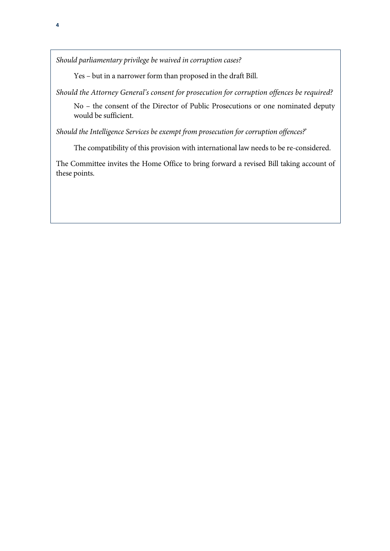*Should parliamentary privilege be waived in corruption cases?* 

Yes – but in a narrower form than proposed in the draft Bill.

*Should the Attorney General's consent for prosecution for corruption offences be required?* 

No – the consent of the Director of Public Prosecutions or one nominated deputy would be sufficient.

*Should the Intelligence Services be exempt from prosecution for corruption offences?*'

The compatibility of this provision with international law needs to be re-considered.

The Committee invites the Home Office to bring forward a revised Bill taking account of these points.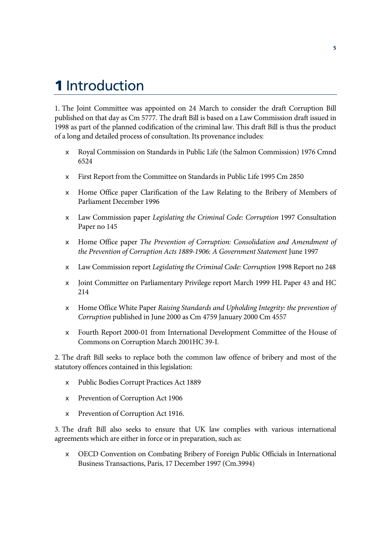# **1** Introduction

1. The Joint Committee was appointed on 24 March to consider the draft Corruption Bill published on that day as Cm 5777. The draft Bill is based on a Law Commission draft issued in 1998 as part of the planned codification of the criminal law. This draft Bill is thus the product of a long and detailed process of consultation. Its provenance includes:

- x Royal Commission on Standards in Public Life (the Salmon Commission) 1976 Cmnd 6524
- $\epsilon$  First Report from the Committee on Standards in Public Life 1995 Cm 2850
- $\epsilon$  Home Office paper Clarification of the Law Relating to the Bribery of Members of Parliament December 1996
- x Law Commission paper *Legislating the Criminal Code: Corruption* 1997 Consultation Paper no 145
- x Home Office paper *The Prevention of Corruption: Consolidation and Amendment of the Prevention of Corruption Acts 1889-1906: A Government Statement* June 1997
- x Law Commission report *Legislating the Criminal Code: Corruption* 1998 Report no 248
- $\epsilon$  Joint Committee on Parliamentary Privilege report March 1999 HL Paper 43 and HC 214
- x Home Office White Paper *Raising Standards and Upholding Integrity: the prevention of Corruption* published in June 2000 as Cm 4759 January 2000 Cm 4557
- $\epsilon$  Fourth Report 2000-01 from International Development Committee of the House of Commons on Corruption March 2001HC 39-I.

2. The draft Bill seeks to replace both the common law offence of bribery and most of the statutory offences contained in this legislation:

- x Public Bodies Corrupt Practices Act 1889
- $\epsilon$  Prevention of Corruption Act 1906
- $\epsilon$  Prevention of Corruption Act 1916.

3. The draft Bill also seeks to ensure that UK law complies with various international agreements which are either in force or in preparation, such as:

 $\epsilon$  OECD Convention on Combating Bribery of Foreign Public Officials in International Business Transactions, Paris, 17 December 1997 (Cm.3994)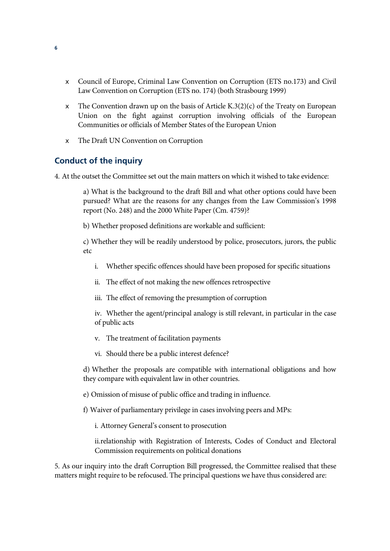- $\epsilon$  Council of Europe, Criminal Law Convention on Corruption (ETS no.173) and Civil Law Convention on Corruption (ETS no. 174) (both Strasbourg 1999)
- $\epsilon$  The Convention drawn up on the basis of Article K.3(2)(c) of the Treaty on European Union on the fight against corruption involving officials of the European Communities or officials of Member States of the European Union
- $\epsilon$  The Draft UN Convention on Corruption

### **Conduct of the inquiry**

4. At the outset the Committee set out the main matters on which it wished to take evidence:

a) What is the background to the draft Bill and what other options could have been pursued? What are the reasons for any changes from the Law Commission's 1998 report (No. 248) and the 2000 White Paper (Cm. 4759)?

b) Whether proposed definitions are workable and sufficient:

c) Whether they will be readily understood by police, prosecutors, jurors, the public etc

- i. Whether specific offences should have been proposed for specific situations
- ii. The effect of not making the new offences retrospective
- iii. The effect of removing the presumption of corruption

iv. Whether the agent/principal analogy is still relevant, in particular in the case of public acts

- v. The treatment of facilitation payments
- vi. Should there be a public interest defence?

d) Whether the proposals are compatible with international obligations and how they compare with equivalent law in other countries.

- e) Omission of misuse of public office and trading in influence.
- f) Waiver of parliamentary privilege in cases involving peers and MPs:

i. Attorney General's consent to prosecution

ii.relationship with Registration of Interests, Codes of Conduct and Electoral Commission requirements on political donations

5. As our inquiry into the draft Corruption Bill progressed, the Committee realised that these matters might require to be refocused. The principal questions we have thus considered are: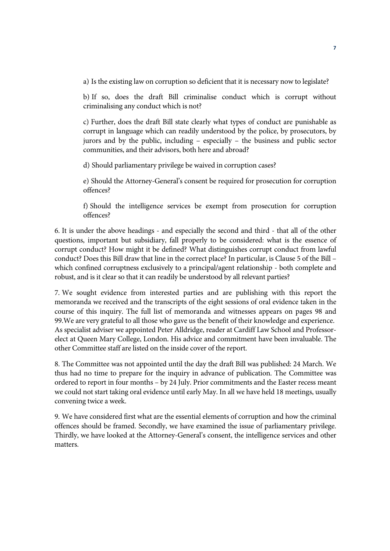a) Is the existing law on corruption so deficient that it is necessary now to legislate?

b) If so, does the draft Bill criminalise conduct which is corrupt without criminalising any conduct which is not?

c) Further, does the draft Bill state clearly what types of conduct are punishable as corrupt in language which can readily understood by the police, by prosecutors, by jurors and by the public, including – especially – the business and public sector communities, and their advisors, both here and abroad?

d) Should parliamentary privilege be waived in corruption cases?

e) Should the Attorney-General's consent be required for prosecution for corruption offences?

f) Should the intelligence services be exempt from prosecution for corruption offences?

6. It is under the above headings - and especially the second and third - that all of the other questions, important but subsidiary, fall properly to be considered: what is the essence of corrupt conduct? How might it be defined? What distinguishes corrupt conduct from lawful conduct? Does this Bill draw that line in the correct place? In particular, is Clause 5 of the Bill – which confined corruptness exclusively to a principal/agent relationship - both complete and robust, and is it clear so that it can readily be understood by all relevant parties?

7. We sought evidence from interested parties and are publishing with this report the memoranda we received and the transcripts of the eight sessions of oral evidence taken in the course of this inquiry. The full list of memoranda and witnesses appears on pages 98 and 99.We are very grateful to all those who gave us the benefit of their knowledge and experience. As specialist adviser we appointed Peter Alldridge, reader at Cardiff Law School and Professorelect at Queen Mary College, London. His advice and commitment have been invaluable. The other Committee staff are listed on the inside cover of the report.

8. The Committee was not appointed until the day the draft Bill was published: 24 March. We thus had no time to prepare for the inquiry in advance of publication. The Committee was ordered to report in four months – by 24 July. Prior commitments and the Easter recess meant we could not start taking oral evidence until early May. In all we have held 18 meetings, usually convening twice a week.

9. We have considered first what are the essential elements of corruption and how the criminal offences should be framed. Secondly, we have examined the issue of parliamentary privilege. Thirdly, we have looked at the Attorney-General's consent, the intelligence services and other matters.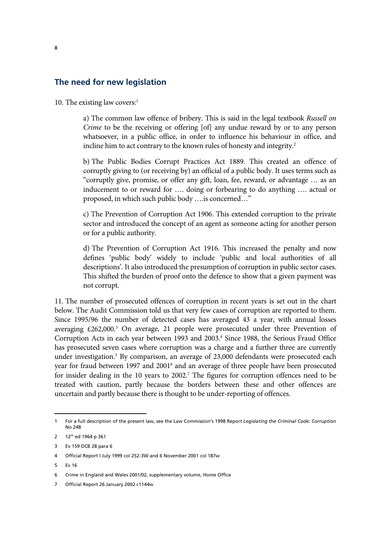#### **The need for new legislation**

10. The existing law covers:<sup>1</sup>

a) The common law offence of bribery. This is said in the legal textbook *Russell on Crime* to be the receiving or offering [of] any undue reward by or to any person whatsoever, in a public office, in order to influence his behaviour in office, and incline him to act contrary to the known rules of honesty and integrity.<sup>2</sup>

b) The Public Bodies Corrupt Practices Act 1889. This created an offence of corruptly giving to (or receiving by) an official of a public body. It uses terms such as "corruptly give, promise, or offer any gift, loan, fee, reward, or advantage … as an inducement to or reward for …. doing or forbearing to do anything …. actual or proposed, in which such public body ….is concerned…"

c) The Prevention of Corruption Act 1906. This extended corruption to the private sector and introduced the concept of an agent as someone acting for another person or for a public authority.

d) The Prevention of Corruption Act 1916. This increased the penalty and now defines 'public body' widely to include 'public and local authorities of all descriptions'. It also introduced the presumption of corruption in public sector cases. This shifted the burden of proof onto the defence to show that a given payment was not corrupt.

11. The number of prosecuted offences of corruption in recent years is set out in the chart below. The Audit Commission told us that very few cases of corruption are reported to them. Since 1995/96 the number of detected cases has averaged 43 a year, with annual losses averaging  $£262,000.<sup>3</sup>$  On average, 21 people were prosecuted under three Prevention of Corruption Acts in each year between 1993 and 2003.<sup>4</sup> Since 1988, the Serious Fraud Office has prosecuted seven cases where corruption was a charge and a further three are currently under investigation.<sup>5</sup> By comparison, an average of 23,000 defendants were prosecuted each year for fraud between 1997 and 2001<sup>6</sup> and an average of three people have been prosecuted for insider dealing in the 10 years to 2002.<sup>7</sup> The figures for corruption offences need to be treated with caution, partly because the borders between these and other offences are uncertain and partly because there is thought to be under-reporting of offences.

<sup>1</sup> For a full description of the present law, see the Law Commission's 1998 Report *Legislating the Criminal Code: Corruption* No 248

<sup>2 12&</sup>lt;sup>th</sup> ed 1964 p 361

<sup>3</sup> Ev 159 DCB 28 para 6

<sup>4</sup> Official Report I July 1999 col 252-3W and 6 November 2001 col 187w

<sup>5</sup> Ev 16

<sup>6</sup> Crime in England and Wales 2001/02, supplementary volume, Home Office

<sup>7</sup> Official Report 26 January 2002 c1144w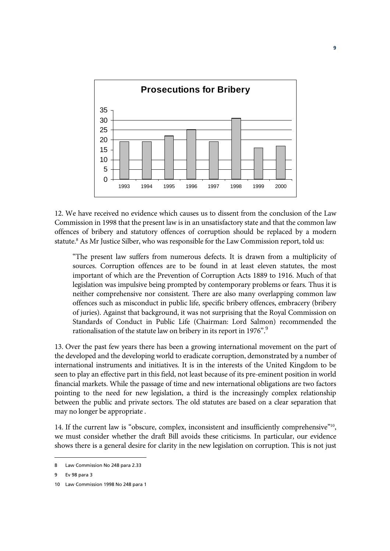

12. We have received no evidence which causes us to dissent from the conclusion of the Law Commission in 1998 that the present law is in an unsatisfactory state and that the common law offences of bribery and statutory offences of corruption should be replaced by a modern statute.<sup>8</sup> As Mr Justice Silber, who was responsible for the Law Commission report, told us:

"The present law suffers from numerous defects. It is drawn from a multiplicity of sources. Corruption offences are to be found in at least eleven statutes, the most important of which are the Prevention of Corruption Acts 1889 to 1916. Much of that legislation was impulsive being prompted by contemporary problems or fears. Thus it is neither comprehensive nor consistent. There are also many overlapping common law offences such as misconduct in public life, specific bribery offences, embracery (bribery of juries). Against that background, it was not surprising that the Royal Commission on Standards of Conduct in Public Life (Chairman: Lord Salmon) recommended the rationalisation of the statute law on bribery in its report in 1976".<sup>9</sup>

13. Over the past few years there has been a growing international movement on the part of the developed and the developing world to eradicate corruption, demonstrated by a number of international instruments and initiatives. It is in the interests of the United Kingdom to be seen to play an effective part in this field, not least because of its pre-eminent position in world financial markets. While the passage of time and new international obligations are two factors pointing to the need for new legislation, a third is the increasingly complex relationship between the public and private sectors. The old statutes are based on a clear separation that may no longer be appropriate .

14. If the current law is "obscure, complex, inconsistent and insufficiently comprehensive"<sup>10</sup>, we must consider whether the draft Bill avoids these criticisms. In particular, our evidence shows there is a general desire for clarity in the new legislation on corruption. This is not just

<sup>8</sup> Law Commission No 248 para 2.33

<sup>9</sup> Ev 98 para 3

<sup>10</sup> Law Commission 1998 No 248 para 1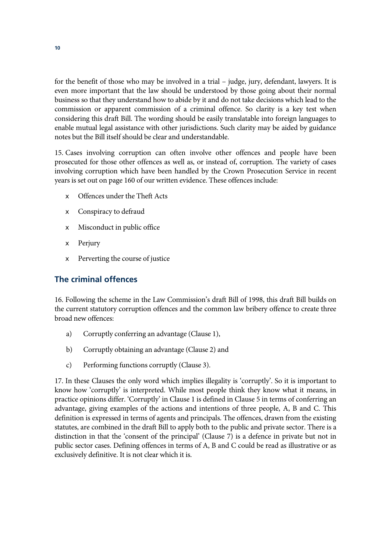for the benefit of those who may be involved in a trial – judge, jury, defendant, lawyers. It is even more important that the law should be understood by those going about their normal business so that they understand how to abide by it and do not take decisions which lead to the commission or apparent commission of a criminal offence. So clarity is a key test when considering this draft Bill. The wording should be easily translatable into foreign languages to enable mutual legal assistance with other jurisdictions. Such clarity may be aided by guidance notes but the Bill itself should be clear and understandable.

15. Cases involving corruption can often involve other offences and people have been prosecuted for those other offences as well as, or instead of, corruption. The variety of cases involving corruption which have been handled by the Crown Prosecution Service in recent years is set out on page 160 of our written evidence. These offences include:

- $\epsilon$  Offences under the Theft Acts
- $\epsilon$  Conspiracy to defraud
- $\epsilon$  Misconduct in public office
- $\epsilon$  Perjury
- Perverting the course of justice

## **The criminal offences**

16. Following the scheme in the Law Commission's draft Bill of 1998, this draft Bill builds on the current statutory corruption offences and the common law bribery offence to create three broad new offences:

- a) Corruptly conferring an advantage (Clause 1),
- b) Corruptly obtaining an advantage (Clause 2) and
- c) Performing functions corruptly (Clause 3).

17. In these Clauses the only word which implies illegality is 'corruptly'. So it is important to know how 'corruptly' is interpreted. While most people think they know what it means, in practice opinions differ. 'Corruptly' in Clause 1 is defined in Clause 5 in terms of conferring an advantage, giving examples of the actions and intentions of three people, A, B and C. This definition is expressed in terms of agents and principals. The offences, drawn from the existing statutes, are combined in the draft Bill to apply both to the public and private sector. There is a distinction in that the 'consent of the principal' (Clause 7) is a defence in private but not in public sector cases. Defining offences in terms of A, B and C could be read as illustrative or as exclusively definitive. It is not clear which it is.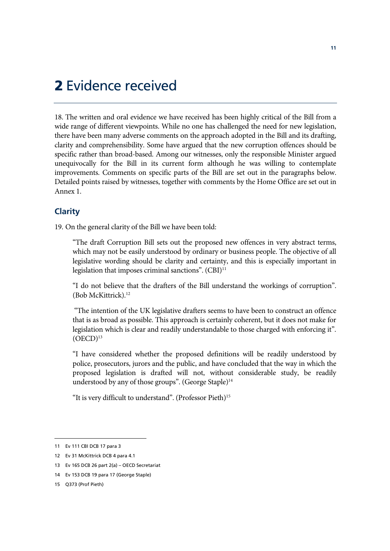## **2** Evidence received

18. The written and oral evidence we have received has been highly critical of the Bill from a wide range of different viewpoints. While no one has challenged the need for new legislation, there have been many adverse comments on the approach adopted in the Bill and its drafting, clarity and comprehensibility. Some have argued that the new corruption offences should be specific rather than broad-based. Among our witnesses, only the responsible Minister argued unequivocally for the Bill in its current form although he was willing to contemplate improvements. Comments on specific parts of the Bill are set out in the paragraphs below. Detailed points raised by witnesses, together with comments by the Home Office are set out in Annex 1.

## **Clarity**

19. On the general clarity of the Bill we have been told:

"The draft Corruption Bill sets out the proposed new offences in very abstract terms, which may not be easily understood by ordinary or business people. The objective of all legislative wording should be clarity and certainty, and this is especially important in legislation that imposes criminal sanctions".  $(CBI)^{11}$ 

"I do not believe that the drafters of the Bill understand the workings of corruption". (Bob McKittrick).12

 "The intention of the UK legislative drafters seems to have been to construct an offence that is as broad as possible. This approach is certainly coherent, but it does not make for legislation which is clear and readily understandable to those charged with enforcing it".  $(OECD)^{13}$ 

"I have considered whether the proposed definitions will be readily understood by police, prosecutors, jurors and the public, and have concluded that the way in which the proposed legislation is drafted will not, without considerable study, be readily understood by any of those groups". (George Staple)<sup>14</sup>

"It is very difficult to understand". (Professor Pieth)15

<sup>11</sup> Ev 111 CBI DCB 17 para 3

<sup>12</sup> Ev 31 McKittrick DCB 4 para 4.1

<sup>13</sup> Ev 165 DCB 26 part 2(a) – OECD Secretariat

<sup>14</sup> Ev 153 DCB 19 para 17 (George Staple)

<sup>15</sup> Q373 (Prof Pieth)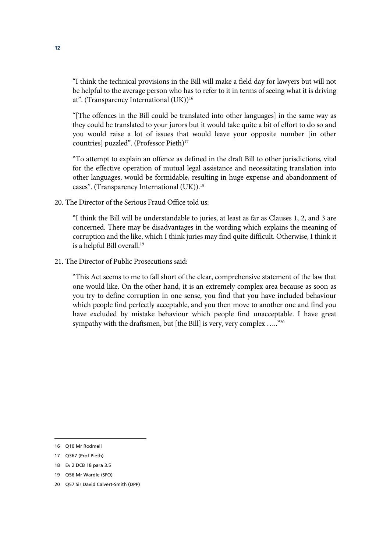"I think the technical provisions in the Bill will make a field day for lawyers but will not be helpful to the average person who has to refer to it in terms of seeing what it is driving at". (Transparency International (UK))<sup>16</sup>

"[The offences in the Bill could be translated into other languages] in the same way as they could be translated to your jurors but it would take quite a bit of effort to do so and you would raise a lot of issues that would leave your opposite number [in other countries] puzzled". (Professor Pieth)<sup>17</sup>

"To attempt to explain an offence as defined in the draft Bill to other jurisdictions, vital for the effective operation of mutual legal assistance and necessitating translation into other languages, would be formidable, resulting in huge expense and abandonment of cases". (Transparency International (UK)).<sup>18</sup>

20. The Director of the Serious Fraud Office told us:

"I think the Bill will be understandable to juries, at least as far as Clauses 1, 2, and 3 are concerned. There may be disadvantages in the wording which explains the meaning of corruption and the like, which I think juries may find quite difficult. Otherwise, I think it is a helpful Bill overall.<sup>19</sup>

21. The Director of Public Prosecutions said:

"This Act seems to me to fall short of the clear, comprehensive statement of the law that one would like. On the other hand, it is an extremely complex area because as soon as you try to define corruption in one sense, you find that you have included behaviour which people find perfectly acceptable, and you then move to another one and find you have excluded by mistake behaviour which people find unacceptable. I have great sympathy with the draftsmen, but [the Bill] is very, very complex ....."<sup>20</sup>

<sup>16</sup> Q10 Mr Rodmell

<sup>17</sup> Q367 (Prof Pieth)

<sup>18</sup> Ev 2 DCB 18 para 3.5

<sup>19</sup> Q56 Mr Wardle (SFO)

<sup>20</sup> Q57 Sir David Calvert-Smith (DPP)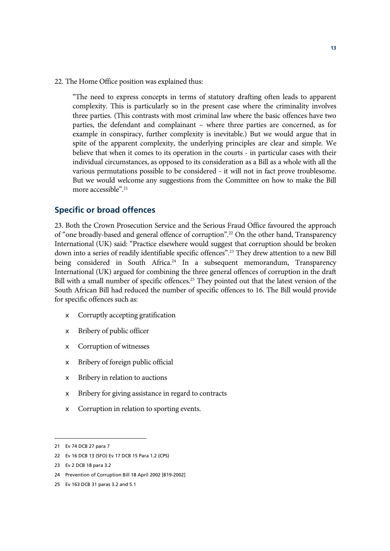22. The Home Office position was explained thus:

"The need to express concepts in terms of statutory drafting often leads to apparent complexity. This is particularly so in the present case where the criminality involves three parties. (This contrasts with most criminal law where the basic offences have two parties, the defendant and complainant – where three parties are concerned, as for example in conspiracy, further complexity is inevitable.) But we would argue that in spite of the apparent complexity, the underlying principles are clear and simple. We believe that when it comes to its operation in the courts - in particular cases with their individual circumstances, as opposed to its consideration as a Bill as a whole with all the various permutations possible to be considered - it will not in fact prove troublesome. But we would welcome any suggestions from the Committee on how to make the Bill more accessible".21

#### **Specific or broad offences**

23. Both the Crown Prosecution Service and the Serious Fraud Office favoured the approach of "one broadly-based and general offence of corruption".22 On the other hand, Transparency International (UK) said: "Practice elsewhere would suggest that corruption should be broken down into a series of readily identifiable specific offences".<sup>23</sup> They drew attention to a new Bill being considered in South Africa.<sup>24</sup> In a subsequent memorandum, Transparency International (UK) argued for combining the three general offences of corruption in the draft Bill with a small number of specific offences.<sup>25</sup> They pointed out that the latest version of the South African Bill had reduced the number of specific offences to 16. The Bill would provide for specific offences such as:

- $\epsilon$  Corruptly accepting gratification
- $\epsilon$  Bribery of public officer
- $\epsilon$  Corruption of witnesses
- $\epsilon$  Bribery of foreign public official
- Bribery in relation to auctions
- $\epsilon$  Bribery for giving assistance in regard to contracts
- $\epsilon$  Corruption in relation to sporting events.

<sup>21</sup> Ev 74 DCB 27 para 7

<sup>22</sup> Ev 16 DCB 13 (SFO) Ev 17 DCB 15 Para 1.2 (CPS)

<sup>23</sup> Ev 2 DCB 18 para 3.2

<sup>24</sup> Prevention of Corruption Bill 18 April 2002 [B19-2002]

<sup>25</sup> Ev 163 DCB 31 paras 3.2 and 5.1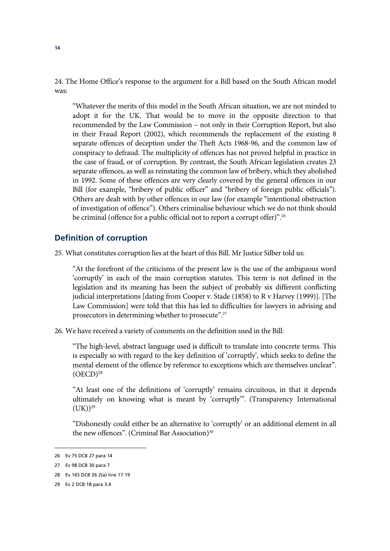24. The Home Office's response to the argument for a Bill based on the South African model was:

"Whatever the merits of this model in the South African situation, we are not minded to adopt it for the UK. That would be to move in the opposite direction to that recommended by the Law Commission – not only in their Corruption Report, but also in their Fraud Report (2002), which recommends the replacement of the existing 8 separate offences of deception under the Theft Acts 1968-96, and the common law of conspiracy to defraud. The multiplicity of offences has not proved helpful in practice in the case of fraud, or of corruption. By contrast, the South African legislation creates 23 separate offences, as well as reinstating the common law of bribery, which they abolished in 1992. Some of these offences are very clearly covered by the general offences in our Bill (for example, "bribery of public officer" and "bribery of foreign public officials"). Others are dealt with by other offences in our law (for example "intentional obstruction of investigation of offence"). Others criminalise behaviour which we do not think should be criminal (offence for a public official not to report a corrupt offer)".<sup>26</sup>

#### **Definition of corruption**

25. What constitutes corruption lies at the heart of this Bill. Mr Justice Silber told us:

"At the forefront of the criticisms of the present law is the use of the ambiguous word 'corruptly' in each of the main corruption statutes. This term is not defined in the legislation and its meaning has been the subject of probably six different conflicting judicial interpretations [dating from Cooper v. Stade (1858) to R v Harvey (1999)]. [The Law Commission] were told that this has led to difficulties for lawyers in advising and prosecutors in determining whether to prosecute".27

26. We have received a variety of comments on the definition used in the Bill:

"The high-level, abstract language used is difficult to translate into concrete terms. This is especially so with regard to the key definition of 'corruptly', which seeks to define the mental element of the offence by reference to exceptions which are themselves unclear".  $(OECD)<sup>28</sup>$ 

"At least one of the definitions of 'corruptly' remains circuitous, in that it depends ultimately on knowing what is meant by 'corruptly'". (Transparency International  $(UK))^{29}$ 

"Dishonestly could either be an alternative to 'corruptly' or an additional element in all the new offences". (Criminal Bar Association) $30$ 

<sup>26</sup> Ev 75 DCB 27 para 14

<sup>27</sup> Ev 98 DCB 30 para 7

<sup>28</sup> Ev 165 DCB 26 2(a) line 17-19

<sup>29</sup> Ev 2 DCB 18 para 3.4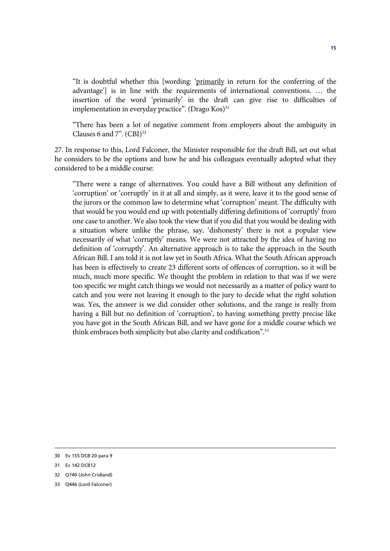"It is doubtful whether this [wording: 'primarily in return for the conferring of the advantage'] is in line with the requirements of international conventions. … the insertion of the word 'primarily' in the draft can give rise to difficulties of implementation in everyday practice". (Drago  $Kos$ )<sup>31</sup>

"There has been a lot of negative comment from employers about the ambiguity in Clauses 6 and  $7$ ".  $(CBI)^{32}$ 

27. In response to this, Lord Falconer, the Minister responsible for the draft Bill, set out what he considers to be the options and how he and his colleagues eventually adopted what they considered to be a middle course:

"There were a range of alternatives. You could have a Bill without any definition of 'corruption' or 'corruptly' in it at all and simply, as it were, leave it to the good sense of the jurors or the common law to determine what 'corruption' meant. The difficulty with that would be you would end up with potentially differing definitions of 'corruptly' from one case to another. We also took the view that if you did that you would be dealing with a situation where unlike the phrase, say, 'dishonesty' there is not a popular view necessarily of what 'corruptly' means. We were not attracted by the idea of having no definition of 'corruptly'. An alternative approach is to take the approach in the South African Bill. I am told it is not law yet in South Africa. What the South African approach has been is effectively to create 23 different sorts of offences of corruption, so it will be much, much more specific. We thought the problem in relation to that was if we were too specific we might catch things we would not necessarily as a matter of policy want to catch and you were not leaving it enough to the jury to decide what the right solution was. Yes, the answer is we did consider other solutions, and the range is really from having a Bill but no definition of 'corruption', to having something pretty precise like you have got in the South African Bill, and we have gone for a middle course which we think embraces both simplicity but also clarity and codification".<sup>33</sup>

<sup>30</sup> Ev 155 DCB 20 para 9

<sup>31</sup> Ev 142 DCB12

<sup>32</sup> Q740 (John Cridland)

<sup>33</sup> Q446 (Lord Falconer)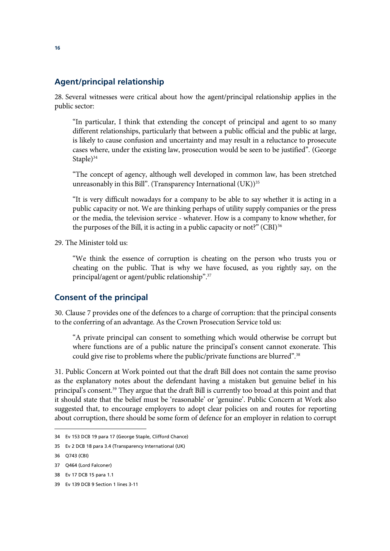#### **Agent/principal relationship**

28. Several witnesses were critical about how the agent/principal relationship applies in the public sector:

"In particular, I think that extending the concept of principal and agent to so many different relationships, particularly that between a public official and the public at large, is likely to cause confusion and uncertainty and may result in a reluctance to prosecute cases where, under the existing law, prosecution would be seen to be justified". (George Staple $)^{34}$ 

"The concept of agency, although well developed in common law, has been stretched unreasonably in this Bill". (Transparency International  $(UK))$ <sup>35</sup>

"It is very difficult nowadays for a company to be able to say whether it is acting in a public capacity or not. We are thinking perhaps of utility supply companies or the press or the media, the television service - whatever. How is a company to know whether, for the purposes of the Bill, it is acting in a public capacity or not?" (CBI)<sup>36</sup>

29. The Minister told us:

"We think the essence of corruption is cheating on the person who trusts you or cheating on the public. That is why we have focused, as you rightly say, on the principal/agent or agent/public relationship".37

#### **Consent of the principal**

30. Clause 7 provides one of the defences to a charge of corruption: that the principal consents to the conferring of an advantage. As the Crown Prosecution Service told us:

"A private principal can consent to something which would otherwise be corrupt but where functions are of a public nature the principal's consent cannot exonerate. This could give rise to problems where the public/private functions are blurred".<sup>38</sup>

31. Public Concern at Work pointed out that the draft Bill does not contain the same proviso as the explanatory notes about the defendant having a mistaken but genuine belief in his principal's consent.39 They argue that the draft Bill is currently too broad at this point and that it should state that the belief must be 'reasonable' or 'genuine'. Public Concern at Work also suggested that, to encourage employers to adopt clear policies on and routes for reporting about corruption, there should be some form of defence for an employer in relation to corrupt

<sup>34</sup> Ev 153 DCB 19 para 17 (George Staple, Clifford Chance)

<sup>35</sup> Ev 2 DCB 18 para 3.4 (Transparency International (UK)

<sup>36</sup> Q743 (CBI)

<sup>37</sup> Q464 (Lord Falconer)

<sup>38</sup> Ev 17 DCB 15 para 1.1

<sup>39</sup> Ev 139 DCB 9 Section 1 lines 3-11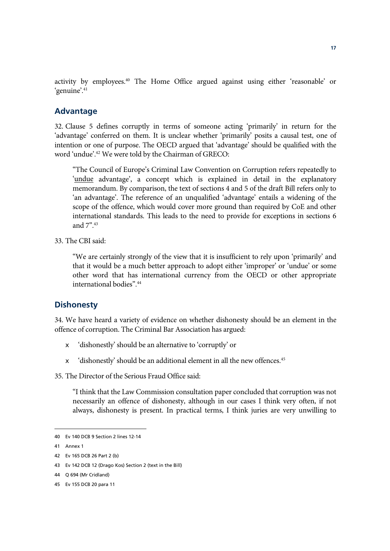activity by employees.<sup>40</sup> The Home Office argued against using either 'reasonable' or 'genuine'.<sup>41</sup>

#### **Advantage**

32. Clause 5 defines corruptly in terms of someone acting 'primarily' in return for the 'advantage' conferred on them. It is unclear whether 'primarily' posits a causal test, one of intention or one of purpose. The OECD argued that 'advantage' should be qualified with the word 'undue'.42 We were told by the Chairman of GRECO:

"The Council of Europe's Criminal Law Convention on Corruption refers repeatedly to 'undue advantage', a concept which is explained in detail in the explanatory memorandum. By comparison, the text of sections 4 and 5 of the draft Bill refers only to 'an advantage'. The reference of an unqualified 'advantage' entails a widening of the scope of the offence, which would cover more ground than required by CoE and other international standards. This leads to the need to provide for exceptions in sections 6 and 7".43

33. The CBI said:

"We are certainly strongly of the view that it is insufficient to rely upon 'primarily' and that it would be a much better approach to adopt either 'improper' or 'undue' or some other word that has international currency from the OECD or other appropriate international bodies".44

#### **Dishonesty**

34. We have heard a variety of evidence on whether dishonesty should be an element in the offence of corruption. The Criminal Bar Association has argued:

- $\epsilon$  'dishonestly' should be an alternative to 'corruptly' or
- $\epsilon$  'dishonestly' should be an additional element in all the new offences.<sup>45</sup>
- 35. The Director of the Serious Fraud Office said:

"I think that the Law Commission consultation paper concluded that corruption was not necessarily an offence of dishonesty, although in our cases I think very often, if not always, dishonesty is present. In practical terms, I think juries are very unwilling to

<sup>40</sup> Ev 140 DCB 9 Section 2 lines 12-14

<sup>41</sup> Annex 1

<sup>42</sup> Ev 165 DCB 26 Part 2 (b)

<sup>43</sup> Ev 142 DCB 12 (Drago Kos) Section 2 (text in the Bill)

<sup>44</sup> Q 694 (Mr Cridland)

<sup>45</sup> Ev 155 DCB 20 para 11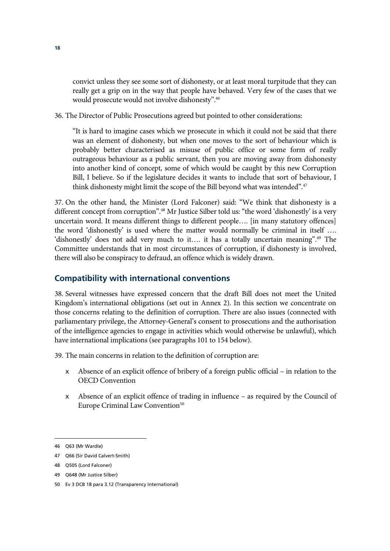convict unless they see some sort of dishonesty, or at least moral turpitude that they can really get a grip on in the way that people have behaved. Very few of the cases that we would prosecute would not involve dishonesty".46

36. The Director of Public Prosecutions agreed but pointed to other considerations:

"It is hard to imagine cases which we prosecute in which it could not be said that there was an element of dishonesty, but when one moves to the sort of behaviour which is probably better characterised as misuse of public office or some form of really outrageous behaviour as a public servant, then you are moving away from dishonesty into another kind of concept, some of which would be caught by this new Corruption Bill, I believe. So if the legislature decides it wants to include that sort of behaviour, I think dishonesty might limit the scope of the Bill beyond what was intended".<sup>47</sup>

37. On the other hand, the Minister (Lord Falconer) said: "We think that dishonesty is a different concept from corruption".48 Mr Justice Silber told us: "the word 'dishonestly' is a very uncertain word. It means different things to different people…. [in many statutory offences] the word 'dishonestly' is used where the matter would normally be criminal in itself …. 'dishonestly' does not add very much to it…. it has a totally uncertain meaning".49 The Committee understands that in most circumstances of corruption, if dishonesty is involved, there will also be conspiracy to defraud, an offence which is widely drawn.

## **Compatibility with international conventions**

38. Several witnesses have expressed concern that the draft Bill does not meet the United Kingdom's international obligations (set out in Annex 2). In this section we concentrate on those concerns relating to the definition of corruption. There are also issues (connected with parliamentary privilege, the Attorney-General's consent to prosecutions and the authorisation of the intelligence agencies to engage in activities which would otherwise be unlawful), which have international implications (see paragraphs 101 to 154 below).

39. The main concerns in relation to the definition of corruption are:

- $\epsilon$  Absence of an explicit offence of bribery of a foreign public official in relation to the OECD Convention
- $\epsilon$  Absence of an explicit offence of trading in influence as required by the Council of Europe Criminal Law Convention<sup>50</sup>

<sup>46</sup> Q63 (Mr Wardle)

<sup>47</sup> Q66 (Sir David Calvert-Smith)

<sup>48</sup> Q505 (Lord Falconer)

<sup>49</sup> Q648 (Mr Justice Silber)

<sup>50</sup> Ev 3 DCB 18 para 3.12 (Transparency International)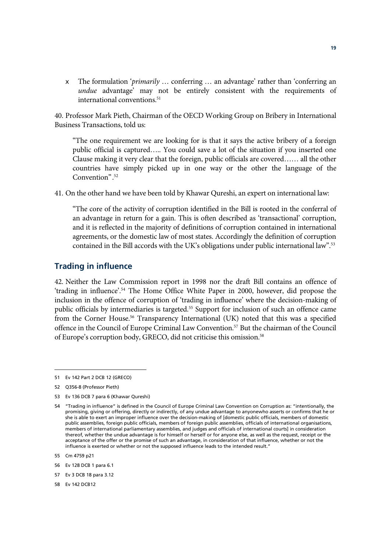x The formulation '*primarily* … conferring … an advantage' rather than 'conferring an *undue* advantage' may not be entirely consistent with the requirements of international conventions.<sup>51</sup>

40. Professor Mark Pieth, Chairman of the OECD Working Group on Bribery in International Business Transactions, told us:

"The one requirement we are looking for is that it says the active bribery of a foreign public official is captured….. You could save a lot of the situation if you inserted one Clause making it very clear that the foreign, public officials are covered…… all the other countries have simply picked up in one way or the other the language of the Convention" . 52

41. On the other hand we have been told by Khawar Qureshi, an expert on international law:

"The core of the activity of corruption identified in the Bill is rooted in the conferral of an advantage in return for a gain. This is often described as 'transactional' corruption, and it is reflected in the majority of definitions of corruption contained in international agreements, or the domestic law of most states. Accordingly the definition of corruption contained in the Bill accords with the UK's obligations under public international law".53

#### **Trading in influence**

42. Neither the Law Commission report in 1998 nor the draft Bill contains an offence of 'trading in influence'.54 The Home Office White Paper in 2000, however, did propose the inclusion in the offence of corruption of 'trading in influence' where the decision-making of public officials by intermediaries is targeted.<sup>55</sup> Support for inclusion of such an offence came from the Corner House.<sup>56</sup> Transparency International (UK) noted that this was a specified offence in the Council of Europe Criminal Law Convention.57 But the chairman of the Council of Europe's corruption body, GRECO, did not criticise this omission.<sup>58</sup>

 $\overline{a}$ 

56 Ev 128 DCB 1 para 6.1

<sup>51</sup> Ev 142 Part 2 DCB 12 (GRECO)

<sup>52</sup> Q356-8 (Professor Pieth)

<sup>53</sup> Ev 136 DCB 7 para 6 (Khawar Qureshi)

<sup>54 &</sup>quot;Trading in influence" is defined in the Council of Europe Criminal Law Convention on Corruption as: "intentionally, the promising, giving or offering, directly or indirectly, of any undue advantage to anyonewho asserts or confirms that he or she is able to exert an improper influence over the decision-making of [domestic public officials, members of domestic public assemblies, foreign public officials, members of foreign public assemblies, officials of international organisations, members of international parliamentary assemblies, and judges and officials of international courts] in consideration thereof, whether the undue advantage is for himself or herself or for anyone else, as well as the request, receipt or the acceptance of the offer or the promise of such an advantage, in consideration of that influence, whether or not the influence is exerted or whether or not the supposed influence leads to the intended result."

<sup>55</sup> Cm 4759 p21

<sup>57</sup> Ev 3 DCB 18 para 3.12

<sup>58</sup> Ev 142 DCB12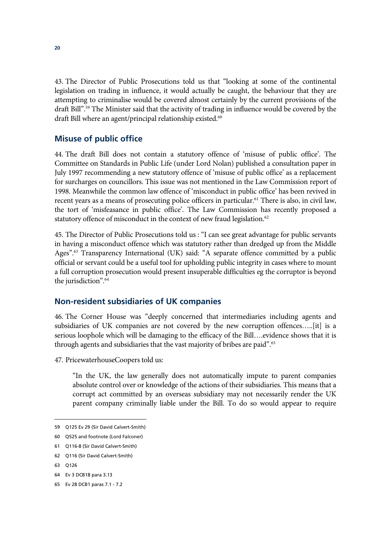43. The Director of Public Prosecutions told us that "looking at some of the continental legislation on trading in influence, it would actually be caught, the behaviour that they are attempting to criminalise would be covered almost certainly by the current provisions of the draft Bill".59 The Minister said that the activity of trading in influence would be covered by the draft Bill where an agent/principal relationship existed.<sup>60</sup>

#### **Misuse of public office**

44. The draft Bill does not contain a statutory offence of 'misuse of public office'. The Committee on Standards in Public Life (under Lord Nolan) published a consultation paper in July 1997 recommending a new statutory offence of 'misuse of public office' as a replacement for surcharges on councillors. This issue was not mentioned in the Law Commission report of 1998. Meanwhile the common law offence of 'misconduct in public office' has been revived in recent years as a means of prosecuting police officers in particular.<sup>61</sup> There is also, in civil law, the tort of 'misfeasance in public office'. The Law Commission has recently proposed a statutory offence of misconduct in the context of new fraud legislation.<sup>62</sup>

45. The Director of Public Prosecutions told us : "I can see great advantage for public servants in having a misconduct offence which was statutory rather than dredged up from the Middle Ages".<sup>63</sup> Transparency International (UK) said: "A separate offence committed by a public official or servant could be a useful tool for upholding public integrity in cases where to mount a full corruption prosecution would present insuperable difficulties eg the corruptor is beyond the jurisdiction".64

#### **Non-resident subsidiaries of UK companies**

46. The Corner House was "deeply concerned that intermediaries including agents and subsidiaries of UK companies are not covered by the new corruption offences…..[it] is a serious loophole which will be damaging to the efficacy of the Bill….evidence shows that it is through agents and subsidiaries that the vast majority of bribes are paid".<sup>65</sup>

47. PricewaterhouseCoopers told us:

"In the UK, the law generally does not automatically impute to parent companies absolute control over or knowledge of the actions of their subsidiaries. This means that a corrupt act committed by an overseas subsidiary may not necessarily render the UK parent company criminally liable under the Bill. To do so would appear to require

<sup>59</sup> Q125 Ev 29 (Sir David Calvert-Smith)

<sup>60</sup> Q525 and footnote (Lord Falconer)

<sup>61</sup> Q116-8 (Sir David Calvert-Smith)

<sup>62</sup> Q116 (Sir David Calvert-Smith)

<sup>63</sup> Q126

<sup>64</sup> Ev 3 DCB18 para 3.13

<sup>65</sup> Ev 28 DCB1 paras 7.1 - 7.2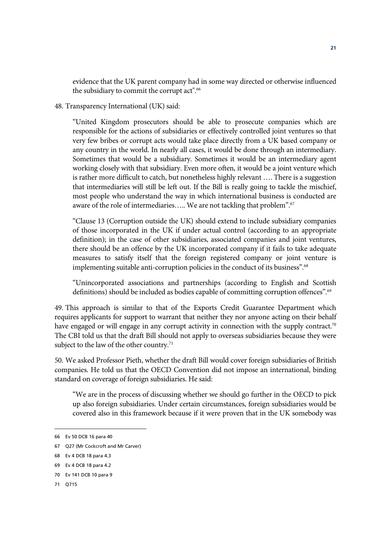evidence that the UK parent company had in some way directed or otherwise influenced the subsidiary to commit the corrupt act".<sup>66</sup>

#### 48. Transparency International (UK) said:

"United Kingdom prosecutors should be able to prosecute companies which are responsible for the actions of subsidiaries or effectively controlled joint ventures so that very few bribes or corrupt acts would take place directly from a UK based company or any country in the world. In nearly all cases, it would be done through an intermediary. Sometimes that would be a subsidiary. Sometimes it would be an intermediary agent working closely with that subsidiary. Even more often, it would be a joint venture which is rather more difficult to catch, but nonetheless highly relevant …. There is a suggestion that intermediaries will still be left out. If the Bill is really going to tackle the mischief, most people who understand the way in which international business is conducted are aware of the role of intermediaries..... We are not tackling that problem".<sup>67</sup>

"Clause 13 (Corruption outside the UK) should extend to include subsidiary companies of those incorporated in the UK if under actual control (according to an appropriate definition); in the case of other subsidiaries, associated companies and joint ventures, there should be an offence by the UK incorporated company if it fails to take adequate measures to satisfy itself that the foreign registered company or joint venture is implementing suitable anti-corruption policies in the conduct of its business".<sup>68</sup>

"Unincorporated associations and partnerships (according to English and Scottish definitions) should be included as bodies capable of committing corruption offences".69

49. This approach is similar to that of the Exports Credit Guarantee Department which requires applicants for support to warrant that neither they nor anyone acting on their behalf have engaged or will engage in any corrupt activity in connection with the supply contract.<sup>70</sup> The CBI told us that the draft Bill should not apply to overseas subsidiaries because they were subject to the law of the other country. $71$ 

50. We asked Professor Pieth, whether the draft Bill would cover foreign subsidiaries of British companies. He told us that the OECD Convention did not impose an international, binding standard on coverage of foreign subsidiaries. He said:

"We are in the process of discussing whether we should go further in the OECD to pick up also foreign subsidiaries. Under certain circumstances, foreign subsidiaries would be covered also in this framework because if it were proven that in the UK somebody was

<sup>66</sup> Ev 50 DCB 16 para 40

<sup>67</sup> Q27 (Mr Cockcroft and Mr Carver)

<sup>68</sup> Ev 4 DCB 18 para 4.3

<sup>69</sup> Ev 4 DCB 18 para 4.2

<sup>70</sup> Ev 141 DCB 10 para 9

<sup>71</sup> Q715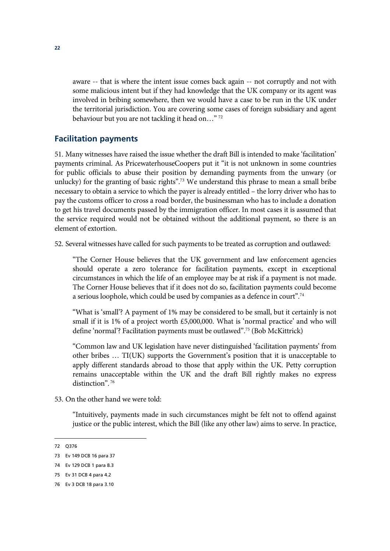aware -- that is where the intent issue comes back again -- not corruptly and not with some malicious intent but if they had knowledge that the UK company or its agent was involved in bribing somewhere, then we would have a case to be run in the UK under the territorial jurisdiction. You are covering some cases of foreign subsidiary and agent behaviour but you are not tackling it head on…" 72

#### **Facilitation payments**

51. Many witnesses have raised the issue whether the draft Bill is intended to make 'facilitation' payments criminal. As PricewaterhouseCoopers put it "it is not unknown in some countries for public officials to abuse their position by demanding payments from the unwary (or unlucky) for the granting of basic rights".<sup>73</sup> We understand this phrase to mean a small bribe necessary to obtain a service to which the payer is already entitled – the lorry driver who has to pay the customs officer to cross a road border, the businessman who has to include a donation to get his travel documents passed by the immigration officer. In most cases it is assumed that the service required would not be obtained without the additional payment, so there is an element of extortion.

52. Several witnesses have called for such payments to be treated as corruption and outlawed:

"The Corner House believes that the UK government and law enforcement agencies should operate a zero tolerance for facilitation payments, except in exceptional circumstances in which the life of an employee may be at risk if a payment is not made. The Corner House believes that if it does not do so, facilitation payments could become a serious loophole, which could be used by companies as a defence in court".74

"What is 'small'? A payment of 1% may be considered to be small, but it certainly is not small if it is 1% of a project worth £5,000,000. What is 'normal practice' and who will define 'normal'? Facilitation payments must be outlawed".75 (Bob McKittrick)

"Common law and UK legislation have never distinguished 'facilitation payments' from other bribes … TI(UK) supports the Government's position that it is unacceptable to apply different standards abroad to those that apply within the UK. Petty corruption remains unacceptable within the UK and the draft Bill rightly makes no express distinction".<sup>76</sup>

53. On the other hand we were told:

"Intuitively, payments made in such circumstances might be felt not to offend against justice or the public interest, which the Bill (like any other law) aims to serve. In practice,

<sup>72</sup> Q376

<sup>73</sup> Ev 149 DCB 16 para 37

<sup>74</sup> Ev 129 DCB 1 para 8.3

<sup>75</sup> Ev 31 DCB 4 para 4.2

<sup>76</sup> Ev 3 DCB 18 para 3.10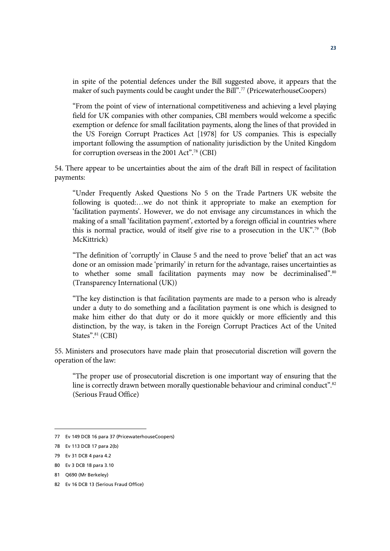in spite of the potential defences under the Bill suggested above, it appears that the maker of such payments could be caught under the Bill".<sup>77</sup> (PricewaterhouseCoopers)

"From the point of view of international competitiveness and achieving a level playing field for UK companies with other companies, CBI members would welcome a specific exemption or defence for small facilitation payments, along the lines of that provided in the US Foreign Corrupt Practices Act [1978] for US companies. This is especially important following the assumption of nationality jurisdiction by the United Kingdom for corruption overseas in the 2001 Act".78 (CBI)

54. There appear to be uncertainties about the aim of the draft Bill in respect of facilitation payments:

"Under Frequently Asked Questions No 5 on the Trade Partners UK website the following is quoted:…we do not think it appropriate to make an exemption for 'facilitation payments'. However, we do not envisage any circumstances in which the making of a small 'facilitation payment', extorted by a foreign official in countries where this is normal practice, would of itself give rise to a prosecution in the UK".79 (Bob McKittrick)

"The definition of 'corruptly' in Clause 5 and the need to prove 'belief' that an act was done or an omission made 'primarily' in return for the advantage, raises uncertainties as to whether some small facilitation payments may now be decriminalised".<sup>80</sup> (Transparency International (UK))

"The key distinction is that facilitation payments are made to a person who is already under a duty to do something and a facilitation payment is one which is designed to make him either do that duty or do it more quickly or more efficiently and this distinction, by the way, is taken in the Foreign Corrupt Practices Act of the United States".<sup>81</sup> (CBI)

55. Ministers and prosecutors have made plain that prosecutorial discretion will govern the operation of the law:

"The proper use of prosecutorial discretion is one important way of ensuring that the line is correctly drawn between morally questionable behaviour and criminal conduct".<sup>82</sup> (Serious Fraud Office)

<sup>77</sup> Ev 149 DCB 16 para 37 (PricewaterhouseCoopers)

<sup>78</sup> Ev 113 DCB 17 para 2(b)

<sup>79</sup> Ev 31 DCB 4 para 4.2

<sup>80</sup> Ev 3 DCB 18 para 3.10

<sup>81</sup> Q690 (Mr Berkeley)

<sup>82</sup> Ev 16 DCB 13 (Serious Fraud Office)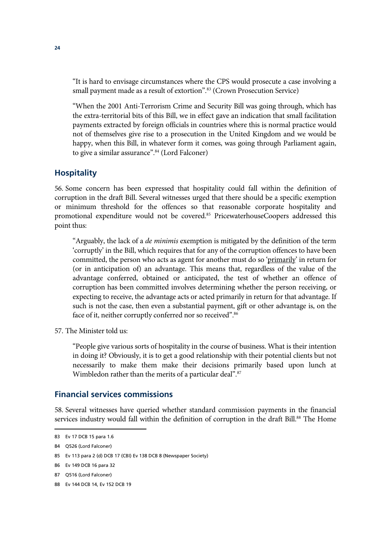"It is hard to envisage circumstances where the CPS would prosecute a case involving a small payment made as a result of extortion".<sup>83</sup> (Crown Prosecution Service)

"When the 2001 Anti-Terrorism Crime and Security Bill was going through, which has the extra-territorial bits of this Bill, we in effect gave an indication that small facilitation payments extracted by foreign officials in countries where this is normal practice would not of themselves give rise to a prosecution in the United Kingdom and we would be happy, when this Bill, in whatever form it comes, was going through Parliament again, to give a similar assurance".84 (Lord Falconer)

#### **Hospitality**

56. Some concern has been expressed that hospitality could fall within the definition of corruption in the draft Bill. Several witnesses urged that there should be a specific exemption or minimum threshold for the offences so that reasonable corporate hospitality and promotional expenditure would not be covered.<sup>85</sup> PricewaterhouseCoopers addressed this point thus:

"Arguably, the lack of a *de minimis* exemption is mitigated by the definition of the term 'corruptly' in the Bill, which requires that for any of the corruption offences to have been committed, the person who acts as agent for another must do so 'primarily' in return for (or in anticipation of) an advantage. This means that, regardless of the value of the advantage conferred, obtained or anticipated, the test of whether an offence of corruption has been committed involves determining whether the person receiving, or expecting to receive, the advantage acts or acted primarily in return for that advantage. If such is not the case, then even a substantial payment, gift or other advantage is, on the face of it, neither corruptly conferred nor so received".<sup>86</sup>

57. The Minister told us:

"People give various sorts of hospitality in the course of business. What is their intention in doing it? Obviously, it is to get a good relationship with their potential clients but not necessarily to make them make their decisions primarily based upon lunch at Wimbledon rather than the merits of a particular deal".<sup>87</sup>

#### **Financial services commissions**

58. Several witnesses have queried whether standard commission payments in the financial services industry would fall within the definition of corruption in the draft Bill.<sup>88</sup> The Home

<sup>83</sup> Ev 17 DCB 15 para 1.6

<sup>84</sup> Q526 (Lord Falconer)

<sup>85</sup> Ev 113 para 2 (d) DCB 17 (CBI) Ev 138 DCB 8 (Newspaper Society)

<sup>86</sup> Ev 149 DCB 16 para 32

<sup>87</sup> Q516 (Lord Falconer)

<sup>88</sup> Ev 144 DCB 14, Ev 152 DCB 19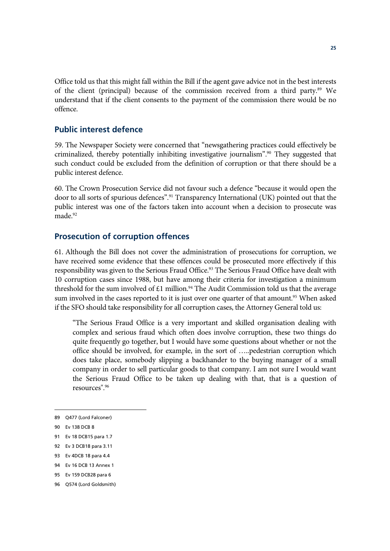Office told us that this might fall within the Bill if the agent gave advice not in the best interests of the client (principal) because of the commission received from a third party.<sup>89</sup> We understand that if the client consents to the payment of the commission there would be no offence.

#### **Public interest defence**

59. The Newspaper Society were concerned that "newsgathering practices could effectively be criminalized, thereby potentially inhibiting investigative journalism".90 They suggested that such conduct could be excluded from the definition of corruption or that there should be a public interest defence.

60. The Crown Prosecution Service did not favour such a defence "because it would open the door to all sorts of spurious defences".91 Transparency International (UK) pointed out that the public interest was one of the factors taken into account when a decision to prosecute was made.<sup>92</sup>

#### **Prosecution of corruption offences**

61. Although the Bill does not cover the administration of prosecutions for corruption, we have received some evidence that these offences could be prosecuted more effectively if this responsibility was given to the Serious Fraud Office.<sup>93</sup> The Serious Fraud Office have dealt with 10 corruption cases since 1988, but have among their criteria for investigation a minimum threshold for the sum involved of £1 million.<sup>94</sup> The Audit Commission told us that the average sum involved in the cases reported to it is just over one quarter of that amount.<sup>95</sup> When asked if the SFO should take responsibility for all corruption cases, the Attorney General told us:

"The Serious Fraud Office is a very important and skilled organisation dealing with complex and serious fraud which often does involve corruption, these two things do quite frequently go together, but I would have some questions about whether or not the office should be involved, for example, in the sort of …..pedestrian corruption which does take place, somebody slipping a backhander to the buying manager of a small company in order to sell particular goods to that company. I am not sure I would want the Serious Fraud Office to be taken up dealing with that, that is a question of resources".96

<sup>89</sup> Q477 (Lord Falconer)

<sup>90</sup> Ev 138 DCB 8

<sup>91</sup> Ev 18 DCB15 para 1.7

<sup>92</sup> Ev 3 DCB18 para 3.11

<sup>93</sup> Ev 4DCB 18 para 4.4

<sup>94</sup> Ev 16 DCB 13 Annex 1

<sup>95</sup> Ev 159 DCB28 para 6

<sup>96</sup> Q574 (Lord Goldsmith)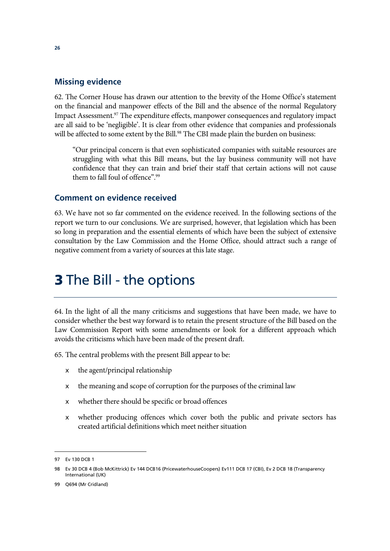#### **Missing evidence**

62. The Corner House has drawn our attention to the brevity of the Home Office's statement on the financial and manpower effects of the Bill and the absence of the normal Regulatory Impact Assessment.<sup>97</sup> The expenditure effects, manpower consequences and regulatory impact are all said to be 'negligible'. It is clear from other evidence that companies and professionals will be affected to some extent by the Bill.<sup>98</sup> The CBI made plain the burden on business:

"Our principal concern is that even sophisticated companies with suitable resources are struggling with what this Bill means, but the lay business community will not have confidence that they can train and brief their staff that certain actions will not cause them to fall foul of offence".99

#### **Comment on evidence received**

63. We have not so far commented on the evidence received. In the following sections of the report we turn to our conclusions. We are surprised, however, that legislation which has been so long in preparation and the essential elements of which have been the subject of extensive consultation by the Law Commission and the Home Office, should attract such a range of negative comment from a variety of sources at this late stage.

# **3** The Bill - the options

64. In the light of all the many criticisms and suggestions that have been made, we have to consider whether the best way forward is to retain the present structure of the Bill based on the Law Commission Report with some amendments or look for a different approach which avoids the criticisms which have been made of the present draft.

65. The central problems with the present Bill appear to be:

- $\epsilon$  the agent/principal relationship
- $\epsilon$  the meaning and scope of corruption for the purposes of the criminal law
- $\epsilon$  whether there should be specific or broad offences
- $\epsilon$  whether producing offences which cover both the public and private sectors has created artificial definitions which meet neither situation

<sup>97</sup> Ev 130 DCB 1

<sup>98</sup> Ev 30 DCB 4 (Bob McKittrick) Ev 144 DCB16 (PricewaterhouseCoopers) Ev111 DCB 17 (CBI), Ev 2 DCB 18 (Transparency International (UK)

<sup>99</sup> Q694 (Mr Cridland)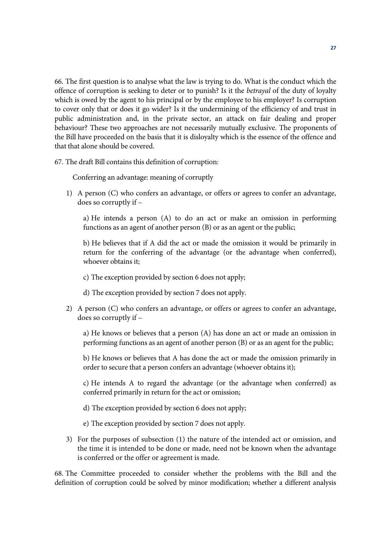66. The first question is to analyse what the law is trying to do. What is the conduct which the offence of corruption is seeking to deter or to punish? Is it the *betrayal* of the duty of loyalty which is owed by the agent to his principal or by the employee to his employer? Is corruption to cover only that or does it go wider? Is it the undermining of the efficiency of and trust in public administration and, in the private sector, an attack on fair dealing and proper behaviour? These two approaches are not necessarily mutually exclusive. The proponents of the Bill have proceeded on the basis that it is disloyalty which is the essence of the offence and that that alone should be covered.

67. The draft Bill contains this definition of corruption:

Conferring an advantage: meaning of corruptly

1) A person (C) who confers an advantage, or offers or agrees to confer an advantage, does so corruptly if –

a) He intends a person (A) to do an act or make an omission in performing functions as an agent of another person (B) or as an agent or the public;

b) He believes that if A did the act or made the omission it would be primarily in return for the conferring of the advantage (or the advantage when conferred), whoever obtains it;

- c) The exception provided by section 6 does not apply;
- d) The exception provided by section 7 does not apply.
- 2) A person (C) who confers an advantage, or offers or agrees to confer an advantage, does so corruptly if –

a) He knows or believes that a person (A) has done an act or made an omission in performing functions as an agent of another person (B) or as an agent for the public;

b) He knows or believes that A has done the act or made the omission primarily in order to secure that a person confers an advantage (whoever obtains it);

c) He intends A to regard the advantage (or the advantage when conferred) as conferred primarily in return for the act or omission;

- d) The exception provided by section 6 does not apply;
- e) The exception provided by section 7 does not apply.
- 3) For the purposes of subsection (1) the nature of the intended act or omission, and the time it is intended to be done or made, need not be known when the advantage is conferred or the offer or agreement is made.

68. The Committee proceeded to consider whether the problems with the Bill and the definition of corruption could be solved by minor modification; whether a different analysis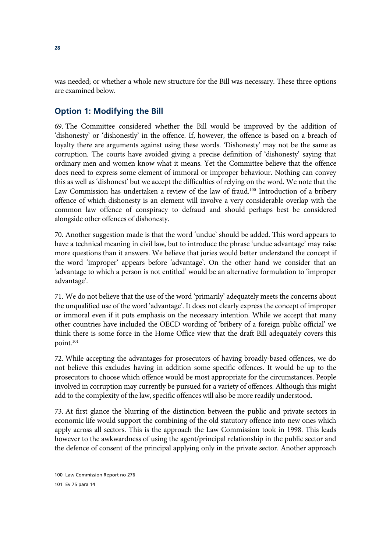was needed; or whether a whole new structure for the Bill was necessary. These three options are examined below.

## **Option 1: Modifying the Bill**

69. The Committee considered whether the Bill would be improved by the addition of 'dishonesty' or 'dishonestly' in the offence. If, however, the offence is based on a breach of loyalty there are arguments against using these words. 'Dishonesty' may not be the same as corruption. The courts have avoided giving a precise definition of 'dishonesty' saying that ordinary men and women know what it means. Yet the Committee believe that the offence does need to express some element of immoral or improper behaviour. Nothing can convey this as well as 'dishonest' but we accept the difficulties of relying on the word. We note that the Law Commission has undertaken a review of the law of fraud.<sup>100</sup> Introduction of a bribery offence of which dishonesty is an element will involve a very considerable overlap with the common law offence of conspiracy to defraud and should perhaps best be considered alongside other offences of dishonesty.

70. Another suggestion made is that the word 'undue' should be added. This word appears to have a technical meaning in civil law, but to introduce the phrase 'undue advantage' may raise more questions than it answers. We believe that juries would better understand the concept if the word 'improper' appears before 'advantage'. On the other hand we consider that an 'advantage to which a person is not entitled' would be an alternative formulation to 'improper advantage'.

71. We do not believe that the use of the word 'primarily' adequately meets the concerns about the unqualified use of the word 'advantage'. It does not clearly express the concept of improper or immoral even if it puts emphasis on the necessary intention. While we accept that many other countries have included the OECD wording of 'bribery of a foreign public official' we think there is some force in the Home Office view that the draft Bill adequately covers this point.<sup>101</sup>

72. While accepting the advantages for prosecutors of having broadly-based offences, we do not believe this excludes having in addition some specific offences. It would be up to the prosecutors to choose which offence would be most appropriate for the circumstances. People involved in corruption may currently be pursued for a variety of offences. Although this might add to the complexity of the law, specific offences will also be more readily understood.

73. At first glance the blurring of the distinction between the public and private sectors in economic life would support the combining of the old statutory offence into new ones which apply across all sectors. This is the approach the Law Commission took in 1998. This leads however to the awkwardness of using the agent/principal relationship in the public sector and the defence of consent of the principal applying only in the private sector. Another approach

 $\overline{a}$ 100 Law Commission Report no 276

<sup>101</sup> Ev 75 para 14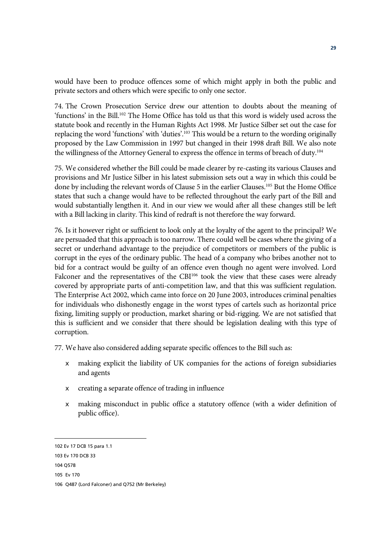would have been to produce offences some of which might apply in both the public and private sectors and others which were specific to only one sector.

74. The Crown Prosecution Service drew our attention to doubts about the meaning of 'functions' in the Bill.102 The Home Office has told us that this word is widely used across the statute book and recently in the Human Rights Act 1998. Mr Justice Silber set out the case for replacing the word 'functions' with 'duties'.103 This would be a return to the wording originally proposed by the Law Commission in 1997 but changed in their 1998 draft Bill. We also note the willingness of the Attorney General to express the offence in terms of breach of duty.<sup>104</sup>

75. We considered whether the Bill could be made clearer by re-casting its various Clauses and provisions and Mr Justice Silber in his latest submission sets out a way in which this could be done by including the relevant words of Clause 5 in the earlier Clauses.<sup>105</sup> But the Home Office states that such a change would have to be reflected throughout the early part of the Bill and would substantially lengthen it. And in our view we would after all these changes still be left with a Bill lacking in clarity. This kind of redraft is not therefore the way forward.

76. Is it however right or sufficient to look only at the loyalty of the agent to the principal? We are persuaded that this approach is too narrow. There could well be cases where the giving of a secret or underhand advantage to the prejudice of competitors or members of the public is corrupt in the eyes of the ordinary public. The head of a company who bribes another not to bid for a contract would be guilty of an offence even though no agent were involved. Lord Falconer and the representatives of the CBI<sup>106</sup> took the view that these cases were already covered by appropriate parts of anti-competition law, and that this was sufficient regulation. The Enterprise Act 2002, which came into force on 20 June 2003, introduces criminal penalties for individuals who dishonestly engage in the worst types of cartels such as horizontal price fixing, limiting supply or production, market sharing or bid-rigging. We are not satisfied that this is sufficient and we consider that there should be legislation dealing with this type of corruption.

77. We have also considered adding separate specific offences to the Bill such as:

- $\epsilon$  making explicit the liability of UK companies for the actions of foreign subsidiaries and agents
- $\epsilon$  creating a separate offence of trading in influence
- $\epsilon$  making misconduct in public office a statutory offence (with a wider definition of public office).

<sup>102</sup> Ev 17 DCB 15 para 1.1

<sup>103</sup> Ev 170 DCB 33

<sup>104</sup> Q578

<sup>105</sup> Ev 170

<sup>106</sup> Q487 (Lord Falconer) and Q752 (Mr Berkeley)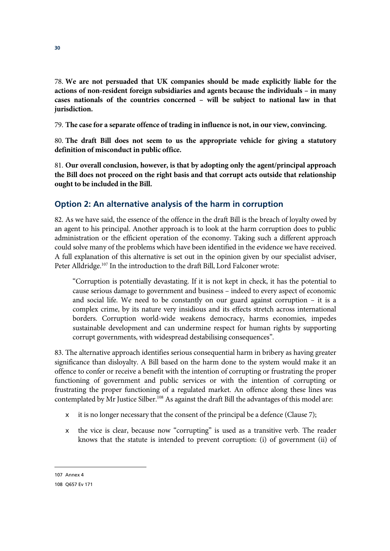78. **We are not persuaded that UK companies should be made explicitly liable for the actions of non-resident foreign subsidiaries and agents because the individuals – in many cases nationals of the countries concerned – will be subject to national law in that jurisdiction.**

79. **The case for a separate offence of trading in influence is not, in our view, convincing.**

80. **The draft Bill does not seem to us the appropriate vehicle for giving a statutory definition of misconduct in public office.**

81. **Our overall conclusion, however, is that by adopting only the agent/principal approach the Bill does not proceed on the right basis and that corrupt acts outside that relationship ought to be included in the Bill.** 

## **Option 2: An alternative analysis of the harm in corruption**

82. As we have said, the essence of the offence in the draft Bill is the breach of loyalty owed by an agent to his principal. Another approach is to look at the harm corruption does to public administration or the efficient operation of the economy. Taking such a different approach could solve many of the problems which have been identified in the evidence we have received. A full explanation of this alternative is set out in the opinion given by our specialist adviser, Peter Alldridge.<sup>107</sup> In the introduction to the draft Bill, Lord Falconer wrote:

"Corruption is potentially devastating. If it is not kept in check, it has the potential to cause serious damage to government and business – indeed to every aspect of economic and social life. We need to be constantly on our guard against corruption – it is a complex crime, by its nature very insidious and its effects stretch across international borders. Corruption world-wide weakens democracy, harms economies, impedes sustainable development and can undermine respect for human rights by supporting corrupt governments, with widespread destabilising consequences".

83. The alternative approach identifies serious consequential harm in bribery as having greater significance than disloyalty. A Bill based on the harm done to the system would make it an offence to confer or receive a benefit with the intention of corrupting or frustrating the proper functioning of government and public services or with the intention of corrupting or frustrating the proper functioning of a regulated market. An offence along these lines was contemplated by Mr Justice Silber.108 As against the draft Bill the advantages of this model are:

- $\epsilon$  it is no longer necessary that the consent of the principal be a defence (Clause 7);
- $\epsilon$  the vice is clear, because now "corrupting" is used as a transitive verb. The reader knows that the statute is intended to prevent corruption: (i) of government (ii) of

107 Annex 4

<sup>108</sup> Q657 Ev 171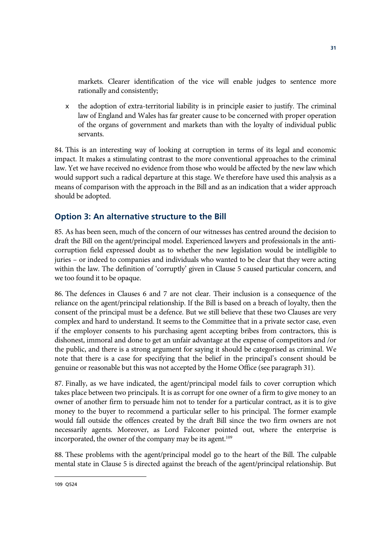markets. Clearer identification of the vice will enable judges to sentence more rationally and consistently;

 $\epsilon$  the adoption of extra-territorial liability is in principle easier to justify. The criminal law of England and Wales has far greater cause to be concerned with proper operation of the organs of government and markets than with the loyalty of individual public servants.

84. This is an interesting way of looking at corruption in terms of its legal and economic impact. It makes a stimulating contrast to the more conventional approaches to the criminal law. Yet we have received no evidence from those who would be affected by the new law which would support such a radical departure at this stage. We therefore have used this analysis as a means of comparison with the approach in the Bill and as an indication that a wider approach should be adopted.

## **Option 3: An alternative structure to the Bill**

85. As has been seen, much of the concern of our witnesses has centred around the decision to draft the Bill on the agent/principal model. Experienced lawyers and professionals in the anticorruption field expressed doubt as to whether the new legislation would be intelligible to juries – or indeed to companies and individuals who wanted to be clear that they were acting within the law. The definition of 'corruptly' given in Clause 5 caused particular concern, and we too found it to be opaque.

86. The defences in Clauses 6 and 7 are not clear. Their inclusion is a consequence of the reliance on the agent/principal relationship. If the Bill is based on a breach of loyalty, then the consent of the principal must be a defence. But we still believe that these two Clauses are very complex and hard to understand. It seems to the Committee that in a private sector case, even if the employer consents to his purchasing agent accepting bribes from contractors, this is dishonest, immoral and done to get an unfair advantage at the expense of competitors and /or the public, and there is a strong argument for saying it should be categorised as criminal. We note that there is a case for specifying that the belief in the principal's consent should be genuine or reasonable but this was not accepted by the Home Office (see paragraph 31).

87. Finally, as we have indicated, the agent/principal model fails to cover corruption which takes place between two principals. It is as corrupt for one owner of a firm to give money to an owner of another firm to persuade him not to tender for a particular contract, as it is to give money to the buyer to recommend a particular seller to his principal. The former example would fall outside the offences created by the draft Bill since the two firm owners are not necessarily agents. Moreover, as Lord Falconer pointed out, where the enterprise is incorporated, the owner of the company may be its agent.<sup>109</sup>

88. These problems with the agent/principal model go to the heart of the Bill. The culpable mental state in Clause 5 is directed against the breach of the agent/principal relationship. But

**31**

<sup>109</sup> Q524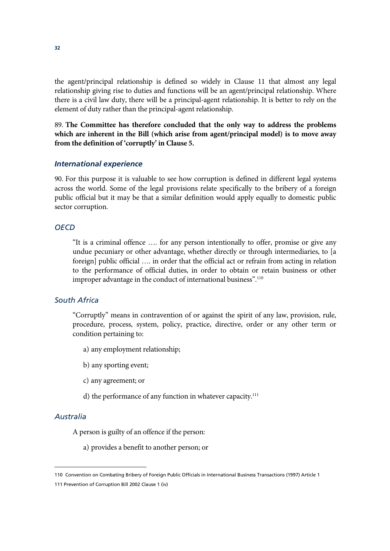the agent/principal relationship is defined so widely in Clause 11 that almost any legal relationship giving rise to duties and functions will be an agent/principal relationship. Where there is a civil law duty, there will be a principal-agent relationship. It is better to rely on the element of duty rather than the principal-agent relationship.

89. **The Committee has therefore concluded that the only way to address the problems which are inherent in the Bill (which arise from agent/principal model) is to move away from the definition of 'corruptly' in Clause 5.** 

#### *International experience*

90. For this purpose it is valuable to see how corruption is defined in different legal systems across the world. Some of the legal provisions relate specifically to the bribery of a foreign public official but it may be that a similar definition would apply equally to domestic public sector corruption.

#### *OECD*

"It is a criminal offence …. for any person intentionally to offer, promise or give any undue pecuniary or other advantage, whether directly or through intermediaries, to [a foreign] public official …. in order that the official act or refrain from acting in relation to the performance of official duties, in order to obtain or retain business or other improper advantage in the conduct of international business".<sup>110</sup>

#### *South Africa*

"Corruptly" means in contravention of or against the spirit of any law, provision, rule, procedure, process, system, policy, practice, directive, order or any other term or condition pertaining to:

- a) any employment relationship;
- b) any sporting event;
- c) any agreement; or
- d) the performance of any function in whatever capacity. $111$

#### *Australia*

 $\overline{a}$ 

A person is guilty of an offence if the person:

a) provides a benefit to another person; or

<sup>110</sup> Convention on Combating Bribery of Foreign Public Officials in International Business Transactions (1997) Article 1

<sup>111</sup> Prevention of Corruption Bill 2002 Clause 1 (iv)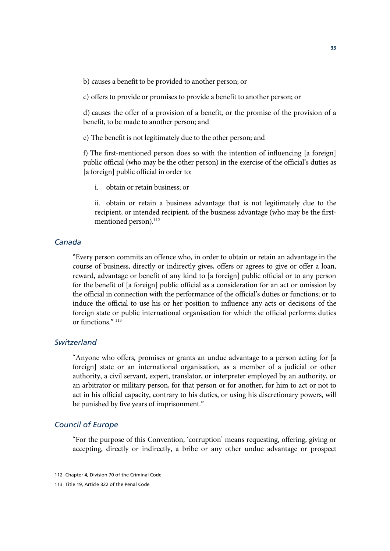b) causes a benefit to be provided to another person; or

c) offers to provide or promises to provide a benefit to another person; or

d) causes the offer of a provision of a benefit, or the promise of the provision of a benefit, to be made to another person; and

e) The benefit is not legitimately due to the other person; and

f) The first-mentioned person does so with the intention of influencing [a foreign] public official (who may be the other person) in the exercise of the official's duties as [a foreign] public official in order to:

i. obtain or retain business; or

ii. obtain or retain a business advantage that is not legitimately due to the recipient, or intended recipient, of the business advantage (who may be the firstmentioned person).<sup>112</sup>

#### *Canada*

"Every person commits an offence who, in order to obtain or retain an advantage in the course of business, directly or indirectly gives, offers or agrees to give or offer a loan, reward, advantage or benefit of any kind to [a foreign] public official or to any person for the benefit of [a foreign] public official as a consideration for an act or omission by the official in connection with the performance of the official's duties or functions; or to induce the official to use his or her position to influence any acts or decisions of the foreign state or public international organisation for which the official performs duties or functions." 113

#### *Switzerland*

"Anyone who offers, promises or grants an undue advantage to a person acting for [a foreign] state or an international organisation, as a member of a judicial or other authority, a civil servant, expert, translator, or interpreter employed by an authority, or an arbitrator or military person, for that person or for another, for him to act or not to act in his official capacity, contrary to his duties, or using his discretionary powers, will be punished by five years of imprisonment."

#### *Council of Europe*

 $\overline{a}$ 

"For the purpose of this Convention, 'corruption' means requesting, offering, giving or accepting, directly or indirectly, a bribe or any other undue advantage or prospect

<sup>112</sup> Chapter 4, Division 70 of the Criminal Code

<sup>113</sup> Title 19, Article 322 of the Penal Code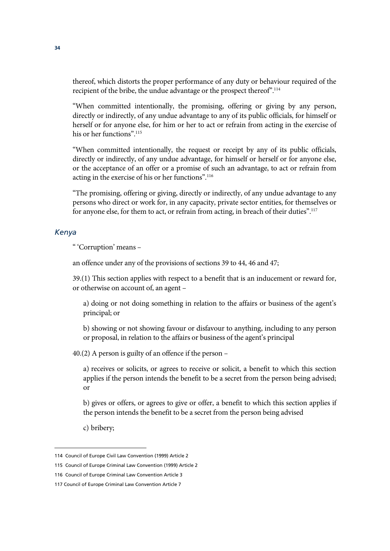thereof, which distorts the proper performance of any duty or behaviour required of the recipient of the bribe, the undue advantage or the prospect thereof".114

"When committed intentionally, the promising, offering or giving by any person, directly or indirectly, of any undue advantage to any of its public officials, for himself or herself or for anyone else, for him or her to act or refrain from acting in the exercise of his or her functions".115

"When committed intentionally, the request or receipt by any of its public officials, directly or indirectly, of any undue advantage, for himself or herself or for anyone else, or the acceptance of an offer or a promise of such an advantage, to act or refrain from acting in the exercise of his or her functions".116

"The promising, offering or giving, directly or indirectly, of any undue advantage to any persons who direct or work for, in any capacity, private sector entities, for themselves or for anyone else, for them to act, or refrain from acting, in breach of their duties".<sup>117</sup>

#### *Kenya*

" 'Corruption' means –

an offence under any of the provisions of sections 39 to 44, 46 and 47;

39.(1) This section applies with respect to a benefit that is an inducement or reward for, or otherwise on account of, an agent –

a) doing or not doing something in relation to the affairs or business of the agent's principal; or

b) showing or not showing favour or disfavour to anything, including to any person or proposal, in relation to the affairs or business of the agent's principal

40.(2) A person is guilty of an offence if the person –

a) receives or solicits, or agrees to receive or solicit, a benefit to which this section applies if the person intends the benefit to be a secret from the person being advised; or

b) gives or offers, or agrees to give or offer, a benefit to which this section applies if the person intends the benefit to be a secret from the person being advised

c) bribery;

<sup>114</sup> Council of Europe Civil Law Convention (1999) Article 2

<sup>115</sup> Council of Europe Criminal Law Convention (1999) Article 2

<sup>116</sup> Council of Europe Criminal Law Convention Article 3

<sup>117</sup> Council of Europe Criminal Law Convention Article 7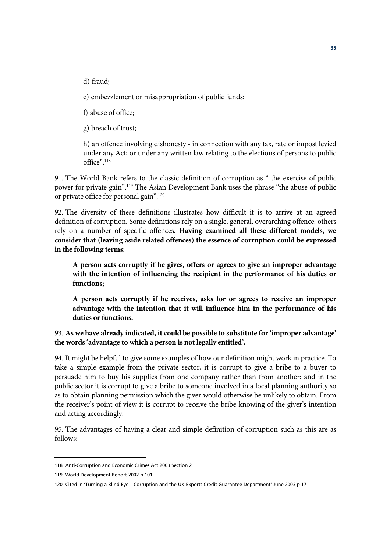d) fraud;

e) embezzlement or misappropriation of public funds;

f) abuse of office;

g) breach of trust;

h) an offence involving dishonesty - in connection with any tax, rate or impost levied under any Act; or under any written law relating to the elections of persons to public office".118

91. The World Bank refers to the classic definition of corruption as " the exercise of public power for private gain".119 The Asian Development Bank uses the phrase "the abuse of public or private office for personal gain".120

92. The diversity of these definitions illustrates how difficult it is to arrive at an agreed definition of corruption. Some definitions rely on a single, general, overarching offence: others rely on a number of specific offences**. Having examined all these different models, we consider that (leaving aside related offences) the essence of corruption could be expressed in the following terms:** 

**A person acts corruptly if he gives, offers or agrees to give an improper advantage with the intention of influencing the recipient in the performance of his duties or functions;**

**A person acts corruptly if he receives, asks for or agrees to receive an improper advantage with the intention that it will influence him in the performance of his duties or functions.**

93. **As we have already indicated, it could be possible to substitute for 'improper advantage' the words 'advantage to which a person is not legally entitled'.** 

94. It might be helpful to give some examples of how our definition might work in practice. To take a simple example from the private sector, it is corrupt to give a bribe to a buyer to persuade him to buy his supplies from one company rather than from another: and in the public sector it is corrupt to give a bribe to someone involved in a local planning authority so as to obtain planning permission which the giver would otherwise be unlikely to obtain. From the receiver's point of view it is corrupt to receive the bribe knowing of the giver's intention and acting accordingly.

95. The advantages of having a clear and simple definition of corruption such as this are as follows:

<sup>118</sup> Anti-Corruption and Economic Crimes Act 2003 Section 2

<sup>119</sup> World Development Report 2002 p 101

<sup>120</sup> Cited in 'Turning a Blind Eye – Corruption and the UK Exports Credit Guarantee Department' June 2003 p 17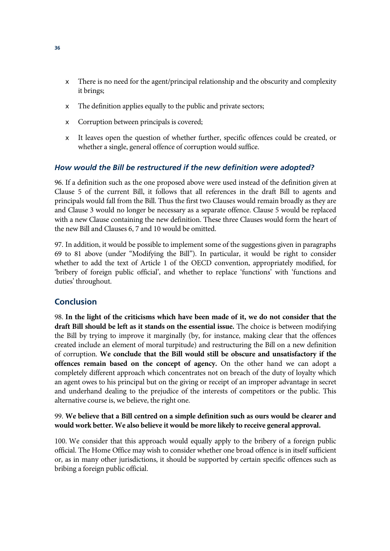- $\epsilon$  There is no need for the agent/principal relationship and the obscurity and complexity it brings;
- $\epsilon$  The definition applies equally to the public and private sectors;
- $\epsilon$  Corruption between principals is covered;
- $\epsilon$  It leaves open the question of whether further, specific offences could be created, or whether a single, general offence of corruption would suffice.

#### *How would the Bill be restructured if the new definition were adopted?*

96. If a definition such as the one proposed above were used instead of the definition given at Clause 5 of the current Bill, it follows that all references in the draft Bill to agents and principals would fall from the Bill. Thus the first two Clauses would remain broadly as they are and Clause 3 would no longer be necessary as a separate offence. Clause 5 would be replaced with a new Clause containing the new definition. These three Clauses would form the heart of the new Bill and Clauses 6, 7 and 10 would be omitted.

97. In addition, it would be possible to implement some of the suggestions given in paragraphs 69 to 81 above (under "Modifying the Bill"). In particular, it would be right to consider whether to add the text of Article 1 of the OECD convention, appropriately modified, for 'bribery of foreign public official', and whether to replace 'functions' with 'functions and duties' throughout.

#### **Conclusion**

98. **In the light of the criticisms which have been made of it, we do not consider that the draft Bill should be left as it stands on the essential issue.** The choice is between modifying the Bill by trying to improve it marginally (by, for instance, making clear that the offences created include an element of moral turpitude) and restructuring the Bill on a new definition of corruption. **We conclude that the Bill would still be obscure and unsatisfactory if the offences remain based on the concept of agency.** On the other hand we can adopt a completely different approach which concentrates not on breach of the duty of loyalty which an agent owes to his principal but on the giving or receipt of an improper advantage in secret and underhand dealing to the prejudice of the interests of competitors or the public. This alternative course is, we believe, the right one.

#### 99. **We believe that a Bill centred on a simple definition such as ours would be clearer and would work better. We also believe it would be more likely to receive general approval.**

100. We consider that this approach would equally apply to the bribery of a foreign public official. The Home Office may wish to consider whether one broad offence is in itself sufficient or, as in many other jurisdictions, it should be supported by certain specific offences such as bribing a foreign public official.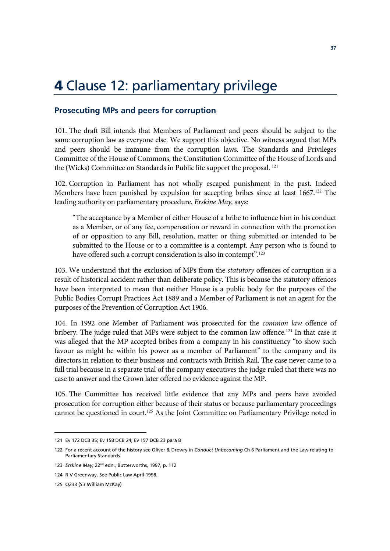## **4** Clause 12: parliamentary privilege

#### **Prosecuting MPs and peers for corruption**

101. The draft Bill intends that Members of Parliament and peers should be subject to the same corruption law as everyone else. We support this objective. No witness argued that MPs and peers should be immune from the corruption laws. The Standards and Privileges Committee of the House of Commons, the Constitution Committee of the House of Lords and the (Wicks) Committee on Standards in Public life support the proposal. 121

102. Corruption in Parliament has not wholly escaped punishment in the past. Indeed Members have been punished by expulsion for accepting bribes since at least 1667.<sup>122</sup> The leading authority on parliamentary procedure, *Erskine May,* says:

"The acceptance by a Member of either House of a bribe to influence him in his conduct as a Member, or of any fee, compensation or reward in connection with the promotion of or opposition to any Bill, resolution, matter or thing submitted or intended to be submitted to the House or to a committee is a contempt. Any person who is found to have offered such a corrupt consideration is also in contempt".<sup>123</sup>

103. We understand that the exclusion of MPs from the *statutory* offences of corruption is a result of historical accident rather than deliberate policy. This is because the statutory offences have been interpreted to mean that neither House is a public body for the purposes of the Public Bodies Corrupt Practices Act 1889 and a Member of Parliament is not an agent for the purposes of the Prevention of Corruption Act 1906.

104. In 1992 one Member of Parliament was prosecuted for the *common law* offence of bribery. The judge ruled that MPs were subject to the common law offence.<sup>124</sup> In that case it was alleged that the MP accepted bribes from a company in his constituency "to show such favour as might be within his power as a member of Parliament" to the company and its directors in relation to their business and contracts with British Rail. The case never came to a full trial because in a separate trial of the company executives the judge ruled that there was no case to answer and the Crown later offered no evidence against the MP.

105. The Committee has received little evidence that any MPs and peers have avoided prosecution for corruption either because of their status or because parliamentary proceedings cannot be questioned in court.125 As the Joint Committee on Parliamentary Privilege noted in

<sup>121</sup> Ev 172 DCB 35; Ev 158 DCB 24; Ev 157 DCB 23 para 8

<sup>122</sup> For a recent account of the history see Oliver & Drewry in *Conduct Unbecoming* Ch 6 Parliament and the Law relating to Parliamentary Standards

<sup>123</sup> *Erskine May*, 22nd edn., Butterworths, 1997, p. 112

<sup>124</sup> R V Greenway. See Public Law April 1998.

<sup>125</sup> Q233 (Sir William McKay)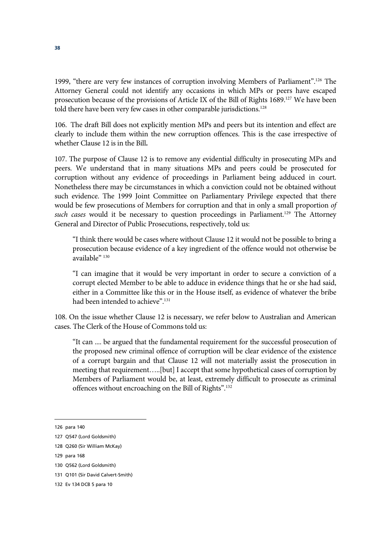1999, "there are very few instances of corruption involving Members of Parliament".126 The Attorney General could not identify any occasions in which MPs or peers have escaped prosecution because of the provisions of Article IX of the Bill of Rights 1689.<sup>127</sup> We have been told there have been very few cases in other comparable jurisdictions.<sup>128</sup>

106. The draft Bill does not explicitly mention MPs and peers but its intention and effect are clearly to include them within the new corruption offences. This is the case irrespective of whether Clause 12 is in the Bill**.**

107. The purpose of Clause 12 is to remove any evidential difficulty in prosecuting MPs and peers. We understand that in many situations MPs and peers could be prosecuted for corruption without any evidence of proceedings in Parliament being adduced in court. Nonetheless there may be circumstances in which a conviction could not be obtained without such evidence. The 1999 Joint Committee on Parliamentary Privilege expected that there would be few prosecutions of Members for corruption and that in only a small proportion *of*  such cases would it be necessary to question proceedings in Parliament.<sup>129</sup> The Attorney General and Director of Public Prosecutions, respectively, told us:

"I think there would be cases where without Clause 12 it would not be possible to bring a prosecution because evidence of a key ingredient of the offence would not otherwise be available" 130

"I can imagine that it would be very important in order to secure a conviction of a corrupt elected Member to be able to adduce in evidence things that he or she had said, either in a Committee like this or in the House itself, as evidence of whatever the bribe had been intended to achieve".<sup>131</sup>

108. On the issue whether Clause 12 is necessary, we refer below to Australian and American cases. The Clerk of the House of Commons told us:

"It can .... be argued that the fundamental requirement for the successful prosecution of the proposed new criminal offence of corruption will be clear evidence of the existence of a corrupt bargain and that Clause 12 will not materially assist the prosecution in meeting that requirement…..[but] I accept that some hypothetical cases of corruption by Members of Parliament would be, at least, extremely difficult to prosecute as criminal offences without encroaching on the Bill of Rights".132

 $\overline{a}$ 

128 Q260 (Sir William McKay)

<sup>126</sup> para 140

<sup>127</sup> Q547 (Lord Goldsmith)

<sup>129</sup> para 168

<sup>130</sup> Q562 (Lord Goldsmith)

<sup>131</sup> Q101 (Sir David Calvert-Smith)

<sup>132</sup> Ev 134 DCB 5 para 10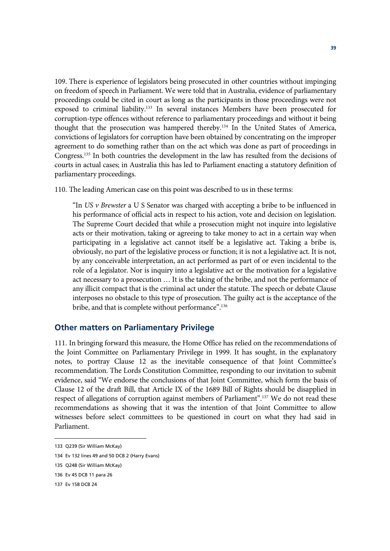109. There is experience of legislators being prosecuted in other countries without impinging on freedom of speech in Parliament. We were told that in Australia, evidence of parliamentary proceedings could be cited in court as long as the participants in those proceedings were not exposed to criminal liability.133 In several instances Members have been prosecuted for corruption-type offences without reference to parliamentary proceedings and without it being thought that the prosecution was hampered thereby.134 In the United States of America, convictions of legislators for corruption have been obtained by concentrating on the improper agreement to do something rather than on the act which was done as part of proceedings in Congress.135 In both countries the development in the law has resulted from the decisions of courts in actual cases; in Australia this has led to Parliament enacting a statutory definition of parliamentary proceedings.

110. The leading American case on this point was described to us in these terms:

"In *US v Brewster* a U S Senator was charged with accepting a bribe to be influenced in his performance of official acts in respect to his action, vote and decision on legislation. The Supreme Court decided that while a prosecution might not inquire into legislative acts or their motivation, taking or agreeing to take money to act in a certain way when participating in a legislative act cannot itself be a legislative act. Taking a bribe is, obviously, no part of the legislative process or function; it is not a legislative act. It is not, by any conceivable interpretation, an act performed as part of or even incidental to the role of a legislator. Nor is inquiry into a legislative act or the motivation for a legislative act necessary to a prosecution … It is the taking of the bribe, and not the performance of any illicit compact that is the criminal act under the statute. The speech or debate Clause interposes no obstacle to this type of prosecution. The guilty act is the acceptance of the bribe, and that is complete without performance".136

#### **Other matters on Parliamentary Privilege**

111. In bringing forward this measure, the Home Office has relied on the recommendations of the Joint Committee on Parliamentary Privilege in 1999. It has sought, in the explanatory notes, to portray Clause 12 as the inevitable consequence of that Joint Committee's recommendation. The Lords Constitution Committee, responding to our invitation to submit evidence, said "We endorse the conclusions of that Joint Committee, which form the basis of Clause 12 of the draft Bill, that Article IX of the 1689 Bill of Rights should be disapplied in respect of allegations of corruption against members of Parliament".137 We do not read these recommendations as showing that it was the intention of that Joint Committee to allow witnesses before select committees to be questioned in court on what they had said in Parliament.

<sup>133</sup> Q239 (Sir William McKay)

<sup>134</sup> Ev 132 lines 49 and 50 DCB 2 (Harry Evans)

<sup>135</sup> Q248 (Sir William McKay)

<sup>136</sup> Ev 45 DCB 11 para 26

<sup>137</sup> Ev 158 DCB 24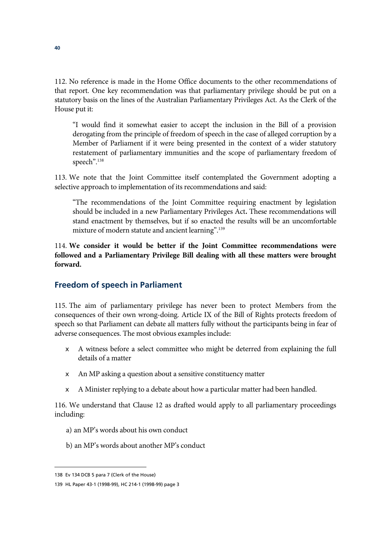112. No reference is made in the Home Office documents to the other recommendations of that report. One key recommendation was that parliamentary privilege should be put on a statutory basis on the lines of the Australian Parliamentary Privileges Act. As the Clerk of the House put it:

"I would find it somewhat easier to accept the inclusion in the Bill of a provision derogating from the principle of freedom of speech in the case of alleged corruption by a Member of Parliament if it were being presented in the context of a wider statutory restatement of parliamentary immunities and the scope of parliamentary freedom of speech".138

113. We note that the Joint Committee itself contemplated the Government adopting a selective approach to implementation of its recommendations and said:

"The recommendations of the Joint Committee requiring enactment by legislation should be included in a new Parliamentary Privileges Act**.** These recommendations will stand enactment by themselves, but if so enacted the results will be an uncomfortable mixture of modern statute and ancient learning".<sup>139</sup>

114. **We consider it would be better if the Joint Committee recommendations were followed and a Parliamentary Privilege Bill dealing with all these matters were brought forward.**

#### **Freedom of speech in Parliament**

115. The aim of parliamentary privilege has never been to protect Members from the consequences of their own wrong-doing. Article IX of the Bill of Rights protects freedom of speech so that Parliament can debate all matters fully without the participants being in fear of adverse consequences. The most obvious examples include:

- $\epsilon$  A witness before a select committee who might be deterred from explaining the full details of a matter
- $\epsilon$  An MP asking a question about a sensitive constituency matter
- $\epsilon$  A Minister replying to a debate about how a particular matter had been handled.

116. We understand that Clause 12 as drafted would apply to all parliamentary proceedings including:

- a) an MP's words about his own conduct
- b) an MP's words about another MP's conduct

<sup>138</sup> Ev 134 DCB 5 para 7 (Clerk of the House)

<sup>139</sup> HL Paper 43-1 (1998-99), HC 214-1 (1998-99) page 3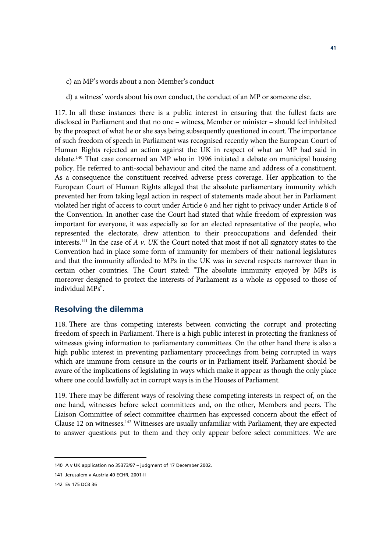- c) an MP's words about a non-Member's conduct
- d) a witness' words about his own conduct, the conduct of an MP or someone else.

117. In all these instances there is a public interest in ensuring that the fullest facts are disclosed in Parliament and that no one – witness, Member or minister – should feel inhibited by the prospect of what he or she says being subsequently questioned in court. The importance of such freedom of speech in Parliament was recognised recently when the European Court of Human Rights rejected an action against the UK in respect of what an MP had said in debate.140 That case concerned an MP who in 1996 initiated a debate on municipal housing policy. He referred to anti-social behaviour and cited the name and address of a constituent. As a consequence the constituent received adverse press coverage. Her application to the European Court of Human Rights alleged that the absolute parliamentary immunity which prevented her from taking legal action in respect of statements made about her in Parliament violated her right of access to court under Article 6 and her right to privacy under Article 8 of the Convention. In another case the Court had stated that while freedom of expression was important for everyone, it was especially so for an elected representative of the people, who represented the electorate, drew attention to their preoccupations and defended their interests.141 In the case of *A v. UK* the Court noted that most if not all signatory states to the Convention had in place some form of immunity for members of their national legislatures and that the immunity afforded to MPs in the UK was in several respects narrower than in certain other countries. The Court stated: "The absolute immunity enjoyed by MPs is moreover designed to protect the interests of Parliament as a whole as opposed to those of individual MPs".

#### **Resolving the dilemma**

118. There are thus competing interests between convicting the corrupt and protecting freedom of speech in Parliament. There is a high public interest in protecting the frankness of witnesses giving information to parliamentary committees. On the other hand there is also a high public interest in preventing parliamentary proceedings from being corrupted in ways which are immune from censure in the courts or in Parliament itself. Parliament should be aware of the implications of legislating in ways which make it appear as though the only place where one could lawfully act in corrupt ways is in the Houses of Parliament.

119. There may be different ways of resolving these competing interests in respect of, on the one hand, witnesses before select committees and, on the other, Members and peers. The Liaison Committee of select committee chairmen has expressed concern about the effect of Clause 12 on witnesses.142 Witnesses are usually unfamiliar with Parliament, they are expected to answer questions put to them and they only appear before select committees. We are

<sup>140</sup> A v UK application no 35373/97 – judgment of 17 December 2002.

<sup>141</sup> Jerusalem v Austria 40 ECHR, 2001-II

<sup>142</sup> Ev 175 DCB 36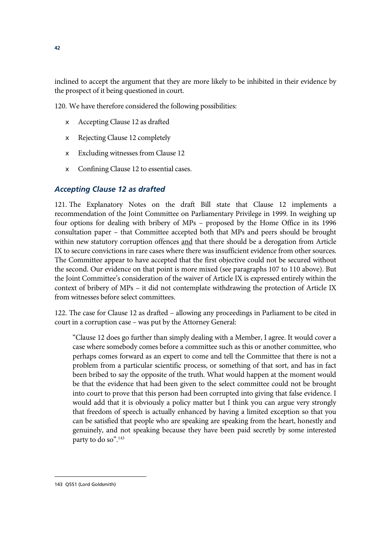inclined to accept the argument that they are more likely to be inhibited in their evidence by the prospect of it being questioned in court.

120. We have therefore considered the following possibilities:

- $\epsilon$  Accepting Clause 12 as drafted
- $\epsilon$  Rejecting Clause 12 completely
- $\epsilon$  Excluding witnesses from Clause 12
- $\epsilon$  Confining Clause 12 to essential cases.

#### *Accepting Clause 12 as drafted*

121. The Explanatory Notes on the draft Bill state that Clause 12 implements a recommendation of the Joint Committee on Parliamentary Privilege in 1999. In weighing up four options for dealing with bribery of MPs – proposed by the Home Office in its 1996 consultation paper – that Committee accepted both that MPs and peers should be brought within new statutory corruption offences and that there should be a derogation from Article IX to secure convictions in rare cases where there was insufficient evidence from other sources. The Committee appear to have accepted that the first objective could not be secured without the second. Our evidence on that point is more mixed (see paragraphs 107 to 110 above). But the Joint Committee's consideration of the waiver of Article IX is expressed entirely within the context of bribery of MPs – it did not contemplate withdrawing the protection of Article IX from witnesses before select committees.

122. The case for Clause 12 as drafted – allowing any proceedings in Parliament to be cited in court in a corruption case – was put by the Attorney General:

"Clause 12 does go further than simply dealing with a Member, I agree. It would cover a case where somebody comes before a committee such as this or another committee, who perhaps comes forward as an expert to come and tell the Committee that there is not a problem from a particular scientific process, or something of that sort, and has in fact been bribed to say the opposite of the truth. What would happen at the moment would be that the evidence that had been given to the select committee could not be brought into court to prove that this person had been corrupted into giving that false evidence. I would add that it is obviously a policy matter but I think you can argue very strongly that freedom of speech is actually enhanced by having a limited exception so that you can be satisfied that people who are speaking are speaking from the heart, honestly and genuinely, and not speaking because they have been paid secretly by some interested party to do so".<sup>143</sup>

 $\overline{a}$ 143 Q551 (Lord Goldsmith)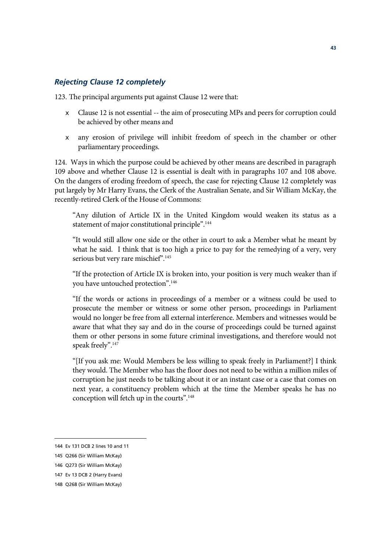#### *Rejecting Clause 12 completely*

123. The principal arguments put against Clause 12 were that:

- $\epsilon$  Clause 12 is not essential -- the aim of prosecuting MPs and peers for corruption could be achieved by other means and
- $\epsilon$  any erosion of privilege will inhibit freedom of speech in the chamber or other parliamentary proceedings.

124. Ways in which the purpose could be achieved by other means are described in paragraph 109 above and whether Clause 12 is essential is dealt with in paragraphs 107 and 108 above. On the dangers of eroding freedom of speech, the case for rejecting Clause 12 completely was put largely by Mr Harry Evans, the Clerk of the Australian Senate, and Sir William McKay, the recently-retired Clerk of the House of Commons:

"Any dilution of Article IX in the United Kingdom would weaken its status as a statement of major constitutional principle".<sup>144</sup>

"It would still allow one side or the other in court to ask a Member what he meant by what he said. I think that is too high a price to pay for the remedying of a very, very serious but very rare mischief".<sup>145</sup>

"If the protection of Article IX is broken into, your position is very much weaker than if you have untouched protection".<sup>146</sup>

"If the words or actions in proceedings of a member or a witness could be used to prosecute the member or witness or some other person, proceedings in Parliament would no longer be free from all external interference. Members and witnesses would be aware that what they say and do in the course of proceedings could be turned against them or other persons in some future criminal investigations, and therefore would not speak freely".<sup>147</sup>

"[If you ask me: Would Members be less willing to speak freely in Parliament?] I think they would. The Member who has the floor does not need to be within a million miles of corruption he just needs to be talking about it or an instant case or a case that comes on next year, a constituency problem which at the time the Member speaks he has no conception will fetch up in the courts".148

<sup>144</sup> Ev 131 DCB 2 lines 10 and 11

<sup>145</sup> Q266 (Sir William McKay)

<sup>146</sup> Q273 (Sir William McKay)

<sup>147</sup> Ev 13 DCB 2 (Harry Evans)

<sup>148</sup> Q268 (Sir William McKay)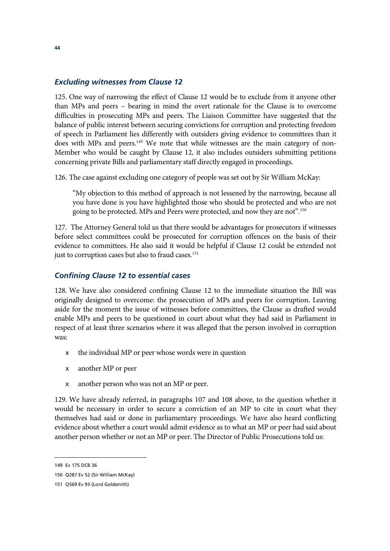#### *Excluding witnesses from Clause 12*

125. One way of narrowing the effect of Clause 12 would be to exclude from it anyone other than MPs and peers – bearing in mind the overt rationale for the Clause is to overcome difficulties in prosecuting MPs and peers. The Liaison Committee have suggested that the balance of public interest between securing convictions for corruption and protecting freedom of speech in Parliament lies differently with outsiders giving evidence to committees than it does with MPs and peers.<sup>149</sup> We note that while witnesses are the main category of non-Member who would be caught by Clause 12, it also includes outsiders submitting petitions concerning private Bills and parliamentary staff directly engaged in proceedings.

126. The case against excluding one category of people was set out by Sir William McKay:

"My objection to this method of approach is not lessened by the narrowing, because all you have done is you have highlighted those who should be protected and who are not going to be protected. MPs and Peers were protected, and now they are not".150

127. The Attorney General told us that there would be advantages for prosecutors if witnesses before select committees could be prosecuted for corruption offences on the basis of their evidence to committees. He also said it would be helpful if Clause 12 could be extended not just to corruption cases but also to fraud cases.<sup>151</sup>

#### *Confining Clause 12 to essential cases*

128. We have also considered confining Clause 12 to the immediate situation the Bill was originally designed to overcome: the prosecution of MPs and peers for corruption. Leaving aside for the moment the issue of witnesses before committees, the Clause as drafted would enable MPs and peers to be questioned in court about what they had said in Parliament in respect of at least three scenarios where it was alleged that the person involved in corruption was:

- $\epsilon$  the individual MP or peer whose words were in question
- $\epsilon$  another MP or peer
- $\epsilon$  another person who was not an MP or peer.

129. We have already referred, in paragraphs 107 and 108 above, to the question whether it would be necessary in order to secure a conviction of an MP to cite in court what they themselves had said or done in parliamentary proceedings. We have also heard conflicting evidence about whether a court would admit evidence as to what an MP or peer had said about another person whether or not an MP or peer. The Director of Public Prosecutions told us:

<sup>149</sup> Ev 175 DCB 36

<sup>150</sup> Q287 Ev 52 (Sir William McKay)

<sup>151</sup> Q569 Ev 93 (Lord Goldsmith)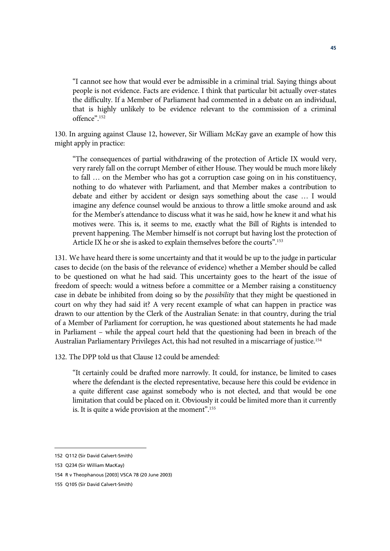"I cannot see how that would ever be admissible in a criminal trial. Saying things about people is not evidence. Facts are evidence. I think that particular bit actually over-states the difficulty. If a Member of Parliament had commented in a debate on an individual, that is highly unlikely to be evidence relevant to the commission of a criminal offence".152

130. In arguing against Clause 12, however, Sir William McKay gave an example of how this might apply in practice:

"The consequences of partial withdrawing of the protection of Article IX would very, very rarely fall on the corrupt Member of either House. They would be much more likely to fall … on the Member who has got a corruption case going on in his constituency, nothing to do whatever with Parliament, and that Member makes a contribution to debate and either by accident or design says something about the case … I would imagine any defence counsel would be anxious to throw a little smoke around and ask for the Member's attendance to discuss what it was he said, how he knew it and what his motives were. This is, it seems to me, exactly what the Bill of Rights is intended to prevent happening. The Member himself is not corrupt but having lost the protection of Article IX he or she is asked to explain themselves before the courts".153

131. We have heard there is some uncertainty and that it would be up to the judge in particular cases to decide (on the basis of the relevance of evidence) whether a Member should be called to be questioned on what he had said. This uncertainty goes to the heart of the issue of freedom of speech: would a witness before a committee or a Member raising a constituency case in debate be inhibited from doing so by the *possibility* that they might be questioned in court on why they had said it? A very recent example of what can happen in practice was drawn to our attention by the Clerk of the Australian Senate: in that country, during the trial of a Member of Parliament for corruption, he was questioned about statements he had made in Parliament – while the appeal court held that the questioning had been in breach of the Australian Parliamentary Privileges Act, this had not resulted in a miscarriage of justice.154

132. The DPP told us that Clause 12 could be amended:

"It certainly could be drafted more narrowly. It could, for instance, be limited to cases where the defendant is the elected representative, because here this could be evidence in a quite different case against somebody who is not elected, and that would be one limitation that could be placed on it. Obviously it could be limited more than it currently is. It is quite a wide provision at the moment".155

<sup>152</sup> Q112 (Sir David Calvert-Smith)

<sup>153</sup> Q234 (Sir William MacKay)

<sup>154</sup> R v Theophanous [2003] VSCA 78 (20 June 2003)

<sup>155</sup> Q105 (Sir David Calvert-Smith)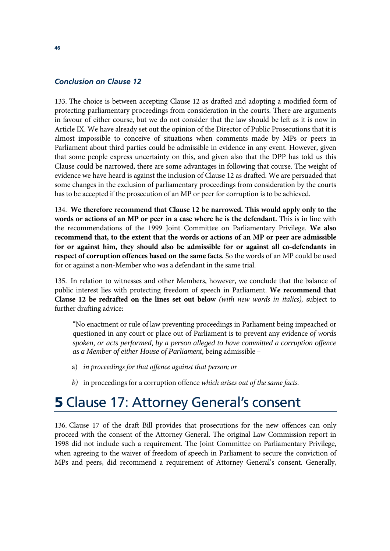#### *Conclusion on Clause 12*

133. The choice is between accepting Clause 12 as drafted and adopting a modified form of protecting parliamentary proceedings from consideration in the courts. There are arguments in favour of either course, but we do not consider that the law should be left as it is now in Article IX. We have already set out the opinion of the Director of Public Prosecutions that it is almost impossible to conceive of situations when comments made by MPs or peers in Parliament about third parties could be admissible in evidence in any event. However, given that some people express uncertainty on this, and given also that the DPP has told us this Clause could be narrowed, there are some advantages in following that course. The weight of evidence we have heard is against the inclusion of Clause 12 as drafted. We are persuaded that some changes in the exclusion of parliamentary proceedings from consideration by the courts has to be accepted if the prosecution of an MP or peer for corruption is to be achieved.

134. **We therefore recommend that Clause 12 be narrowed. This would apply only to the words or actions of an MP or peer in a case where he is the defendant.** This is in line with the recommendations of the 1999 Joint Committee on Parliamentary Privilege. **We also recommend that, to the extent that the words or actions of an MP or peer are admissible for or against him, they should also be admissible for or against all co-defendants in respect of corruption offences based on the same facts.** So the words of an MP could be used for or against a non-Member who was a defendant in the same trial.

135. In relation to witnesses and other Members, however, we conclude that the balance of public interest lies with protecting freedom of speech in Parliament. **We recommend that Clause 12 be redrafted on the lines set out below** *(with new words in italics),* subject to further drafting advice:

"No enactment or rule of law preventing proceedings in Parliament being impeached or questioned in any court or place out of Parliament is to prevent any evidence *of words spoken, or acts performed, by a person alleged to have committed a corruption offence as a Member of either House of Parliament,* being admissible –

- a) *in proceedings for that offence against that person; or*
- *b)* in proceedings for a corruption offence *which arises out of the same facts.*

## **5** Clause 17: Attorney General's consent

136. Clause 17 of the draft Bill provides that prosecutions for the new offences can only proceed with the consent of the Attorney General. The original Law Commission report in 1998 did not include such a requirement. The Joint Committee on Parliamentary Privilege, when agreeing to the waiver of freedom of speech in Parliament to secure the conviction of MPs and peers, did recommend a requirement of Attorney General's consent. Generally,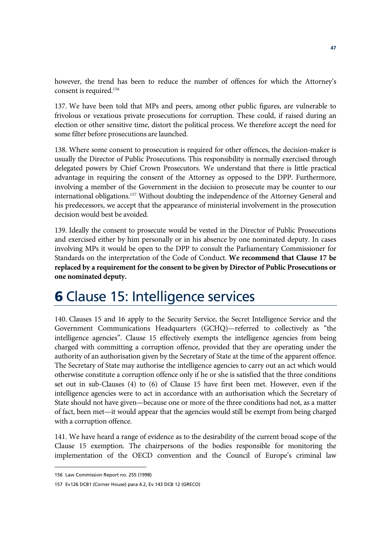however, the trend has been to reduce the number of offences for which the Attorney's consent is required.<sup>156</sup>

137. We have been told that MPs and peers, among other public figures, are vulnerable to frivolous or vexatious private prosecutions for corruption. These could, if raised during an election or other sensitive time, distort the political process. We therefore accept the need for some filter before prosecutions are launched.

138. Where some consent to prosecution is required for other offences, the decision-maker is usually the Director of Public Prosecutions. This responsibility is normally exercised through delegated powers by Chief Crown Prosecutors. We understand that there is little practical advantage in requiring the consent of the Attorney as opposed to the DPP. Furthermore, involving a member of the Government in the decision to prosecute may be counter to our international obligations.157 Without doubting the independence of the Attorney General and his predecessors, we accept that the appearance of ministerial involvement in the prosecution decision would best be avoided.

139. Ideally the consent to prosecute would be vested in the Director of Public Prosecutions and exercised either by him personally or in his absence by one nominated deputy. In cases involving MPs it would be open to the DPP to consult the Parliamentary Commissioner for Standards on the interpretation of the Code of Conduct. **We recommend that Clause 17 be replaced by a requirement for the consent to be given by Director of Public Prosecutions or one nominated deputy.**

# **6** Clause 15: Intelligence services

140. Clauses 15 and 16 apply to the Security Service, the Secret Intelligence Service and the Government Communications Headquarters (GCHQ)—referred to collectively as "the intelligence agencies". Clause 15 effectively exempts the intelligence agencies from being charged with committing a corruption offence, provided that they are operating under the authority of an authorisation given by the Secretary of State at the time of the apparent offence. The Secretary of State may authorise the intelligence agencies to carry out an act which would otherwise constitute a corruption offence only if he or she is satisfied that the three conditions set out in sub-Clauses (4) to (6) of Clause 15 have first been met. However, even if the intelligence agencies were to act in accordance with an authorisation which the Secretary of State should not have given—because one or more of the three conditions had not, as a matter of fact, been met—it would appear that the agencies would still be exempt from being charged with a corruption offence.

141. We have heard a range of evidence as to the desirability of the current broad scope of the Clause 15 exemption. The chairpersons of the bodies responsible for monitoring the implementation of the OECD convention and the Council of Europe's criminal law

<sup>156</sup> Law Commission Report no. 255 (1998)

<sup>157</sup> Ev126 DCB1 (Corner House) para 4.2, Ev 143 DCB 12 (GRECO)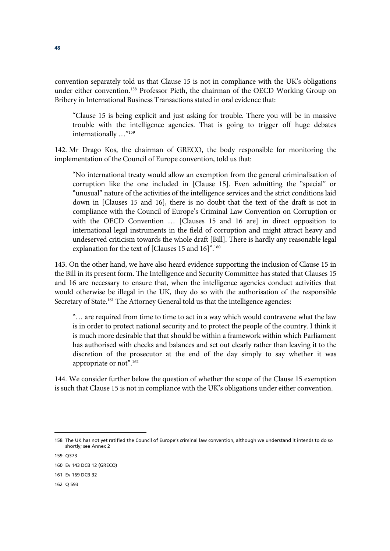convention separately told us that Clause 15 is not in compliance with the UK's obligations under either convention.158 Professor Pieth, the chairman of the OECD Working Group on Bribery in International Business Transactions stated in oral evidence that:

"Clause 15 is being explicit and just asking for trouble. There you will be in massive trouble with the intelligence agencies. That is going to trigger off huge debates internationally …"159

142. Mr Drago Kos, the chairman of GRECO, the body responsible for monitoring the implementation of the Council of Europe convention, told us that:

"No international treaty would allow an exemption from the general criminalisation of corruption like the one included in [Clause 15]. Even admitting the "special" or "unusual" nature of the activities of the intelligence services and the strict conditions laid down in [Clauses 15 and 16], there is no doubt that the text of the draft is not in compliance with the Council of Europe's Criminal Law Convention on Corruption or with the OECD Convention ... [Clauses 15 and 16 are] in direct opposition to international legal instruments in the field of corruption and might attract heavy and undeserved criticism towards the whole draft [Bill]. There is hardly any reasonable legal explanation for the text of [Clauses 15 and 16]".<sup>160</sup>

143. On the other hand, we have also heard evidence supporting the inclusion of Clause 15 in the Bill in its present form. The Intelligence and Security Committee has stated that Clauses 15 and 16 are necessary to ensure that, when the intelligence agencies conduct activities that would otherwise be illegal in the UK, they do so with the authorisation of the responsible Secretary of State.<sup>161</sup> The Attorney General told us that the intelligence agencies:

"… are required from time to time to act in a way which would contravene what the law is in order to protect national security and to protect the people of the country. I think it is much more desirable that that should be within a framework within which Parliament has authorised with checks and balances and set out clearly rather than leaving it to the discretion of the prosecutor at the end of the day simply to say whether it was appropriate or not".162

144. We consider further below the question of whether the scope of the Clause 15 exemption is such that Clause 15 is not in compliance with the UK's obligations under either convention.

<sup>158</sup> The UK has not yet ratified the Council of Europe's criminal law convention, although we understand it intends to do so shortly; see Annex 2

<sup>159</sup> Q373

<sup>160</sup> Ev 143 DCB 12 (GRECO)

<sup>161</sup> Ev 169 DCB 32

<sup>162</sup> Q 593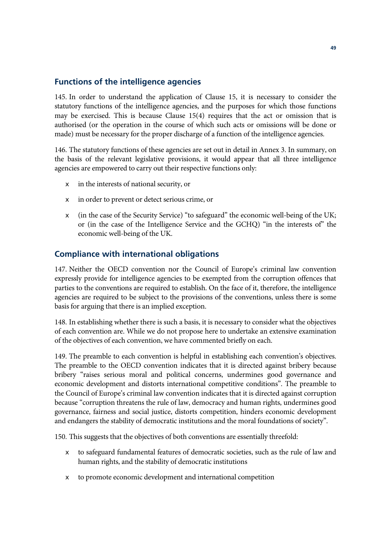#### **Functions of the intelligence agencies**

145. In order to understand the application of Clause 15, it is necessary to consider the statutory functions of the intelligence agencies, and the purposes for which those functions may be exercised. This is because Clause 15(4) requires that the act or omission that is authorised (or the operation in the course of which such acts or omissions will be done or made) must be necessary for the proper discharge of a function of the intelligence agencies.

146. The statutory functions of these agencies are set out in detail in Annex 3. In summary, on the basis of the relevant legislative provisions, it would appear that all three intelligence agencies are empowered to carry out their respective functions only:

- $\epsilon$  in the interests of national security, or
- $\epsilon$  in order to prevent or detect serious crime, or
- $\epsilon$  (in the case of the Security Service) "to safeguard" the economic well-being of the UK; or (in the case of the Intelligence Service and the GCHQ) "in the interests of" the economic well-being of the UK.

#### **Compliance with international obligations**

147. Neither the OECD convention nor the Council of Europe's criminal law convention expressly provide for intelligence agencies to be exempted from the corruption offences that parties to the conventions are required to establish. On the face of it, therefore, the intelligence agencies are required to be subject to the provisions of the conventions, unless there is some basis for arguing that there is an implied exception.

148. In establishing whether there is such a basis, it is necessary to consider what the objectives of each convention are. While we do not propose here to undertake an extensive examination of the objectives of each convention, we have commented briefly on each.

149. The preamble to each convention is helpful in establishing each convention's objectives. The preamble to the OECD convention indicates that it is directed against bribery because bribery "raises serious moral and political concerns, undermines good governance and economic development and distorts international competitive conditions". The preamble to the Council of Europe's criminal law convention indicates that it is directed against corruption because "corruption threatens the rule of law, democracy and human rights, undermines good governance, fairness and social justice, distorts competition, hinders economic development and endangers the stability of democratic institutions and the moral foundations of society".

150. This suggests that the objectives of both conventions are essentially threefold:

- $\epsilon$  to safeguard fundamental features of democratic societies, such as the rule of law and human rights, and the stability of democratic institutions
- $\epsilon$  to promote economic development and international competition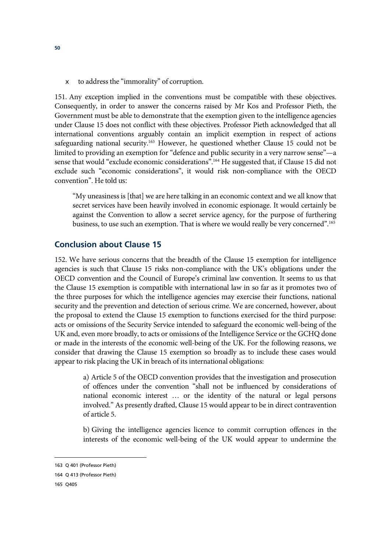$\epsilon$  to address the "immorality" of corruption.

151. Any exception implied in the conventions must be compatible with these objectives. Consequently, in order to answer the concerns raised by Mr Kos and Professor Pieth, the Government must be able to demonstrate that the exemption given to the intelligence agencies under Clause 15 does not conflict with these objectives. Professor Pieth acknowledged that all international conventions arguably contain an implicit exemption in respect of actions safeguarding national security.<sup>163</sup> However, he questioned whether Clause 15 could not be limited to providing an exemption for "defence and public security in a very narrow sense"—a sense that would "exclude economic considerations".<sup>164</sup> He suggested that, if Clause 15 did not exclude such "economic considerations", it would risk non-compliance with the OECD convention". He told us:

"My uneasiness is [that] we are here talking in an economic context and we all know that secret services have been heavily involved in economic espionage. It would certainly be against the Convention to allow a secret service agency, for the purpose of furthering business, to use such an exemption. That is where we would really be very concerned".165

#### **Conclusion about Clause 15**

152. We have serious concerns that the breadth of the Clause 15 exemption for intelligence agencies is such that Clause 15 risks non-compliance with the UK's obligations under the OECD convention and the Council of Europe's criminal law convention. It seems to us that the Clause 15 exemption is compatible with international law in so far as it promotes two of the three purposes for which the intelligence agencies may exercise their functions, national security and the prevention and detection of serious crime. We are concerned, however, about the proposal to extend the Clause 15 exemption to functions exercised for the third purpose: acts or omissions of the Security Service intended to safeguard the economic well-being of the UK and, even more broadly, to acts or omissions of the Intelligence Service or the GCHQ done or made in the interests of the economic well-being of the UK. For the following reasons, we consider that drawing the Clause 15 exemption so broadly as to include these cases would appear to risk placing the UK in breach of its international obligations:

> a) Article 5 of the OECD convention provides that the investigation and prosecution of offences under the convention "shall not be influenced by considerations of national economic interest … or the identity of the natural or legal persons involved." As presently drafted, Clause 15 would appear to be in direct contravention of article 5.

> b) Giving the intelligence agencies licence to commit corruption offences in the interests of the economic well-being of the UK would appear to undermine the

<sup>163</sup> Q 401 (Professor Pieth)

<sup>164</sup> Q 413 (Professor Pieth)

<sup>165</sup> Q405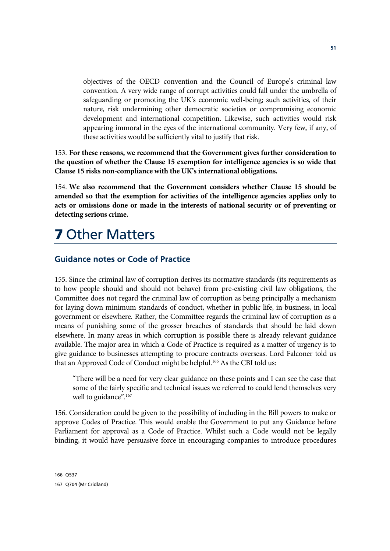objectives of the OECD convention and the Council of Europe's criminal law convention. A very wide range of corrupt activities could fall under the umbrella of safeguarding or promoting the UK's economic well-being; such activities, of their nature, risk undermining other democratic societies or compromising economic development and international competition. Likewise, such activities would risk appearing immoral in the eyes of the international community. Very few, if any, of these activities would be sufficiently vital to justify that risk.

153. **For these reasons, we recommend that the Government gives further consideration to the question of whether the Clause 15 exemption for intelligence agencies is so wide that Clause 15 risks non-compliance with the UK's international obligations.**

154. **We also recommend that the Government considers whether Clause 15 should be amended so that the exemption for activities of the intelligence agencies applies only to acts or omissions done or made in the interests of national security or of preventing or detecting serious crime.**

# **7** Other Matters

#### **Guidance notes or Code of Practice**

155. Since the criminal law of corruption derives its normative standards (its requirements as to how people should and should not behave) from pre-existing civil law obligations, the Committee does not regard the criminal law of corruption as being principally a mechanism for laying down minimum standards of conduct, whether in public life, in business, in local government or elsewhere. Rather, the Committee regards the criminal law of corruption as a means of punishing some of the grosser breaches of standards that should be laid down elsewhere. In many areas in which corruption is possible there is already relevant guidance available. The major area in which a Code of Practice is required as a matter of urgency is to give guidance to businesses attempting to procure contracts overseas. Lord Falconer told us that an Approved Code of Conduct might be helpful.<sup>166</sup> As the CBI told us:

"There will be a need for very clear guidance on these points and I can see the case that some of the fairly specific and technical issues we referred to could lend themselves very well to guidance".<sup>167</sup>

156. Consideration could be given to the possibility of including in the Bill powers to make or approve Codes of Practice. This would enable the Government to put any Guidance before Parliament for approval as a Code of Practice. Whilst such a Code would not be legally binding, it would have persuasive force in encouraging companies to introduce procedures

 $\overline{a}$ 166 Q537

<sup>167</sup> Q704 (Mr Cridland)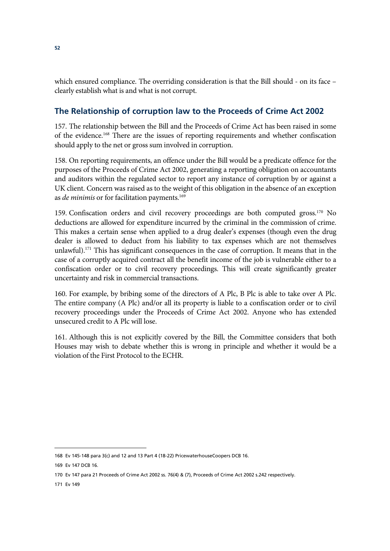which ensured compliance. The overriding consideration is that the Bill should - on its face clearly establish what is and what is not corrupt.

### **The Relationship of corruption law to the Proceeds of Crime Act 2002**

157. The relationship between the Bill and the Proceeds of Crime Act has been raised in some of the evidence.168 There are the issues of reporting requirements and whether confiscation should apply to the net or gross sum involved in corruption.

158. On reporting requirements, an offence under the Bill would be a predicate offence for the purposes of the Proceeds of Crime Act 2002, generating a reporting obligation on accountants and auditors within the regulated sector to report any instance of corruption by or against a UK client. Concern was raised as to the weight of this obligation in the absence of an exception as *de minimis* or for facilitation payments.<sup>169</sup>

159. Confiscation orders and civil recovery proceedings are both computed gross.170 No deductions are allowed for expenditure incurred by the criminal in the commission of crime. This makes a certain sense when applied to a drug dealer's expenses (though even the drug dealer is allowed to deduct from his liability to tax expenses which are not themselves unlawful).<sup>171</sup> This has significant consequences in the case of corruption. It means that in the case of a corruptly acquired contract all the benefit income of the job is vulnerable either to a confiscation order or to civil recovery proceedings. This will create significantly greater uncertainty and risk in commercial transactions.

160. For example, by bribing some of the directors of A Plc, B Plc is able to take over A Plc. The entire company (A Plc) and/or all its property is liable to a confiscation order or to civil recovery proceedings under the Proceeds of Crime Act 2002. Anyone who has extended unsecured credit to A Plc will lose.

161. Although this is not explicitly covered by the Bill, the Committee considers that both Houses may wish to debate whether this is wrong in principle and whether it would be a violation of the First Protocol to the ECHR.

<sup>168</sup> Ev 145-148 para 3(c) and 12 and 13 Part 4 (18-22) PricewaterhouseCoopers DCB 16.

<sup>169</sup> Ev 147 DCB 16.

<sup>170</sup> Ev 147 para 21 Proceeds of Crime Act 2002 ss. 76(4) & (7), Proceeds of Crime Act 2002 s.242 respectively.

<sup>171</sup> Ev 149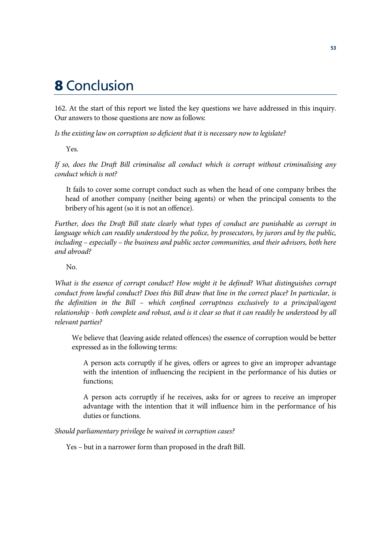### **8** Conclusion

162. At the start of this report we listed the key questions we have addressed in this inquiry. Our answers to those questions are now as follows:

*Is the existing law on corruption so deficient that it is necessary now to legislate?* 

Yes.

*If so, does the Draft Bill criminalise all conduct which is corrupt without criminalising any conduct which is not?* 

It fails to cover some corrupt conduct such as when the head of one company bribes the head of another company (neither being agents) or when the principal consents to the bribery of his agent (so it is not an offence).

*Further, does the Draft Bill state clearly what types of conduct are punishable as corrupt in language which can readily understood by the police, by prosecutors, by jurors and by the public, including – especially – the business and public sector communities, and their advisors, both here and abroad?* 

 $N<sub>0</sub>$ 

*What is the essence of corrupt conduct? How might it be defined? What distinguishes corrupt conduct from lawful conduct? Does this Bill draw that line in the correct place? In particular, is the definition in the Bill – which confined corruptness exclusively to a principal/agent relationship - both complete and robust, and is it clear so that it can readily be understood by all relevant parties?* 

We believe that (leaving aside related offences) the essence of corruption would be better expressed as in the following terms:

A person acts corruptly if he gives, offers or agrees to give an improper advantage with the intention of influencing the recipient in the performance of his duties or functions;

A person acts corruptly if he receives, asks for or agrees to receive an improper advantage with the intention that it will influence him in the performance of his duties or functions.

*Should parliamentary privilege be waived in corruption cases?* 

Yes – but in a narrower form than proposed in the draft Bill.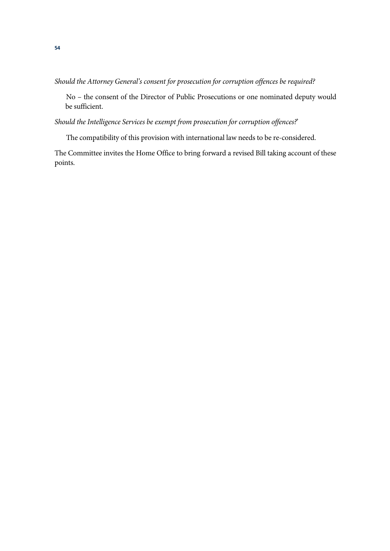*Should the Attorney General's consent for prosecution for corruption offences be required?* 

No – the consent of the Director of Public Prosecutions or one nominated deputy would be sufficient.

*Should the Intelligence Services be exempt from prosecution for corruption offences?*'

The compatibility of this provision with international law needs to be re-considered.

The Committee invites the Home Office to bring forward a revised Bill taking account of these points.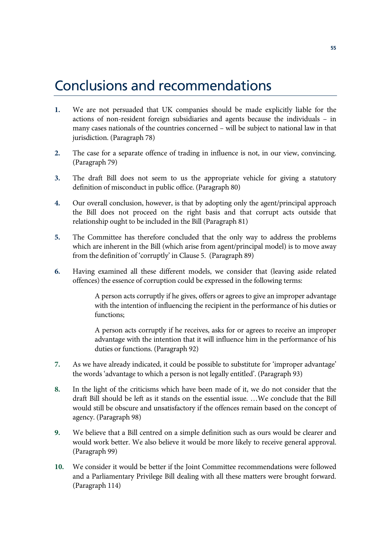## Conclusions and recommendations

- **1.** We are not persuaded that UK companies should be made explicitly liable for the actions of non-resident foreign subsidiaries and agents because the individuals – in many cases nationals of the countries concerned – will be subject to national law in that jurisdiction. (Paragraph 78)
- **2.** The case for a separate offence of trading in influence is not, in our view, convincing. (Paragraph 79)
- **3.** The draft Bill does not seem to us the appropriate vehicle for giving a statutory definition of misconduct in public office. (Paragraph 80)
- **4.** Our overall conclusion, however, is that by adopting only the agent/principal approach the Bill does not proceed on the right basis and that corrupt acts outside that relationship ought to be included in the Bill (Paragraph 81)
- **5.** The Committee has therefore concluded that the only way to address the problems which are inherent in the Bill (which arise from agent/principal model) is to move away from the definition of 'corruptly' in Clause 5. (Paragraph 89)
- **6.** Having examined all these different models, we consider that (leaving aside related offences) the essence of corruption could be expressed in the following terms:

A person acts corruptly if he gives, offers or agrees to give an improper advantage with the intention of influencing the recipient in the performance of his duties or functions;

A person acts corruptly if he receives, asks for or agrees to receive an improper advantage with the intention that it will influence him in the performance of his duties or functions. (Paragraph 92)

- **7.** As we have already indicated, it could be possible to substitute for 'improper advantage' the words 'advantage to which a person is not legally entitled'. (Paragraph 93)
- **8.** In the light of the criticisms which have been made of it, we do not consider that the draft Bill should be left as it stands on the essential issue. …We conclude that the Bill would still be obscure and unsatisfactory if the offences remain based on the concept of agency. (Paragraph 98)
- **9.** We believe that a Bill centred on a simple definition such as ours would be clearer and would work better. We also believe it would be more likely to receive general approval. (Paragraph 99)
- **10.** We consider it would be better if the Joint Committee recommendations were followed and a Parliamentary Privilege Bill dealing with all these matters were brought forward. (Paragraph 114)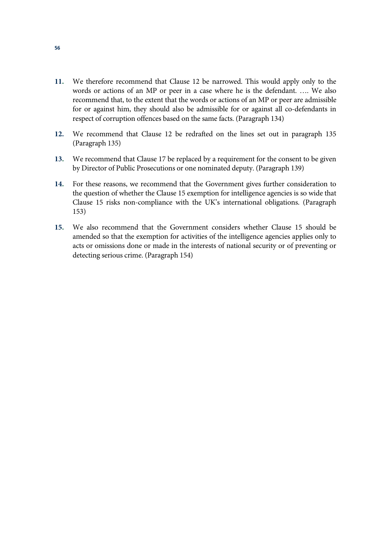- **11.** We therefore recommend that Clause 12 be narrowed. This would apply only to the words or actions of an MP or peer in a case where he is the defendant. …. We also recommend that, to the extent that the words or actions of an MP or peer are admissible for or against him, they should also be admissible for or against all co-defendants in respect of corruption offences based on the same facts. (Paragraph 134)
- **12.** We recommend that Clause 12 be redrafted on the lines set out in paragraph 135 (Paragraph 135)
- **13.** We recommend that Clause 17 be replaced by a requirement for the consent to be given by Director of Public Prosecutions or one nominated deputy. (Paragraph 139)
- **14.** For these reasons, we recommend that the Government gives further consideration to the question of whether the Clause 15 exemption for intelligence agencies is so wide that Clause 15 risks non-compliance with the UK's international obligations. (Paragraph 153)
- **15.** We also recommend that the Government considers whether Clause 15 should be amended so that the exemption for activities of the intelligence agencies applies only to acts or omissions done or made in the interests of national security or of preventing or detecting serious crime. (Paragraph 154)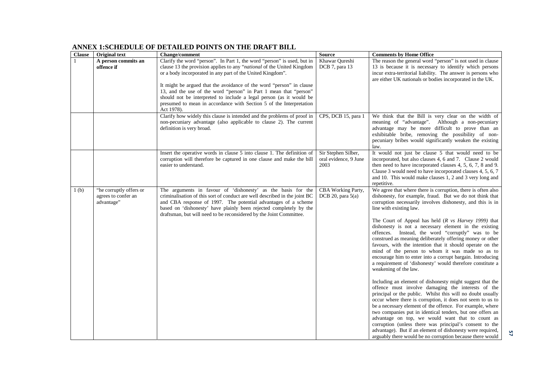| <b>Clause</b>    | <b>Original text</b>    | <b>Change/comment</b>                                                                                                                         | <b>Source</b>         | <b>Comments by Home Office</b>                                                                           |
|------------------|-------------------------|-----------------------------------------------------------------------------------------------------------------------------------------------|-----------------------|----------------------------------------------------------------------------------------------------------|
|                  | A person commits an     | Clarify the word "person". In Part 1, the word "person" is used, but in                                                                       | Khawar Qureshi        | The reason the general word "person" is not used in clause                                               |
|                  | offence if              | clause 13 the provision applies to any " <i>national</i> of the United Kingdom                                                                | DCB 7, para 13        | 13 is because it is necessary to identify which persons                                                  |
|                  |                         | or a body incorporated in any part of the United Kingdom".                                                                                    |                       | incur extra-territorial liability. The answer is persons who                                             |
|                  |                         |                                                                                                                                               |                       | are either UK nationals or bodies incorporated in the UK.                                                |
|                  |                         | It might be argued that the avoidance of the word "person" in clause                                                                          |                       |                                                                                                          |
|                  |                         | 13, and the use of the word "person" in Part 1 mean that "person"                                                                             |                       |                                                                                                          |
|                  |                         | should not be interpreted to include a legal person (as it would be                                                                           |                       |                                                                                                          |
|                  |                         | presumed to mean in accordance with Section 5 of the Interpretation                                                                           |                       |                                                                                                          |
|                  |                         | Act 1978).                                                                                                                                    |                       |                                                                                                          |
|                  |                         | Clarify how widely this clause is intended and the problems of proof in<br>non-pecuniary advantage (also applicable to clause 2). The current | CPS, DCB 15, para 1   | We think that the Bill is very clear on the width of<br>meaning of "advantage". Although a non-pecuniary |
|                  |                         | definition is very broad.                                                                                                                     |                       | advantage may be more difficult to prove than an                                                         |
|                  |                         |                                                                                                                                               |                       | exhibitable bribe, removing the possibility of non-                                                      |
|                  |                         |                                                                                                                                               |                       | pecuniary bribes would significantly weaken the existing                                                 |
|                  |                         |                                                                                                                                               |                       | law.                                                                                                     |
|                  |                         | Insert the operative words in clause 5 into clause 1. The definition of                                                                       | Sir Stephen Silber,   | It would not just be clause 5 that would need to be                                                      |
|                  |                         | corruption will therefore be captured in one clause and make the bill                                                                         | oral evidence, 9 June | incorporated, but also clauses 4, 6 and 7. Clause 2 would                                                |
|                  |                         | easier to understand.                                                                                                                         | 2003                  | then need to have incorporated clauses 4, 5, 6, 7, 8 and 9.                                              |
|                  |                         |                                                                                                                                               |                       | Clause 3 would need to have incorporated clauses 4, 5, 6, 7                                              |
|                  |                         |                                                                                                                                               |                       | and 10. This would make clauses 1, 2 and 3 very long and                                                 |
|                  |                         |                                                                                                                                               |                       | repetitive.                                                                                              |
| 1 <sub>(b)</sub> | "he corruptly offers or | The arguments in favour of 'dishonesty' as the basis for the                                                                                  | CBA Working Party,    | We agree that where there is corruption, there is often also                                             |
|                  | agrees to confer an     | criminalisation of this sort of conduct are well described in the joint BC                                                                    | DCB 20, para $5(a)$   | dishonesty, for example, fraud. But we do not think that                                                 |
|                  | advantage"              | and CBA response of 1997. The potential advantages of a scheme                                                                                |                       | corruption necessarily involves dishonesty, and this is in                                               |
|                  |                         | based on 'dishonesty' have plainly been rejected completely by the                                                                            |                       | line with existing law.                                                                                  |
|                  |                         | draftsman, but will need to be reconsidered by the Joint Committee.                                                                           |                       | The Court of Appeal has held $(R vs\ Harvey\ 1999)$ that                                                 |
|                  |                         |                                                                                                                                               |                       | dishonesty is not a necessary element in the existing                                                    |
|                  |                         |                                                                                                                                               |                       | offences. Instead, the word "corruptly" was to be                                                        |
|                  |                         |                                                                                                                                               |                       | construed as meaning deliberately offering money or other                                                |
|                  |                         |                                                                                                                                               |                       | favours, with the intention that it should operate on the                                                |
|                  |                         |                                                                                                                                               |                       | mind of the person to whom it was made so as to                                                          |
|                  |                         |                                                                                                                                               |                       | encourage him to enter into a corrupt bargain. Introducing                                               |
|                  |                         |                                                                                                                                               |                       | a requirement of 'dishonesty' would therefore constitute a                                               |
|                  |                         |                                                                                                                                               |                       | weakening of the law.                                                                                    |
|                  |                         |                                                                                                                                               |                       |                                                                                                          |
|                  |                         |                                                                                                                                               |                       | Including an element of dishonesty might suggest that the                                                |
|                  |                         |                                                                                                                                               |                       | offence must involve damaging the interests of the                                                       |
|                  |                         |                                                                                                                                               |                       | principal or the public. Whilst this will no doubt usually                                               |
|                  |                         |                                                                                                                                               |                       | occur where there is corruption, it does not seem to us to                                               |
|                  |                         |                                                                                                                                               |                       | be a necessary element of the offence. For example, where                                                |
|                  |                         |                                                                                                                                               |                       | two companies put in identical tenders, but one offers an                                                |
|                  |                         |                                                                                                                                               |                       | advantage on top, we would want that to count as                                                         |
|                  |                         |                                                                                                                                               |                       | corruption (unless there was principal's consent to the                                                  |
|                  |                         |                                                                                                                                               |                       | advantage). But if an element of dishonesty were required,                                               |
|                  |                         |                                                                                                                                               |                       | arguably there would be no corruption because there would                                                |

#### **ANNEX 1:SCHEDULE OF DETAILED POINTS ON THE DRAFT BILL**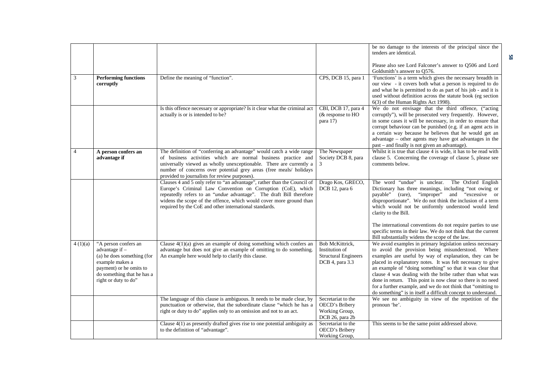|                |                                                                                                                                                                          |                                                                                                                                                                                                                                                                                                                                                 |                                                                                     | be no damage to the interests of the principal since the<br>tenders are identical.<br>Please also see Lord Falconer's answer to Q506 and Lord<br>Goldsmith's answer to Q576.                                                                                                                                                                                                                                                                                                                                                                                    |
|----------------|--------------------------------------------------------------------------------------------------------------------------------------------------------------------------|-------------------------------------------------------------------------------------------------------------------------------------------------------------------------------------------------------------------------------------------------------------------------------------------------------------------------------------------------|-------------------------------------------------------------------------------------|-----------------------------------------------------------------------------------------------------------------------------------------------------------------------------------------------------------------------------------------------------------------------------------------------------------------------------------------------------------------------------------------------------------------------------------------------------------------------------------------------------------------------------------------------------------------|
| 3              | <b>Performing functions</b><br>corruptly                                                                                                                                 | Define the meaning of "function".                                                                                                                                                                                                                                                                                                               | CPS, DCB 15, para 1                                                                 | 'Functions' is a term which gives the necessary breadth in<br>our view - it covers both what a person is required to do<br>and what he is permitted to do as part of his job - and it is<br>used without definition across the statute book (eg section<br>6(3) of the Human Rights Act 1998).                                                                                                                                                                                                                                                                  |
|                |                                                                                                                                                                          | Is this offence necessary or appropriate? Is it clear what the criminal act<br>actually is or is intended to be?                                                                                                                                                                                                                                | CBI, DCB 17, para 4<br>$&$ response to $HO$<br>para 17)                             | We do not envisage that the third offence, ("acting<br>corruptly"), will be prosecuted very frequently. However,<br>in some cases it will be necessary, in order to ensure that<br>corrupt behaviour can be punished (e.g. if an agent acts in<br>a certain way because he believes that he would get an<br>advantage - other agents may have got advantages in the<br>past - and finally is not given an advantage).                                                                                                                                           |
| $\overline{4}$ | A person confers an<br>advantage if                                                                                                                                      | The definition of "conferring an advantage" would catch a wide range<br>of business activities which are normal business practice and<br>universally viewed as wholly unexceptionable. There are currently a<br>number of concerns over potential grey areas (free meals/ holidays<br>provided to journalists for review purposes).             | The Newspaper<br>Society DCB 8, para                                                | Whilst it is true that clause 4 is wide, it has to be read with<br>clause 5. Concerning the coverage of clause 5, please see<br>comments below.                                                                                                                                                                                                                                                                                                                                                                                                                 |
|                |                                                                                                                                                                          | Clauses 4 and 5 only refer to "an advantage", rather than the Council of<br>Europe's Criminal Law Convention on Corruption (CoE), which<br>repeatedly refers to an "undue advantage". The draft Bill therefore<br>widens the scope of the offence, which would cover more ground than<br>required by the CoE and other international standards. | Drago Kos, GRECO,<br>DCB 12, para 6                                                 | The word "undue" is unclear.<br>The Oxford English<br>Dictionary has three meanings, including "not owing or<br>and "excessive" or<br>"improper"<br>payable" (rare),<br>disproportionate". We do not think the inclusion of a term<br>which would not be uniformly understood would lend<br>clarity to the Bill.                                                                                                                                                                                                                                                |
|                |                                                                                                                                                                          |                                                                                                                                                                                                                                                                                                                                                 |                                                                                     | The international conventions do not require parties to use<br>specific terms in their law. We do not think that the current<br>Bill substantially widens the scope of the law.                                                                                                                                                                                                                                                                                                                                                                                 |
| 4(1)(a)        | "A person confers an<br>advantage if -<br>(a) he does something (for<br>example makes a<br>payment) or he omits to<br>do something that he has a<br>right or duty to do" | Clause $4(1)(a)$ gives an example of doing something which confers an<br>advantage but does not give an example of omitting to do something.<br>An example here would help to clarify this clause.                                                                                                                                              | Bob McKittrick.<br>Institution of<br><b>Structural Engineers</b><br>DCB 4, para 3.3 | We avoid examples in primary legislation unless necessary<br>to avoid the provision being misunderstood. Where<br>examples are useful by way of explanation, they can be<br>placed in explanatory notes. It was felt necessary to give<br>an example of "doing something" so that it was clear that<br>clause 4 was dealing with the bribe rather than what was<br>done in return. This point is now clear so there is no need<br>for a further example, and we do not think that "omitting to<br>do something" is in itself a difficult concept to understand. |
|                |                                                                                                                                                                          | The language of this clause is ambiguous. It needs to be made clear, by<br>punctuation or otherwise, that the subordinate clause "which he has a<br>right or duty to do" applies only to an omission and not to an act.                                                                                                                         | Secretariat to the<br>OECD's Bribery<br>Working Group,<br>DCB 26, para 2b           | We see no ambiguity in view of the repetition of the<br>pronoun 'he'.                                                                                                                                                                                                                                                                                                                                                                                                                                                                                           |
|                |                                                                                                                                                                          | Clause $4(1)$ as presently drafted gives rise to one potential ambiguity as<br>to the definition of "advantage".                                                                                                                                                                                                                                | Secretariat to the<br>OECD's Bribery<br>Working Group,                              | This seems to be the same point addressed above.                                                                                                                                                                                                                                                                                                                                                                                                                                                                                                                |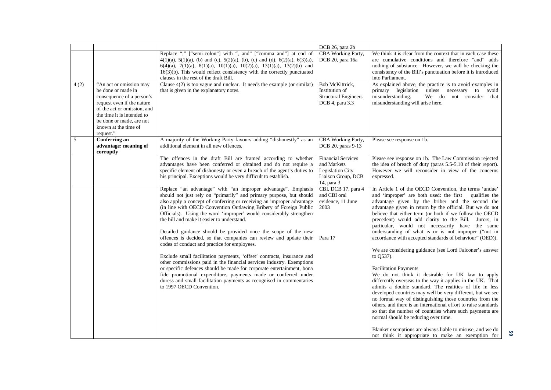|      |                                                                                                                                                                                                                                        |                                                                                                                                                                                                                                                                                                                                                                                                         | DCB 26, para 2b                                                                                         |                                                                                                                                                                                                                                                                                                                                                                                                                                                                                                                                                                                                                                                |
|------|----------------------------------------------------------------------------------------------------------------------------------------------------------------------------------------------------------------------------------------|---------------------------------------------------------------------------------------------------------------------------------------------------------------------------------------------------------------------------------------------------------------------------------------------------------------------------------------------------------------------------------------------------------|---------------------------------------------------------------------------------------------------------|------------------------------------------------------------------------------------------------------------------------------------------------------------------------------------------------------------------------------------------------------------------------------------------------------------------------------------------------------------------------------------------------------------------------------------------------------------------------------------------------------------------------------------------------------------------------------------------------------------------------------------------------|
|      |                                                                                                                                                                                                                                        | Replace ";" ["semi-colon"] with ", and" ["comma and"] at end of<br>$4(1)(a)$ , $5(1)(a)$ , (b) and (c), $5(2)(a)$ , (b), (c) and (d), $6(2)(a)$ , $6(3)(a)$ ,<br>$6(4)(a)$ , $7(1)(a)$ , $8(1)(a)$ , $10(1)(a)$ , $10(2)(a)$ , $13(1)(a)$ , $13(2)(b)$ and<br>$16(3)(b)$ . This would reflect consistency with the correctly punctuated<br>clauses in the rest of the draft Bill.                       | CBA Working Party,<br>DCB 20, para 16a                                                                  | We think it is clear from the context that in each case these<br>are cumulative conditions and therefore "and" adds<br>nothing of substance. However, we will be checking the<br>consistency of the Bill's punctuation before it is introduced<br>into Parliament.                                                                                                                                                                                                                                                                                                                                                                             |
| 4(2) | "An act or omission may<br>be done or made in<br>consequence of a person's<br>request even if the nature<br>of the act or omission, and<br>the time it is intended to<br>be done or made, are not<br>known at the time of<br>request." | Clause $4(2)$ is too vague and unclear. It needs the example (or similar)<br>that is given in the explanatory notes.                                                                                                                                                                                                                                                                                    | Bob McKittrick,<br>Institution of<br><b>Structural Engineers</b><br>DCB 4, para 3.3                     | As explained above, the practice is to avoid examples in<br>primary legislation<br>unless necessary to<br>avoid<br>We do not consider that<br>misunderstanding.<br>misunderstanding will arise here.                                                                                                                                                                                                                                                                                                                                                                                                                                           |
| 5    | Conferring an<br>advantage: meaning of<br>corruptly                                                                                                                                                                                    | A majority of the Working Party favours adding "dishonestly" as an<br>additional element in all new offences.                                                                                                                                                                                                                                                                                           | CBA Working Party,<br>DCB 20, paras 9-13                                                                | Please see response on 1b.                                                                                                                                                                                                                                                                                                                                                                                                                                                                                                                                                                                                                     |
|      |                                                                                                                                                                                                                                        | The offences in the draft Bill are framed according to whether<br>advantages have been conferred or obtained and do not require a<br>specific element of dishonesty or even a breach of the agent's duties to<br>his principal. Exceptions would be very difficult to establish.                                                                                                                        | <b>Financial Services</b><br>and Markets<br><b>Legislation City</b><br>Liaison Group, DCB<br>14, para 3 | Please see response on 1b. The Law Commission rejected<br>the idea of breach of duty (paras 5.5-5.10 of their report).<br>However we will reconsider in view of the concerns<br>expressed.                                                                                                                                                                                                                                                                                                                                                                                                                                                     |
|      |                                                                                                                                                                                                                                        | Replace "an advantage" with "an improper advantage". Emphasis<br>should not just rely on "primarily" and primary purpose, but should<br>also apply a concept of conferring or receiving an improper advantage<br>(in line with OECD Convention Outlawing Bribery of Foreign Public<br>Officials). Using the word 'improper' would considerably strengthen<br>the bill and make it easier to understand. | CBI, DCB 17, para 4<br>and CBI oral<br>evidence, 11 June<br>2003                                        | In Article 1 of the OECD Convention, the terms 'undue'<br>and 'improper' are both used: the first<br>qualifies the<br>advantage given by the briber and the second the<br>advantage given in return by the official. But we do not<br>believe that either term (or both if we follow the OECD<br>precedent) would add clarity to the Bill. Jurors, in<br>particular, would not necessarily have the same                                                                                                                                                                                                                                       |
|      |                                                                                                                                                                                                                                        | Detailed guidance should be provided once the scope of the new<br>offences is decided, so that companies can review and update their<br>codes of conduct and practice for employees.                                                                                                                                                                                                                    | Para 17                                                                                                 | understanding of what is or is not improper ("not in<br>accordance with accepted standards of behaviour" (OED)).                                                                                                                                                                                                                                                                                                                                                                                                                                                                                                                               |
|      |                                                                                                                                                                                                                                        | Exclude small facilitation payments, 'offset' contracts, insurance and<br>other commissions paid in the financial services industry. Exemptions<br>or specific defences should be made for corporate entertainment, bona<br>fide promotional expenditure, payments made or conferred under<br>duress and small facilitation payments as recognised in commentaries<br>to 1997 OECD Convention.          |                                                                                                         | We are considering guidance (see Lord Falconer's answer<br>to Q537).<br><b>Facilitation Payments</b><br>We do not think it desirable for UK law to apply<br>differently overseas to the way it applies in the UK. That<br>admits a double standard. The realities of life in less<br>developed countries may well be very different, but we see<br>no formal way of distinguishing those countries from the<br>others, and there is an international effort to raise standards<br>so that the number of countries where such payments are<br>normal should be reducing over time.<br>Blanket exemptions are always liable to misuse, and we do |
|      |                                                                                                                                                                                                                                        |                                                                                                                                                                                                                                                                                                                                                                                                         |                                                                                                         | not think it appropriate to make an exemption for                                                                                                                                                                                                                                                                                                                                                                                                                                                                                                                                                                                              |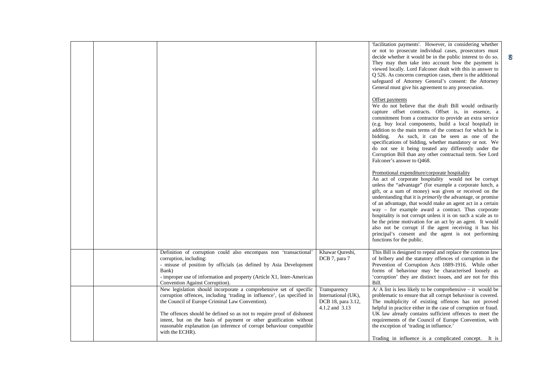|                                                                                                                                                                                                                                                                                                                                                                                                                                             |                                                                             | 'facilitation payments'. However, in considering whether<br>or not to prosecute individual cases, prosecutors must<br>decide whether it would be in the public interest to do so.<br>They may then take into account how the payment is<br>viewed locally. Lord Falconer dealt with this in answer to<br>Q 526. As concerns corruption cases, there is the additional<br>safeguard of Attorney General's consent: the Attorney<br>General must give his agreement to any prosecution.<br>Offset payments<br>We do not believe that the draft Bill would ordinarily<br>capture offset contracts. Offset is, in essence, a<br>commitment from a contractor to provide an extra service<br>(e.g. buy local components, build a local hospital) in<br>addition to the main terms of the contract for which he is<br>bidding. As such, it can be seen as one of the<br>specifications of bidding, whether mandatory or not. We<br>do not see it being treated any differently under the<br>Corruption Bill than any other contractual term. See Lord<br>Falconer's answer to Q468.<br>Promotional expenditure/corporate hospitality<br>An act of corporate hospitality would not be corrupt<br>unless the "advantage" (for example a corporate lunch, a<br>gift, or a sum of money) was given or received on the<br>understanding that it is <i>primarily</i> the advantage, or promise<br>of an advantage, that would make an agent act in a certain<br>way – for example award a contract. Thus corporate<br>hospitality is not corrupt unless it is on such a scale as to<br>be the prime motivation for an act by an agent. It would |
|---------------------------------------------------------------------------------------------------------------------------------------------------------------------------------------------------------------------------------------------------------------------------------------------------------------------------------------------------------------------------------------------------------------------------------------------|-----------------------------------------------------------------------------|-------------------------------------------------------------------------------------------------------------------------------------------------------------------------------------------------------------------------------------------------------------------------------------------------------------------------------------------------------------------------------------------------------------------------------------------------------------------------------------------------------------------------------------------------------------------------------------------------------------------------------------------------------------------------------------------------------------------------------------------------------------------------------------------------------------------------------------------------------------------------------------------------------------------------------------------------------------------------------------------------------------------------------------------------------------------------------------------------------------------------------------------------------------------------------------------------------------------------------------------------------------------------------------------------------------------------------------------------------------------------------------------------------------------------------------------------------------------------------------------------------------------------------------------------------------------------------------------------------------------------------------|
|                                                                                                                                                                                                                                                                                                                                                                                                                                             |                                                                             | also not be corrupt if the agent receiving it has his<br>principal's consent and the agent is not performing<br>functions for the public.                                                                                                                                                                                                                                                                                                                                                                                                                                                                                                                                                                                                                                                                                                                                                                                                                                                                                                                                                                                                                                                                                                                                                                                                                                                                                                                                                                                                                                                                                           |
| Definition of corruption could also encompass non 'transactional'<br>corruption, including:<br>- misuse of position by officials (as defined by Asia Development<br>Bank)<br>- improper use of information and property (Article X1, Inter-American<br>Convention Against Corruption).                                                                                                                                                      | Khawar Qureshi,<br>DCB 7, para 7                                            | This Bill is designed to repeal and replace the common law<br>of bribery and the statutory offences of corruption in the<br>Prevention of Corruption Acts 1889-1916. While other<br>forms of behaviour may be characterised loosely as<br>'corruption' they are distinct issues, and are not for this<br>Bill.                                                                                                                                                                                                                                                                                                                                                                                                                                                                                                                                                                                                                                                                                                                                                                                                                                                                                                                                                                                                                                                                                                                                                                                                                                                                                                                      |
| New legislation should incorporate a comprehensive set of specific<br>corruption offences, including 'trading in influence', (as specified in<br>the Council of Europe Criminal Law Convention).<br>The offences should be defined so as not to require proof of dishonest<br>intent, but on the basis of payment or other gratification without<br>reasonable explanation (an inference of corrupt behaviour compatible<br>with the ECHR). | Transparency<br>International (UK),<br>DCB 18, para 3.12,<br>4.1.2 and 3.13 | $A$ / A list is less likely to be comprehensive – it would be<br>problematic to ensure that all corrupt behaviour is covered.<br>The multiplicity of existing offences has not proved<br>helpful in practice either in the case of corruption or fraud.<br>UK law already contains sufficient offences to meet the<br>requirements of the Council of Europe Convention, with<br>the exception of 'trading in influence.'<br>Trading in influence is a complicated concept. It is                                                                                                                                                                                                                                                                                                                                                                                                                                                                                                                                                                                                                                                                                                                                                                                                                                                                                                                                                                                                                                                                                                                                                    |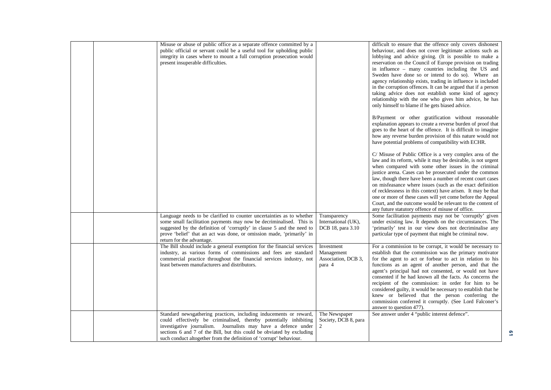| Misuse or abuse of public office as a separate offence committed by a<br>public official or servant could be a useful tool for upholding public<br>integrity in cases where to mount a full corruption prosecution would<br>present insuperable difficulties.                                                                                             |                                                           | difficult to ensure that the offence only covers dishonest<br>behaviour, and does not cover legitimate actions such as<br>lobbying and advice giving. (It is possible to make a<br>reservation on the Council of Europe provision on trading<br>in influence - many countries including the US and<br>Sweden have done so or intend to do so). Where an<br>agency relationship exists, trading in influence is included<br>in the corruption offences. It can be argued that if a person<br>taking advice does not establish some kind of agency<br>relationship with the one who gives him advice, he has<br>only himself to blame if he gets biased advice. |
|-----------------------------------------------------------------------------------------------------------------------------------------------------------------------------------------------------------------------------------------------------------------------------------------------------------------------------------------------------------|-----------------------------------------------------------|---------------------------------------------------------------------------------------------------------------------------------------------------------------------------------------------------------------------------------------------------------------------------------------------------------------------------------------------------------------------------------------------------------------------------------------------------------------------------------------------------------------------------------------------------------------------------------------------------------------------------------------------------------------|
|                                                                                                                                                                                                                                                                                                                                                           |                                                           | B/Payment or other gratification without reasonable<br>explanation appears to create a reverse burden of proof that<br>goes to the heart of the offence. It is difficult to imagine<br>how any reverse burden provision of this nature would not<br>have potential problems of compatibility with ECHR.                                                                                                                                                                                                                                                                                                                                                       |
|                                                                                                                                                                                                                                                                                                                                                           |                                                           | C/ Misuse of Public Office is a very complex area of the<br>law and its reform, while it may be desirable, is not urgent<br>when compared with some other issues in the criminal<br>justice arena. Cases can be prosecuted under the common<br>law, though there have been a number of recent court cases<br>on misfeasance where issues (such as the exact definition<br>of recklessness in this context) have arisen. It may be that<br>one or more of these cases will yet come before the Appeal<br>Court, and the outcome would be relevant to the content of<br>any future statutory offence of misuse of office.                                       |
| Language needs to be clarified to counter uncertainties as to whether<br>some small facilitation payments may now be decriminalised. This is<br>suggested by the definition of 'corruptly' in clause 5 and the need to<br>prove 'belief' that an act was done, or omission made, 'primarily' in<br>return for the advantage.                              | Transparency<br>International (UK),<br>DCB 18, para 3.10  | Some facilitation payments may not be 'corruptly' given<br>under existing law. It depends on the circumstances. The<br>'primarily' test in our view does not decriminalise any<br>particular type of payment that might be criminal now.                                                                                                                                                                                                                                                                                                                                                                                                                      |
| The Bill should include a general exemption for the financial services<br>industry, as various forms of commissions and fees are standard<br>commercial practice throughout the financial services industry, not<br>least between manufacturers and distributors.                                                                                         | Investment<br>Management<br>Association, DCB 3,<br>para 4 | For a commission to be corrupt, it would be necessary to<br>establish that the commission was the primary motivator<br>for the agent to act or forbear to act in relation to his<br>functions as an agent of another person, and that the<br>agent's principal had not consented, or would not have<br>consented if he had known all the facts. As concerns the<br>recipient of the commission: in order for him to be<br>considered guilty, it would be necessary to establish that he<br>knew or believed that the person conferring the<br>commission conferred it corruptly. (See Lord Falconer's<br>answer to question 477).                             |
| Standard newsgathering practices, including inducements or reward,<br>could effectively be criminalised, thereby potentially inhibiting<br>investigative journalism. Journalists may have a defence under<br>sections 6 and 7 of the Bill, but this could be obviated by excluding<br>such conduct altogether from the definition of 'corrupt' behaviour. | The Newspaper<br>Society, DCB 8, para<br>2                | See answer under 4 "public interest defence".                                                                                                                                                                                                                                                                                                                                                                                                                                                                                                                                                                                                                 |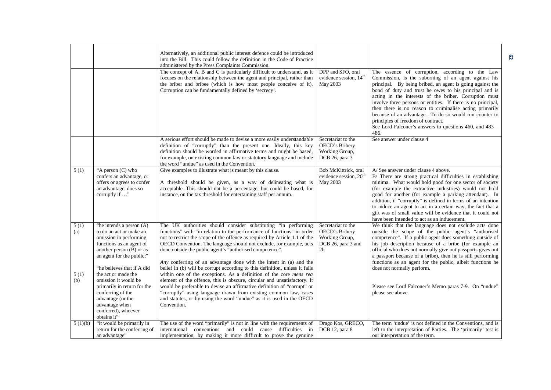|                            |                                                                                                                                                                                                                                                                                                                          | Alternatively, an additional public interest defence could be introduced<br>into the Bill. This could follow the definition in the Code of Practice<br>administered by the Press Complaints Commission.<br>The concept of A, B and C is particularly difficult to understand, as it<br>focuses on the relationship between the agent and principal, rather than<br>the briber and bribee (which is how most people conceive of it).<br>Corruption can be fundamentally defined by 'secrecy'.                                                                                                                                                                                                                                                                                                                                                                                            | DPP and SFO, oral<br>evidence session, 14 <sup>th</sup><br>May 2003                            | The essence of corruption, according to the Law<br>Commission, is the suborning of an agent against his<br>principal. By being bribed, an agent is going against the<br>bond of duty and trust he owes to his principal and is<br>acting in the interests of the briber. Corruption must<br>involve three persons or entities. If there is no principal,<br>then there is no reason to criminalise acting primarily<br>because of an advantage. To do so would run counter to<br>principles of freedom of contract.<br>See Lord Falconer's answers to questions 460, and 483 -<br>486. |
|----------------------------|--------------------------------------------------------------------------------------------------------------------------------------------------------------------------------------------------------------------------------------------------------------------------------------------------------------------------|-----------------------------------------------------------------------------------------------------------------------------------------------------------------------------------------------------------------------------------------------------------------------------------------------------------------------------------------------------------------------------------------------------------------------------------------------------------------------------------------------------------------------------------------------------------------------------------------------------------------------------------------------------------------------------------------------------------------------------------------------------------------------------------------------------------------------------------------------------------------------------------------|------------------------------------------------------------------------------------------------|----------------------------------------------------------------------------------------------------------------------------------------------------------------------------------------------------------------------------------------------------------------------------------------------------------------------------------------------------------------------------------------------------------------------------------------------------------------------------------------------------------------------------------------------------------------------------------------|
|                            |                                                                                                                                                                                                                                                                                                                          | A serious effort should be made to devise a more easily understandable<br>definition of "corruptly" than the present one. Ideally, this key<br>definition should be worded in affirmative terms and might be based,<br>for example, on existing common law or statutory language and include<br>the word "undue" as used in the Convention.                                                                                                                                                                                                                                                                                                                                                                                                                                                                                                                                             | Secretariat to the<br>OECD's Bribery<br>Working Group,<br>DCB 26, para 3                       | See answer under clause 4                                                                                                                                                                                                                                                                                                                                                                                                                                                                                                                                                              |
| 5(1)                       | "A person (C) who<br>confers an advantage, or<br>offers or agrees to confer<br>an advantage, does so<br>corruptly if "                                                                                                                                                                                                   | Give examples to illustrate what is meant by this clause.<br>A threshold should be given, as a way of delineating what is<br>acceptable. This should not be a percentage, but could be based, for<br>instance, on the tax threshold for entertaining staff per annum.                                                                                                                                                                                                                                                                                                                                                                                                                                                                                                                                                                                                                   | Bob McKittrick, oral<br>evidence session, 20 <sup>th</sup><br>May 2003                         | A/See answer under clause 4 above.<br>B/ There are strong practical difficulties in establishing<br>minima. What would hold good for one sector of society<br>(for example the extractive industries) would not hold<br>good for another (for example a parking attendant). In<br>addition, if "corruptly" is defined in terms of an intention<br>to induce an agent to act in a certain way, the fact that a<br>gift was of small value will be evidence that it could not<br>have been intended to act as an inducement.                                                             |
| 5(1)<br>(a)<br>5(1)<br>(b) | "he intends a person (A)<br>to do an act or make an<br>omission in performing<br>functions as an agent of<br>another person (B) or as<br>an agent for the public;"<br>"he believes that if A did<br>the act or made the<br>omission it would be<br>primarily in return for the<br>conferring of the<br>advantage (or the | The UK authorities should consider substituting "in performing<br>functions" with "in relation to the performance of functions" in order<br>not to restrict the scope of the offence as required by Article 1.1 of the<br>OECD Convention. The language should not exclude, for example, acts<br>done outside the public agent's "authorised competence".<br>Any conferring of an advantage done with the intent in (a) and the<br>belief in (b) will be corrupt according to this definition, unless it falls<br>within one of the exceptions. As a definition of the core mens rea<br>element of the offence, this is obscure, circular and unsatisfactory. It<br>would be preferable to devise an affirmative definition of "corrupt" or<br>"corruptly" using language drawn from existing common law, cases<br>and statutes, or by using the word "undue" as it is used in the OECD | Secretariat to the<br>OECD's Bribery<br>Working Group,<br>DCB 26, para 3 and<br>2 <sub>b</sub> | We think that the language does not exclude acts done<br>outside the scope of the public agent's "authorised<br>competence". If a public agent does something outside of<br>his job description because of a bribe (for example an<br>official who does not normally give out passports gives out<br>a passport because of a bribe), then he is still performing<br>functions as an agent for the public, albeit functions he<br>does not normally perform.<br>Please see Lord Falconer's Memo paras 7-9. On "undue"<br>please see above.                                              |
| 5(1)(b)                    | advantage when<br>conferred), whoever<br>obtains it"<br>"it would be primarily in<br>return for the conferring of<br>an advantage"                                                                                                                                                                                       | Convention.<br>The use of the word "primarily" is not in line with the requirements of<br>international conventions and could cause difficulties in<br>implementation, by making it more difficult to prove the genuine                                                                                                                                                                                                                                                                                                                                                                                                                                                                                                                                                                                                                                                                 | Drago Kos, GRECO,<br>DCB 12, para 8                                                            | The term 'undue' is not defined in the Conventions, and is<br>left to the interpretation of Parties. The 'primarily' test is<br>our interpretation of the term.                                                                                                                                                                                                                                                                                                                                                                                                                        |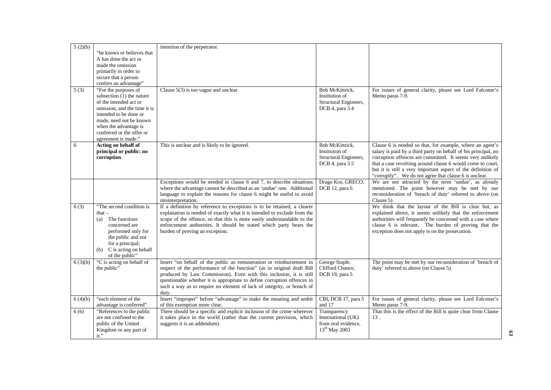| 5(2)(b) |                                                      | intention of the perpetrator.                                                                            |                               |                                                                              |
|---------|------------------------------------------------------|----------------------------------------------------------------------------------------------------------|-------------------------------|------------------------------------------------------------------------------|
|         | "he knows or believes that                           |                                                                                                          |                               |                                                                              |
|         | A has done the act or                                |                                                                                                          |                               |                                                                              |
|         | made the omission                                    |                                                                                                          |                               |                                                                              |
|         | primarily in order to                                |                                                                                                          |                               |                                                                              |
|         | secure that a person                                 |                                                                                                          |                               |                                                                              |
|         | confers an advantage"                                |                                                                                                          |                               |                                                                              |
| 5(3)    | "For the purposes of                                 | Clause $5(3)$ is too vague and unclear                                                                   | Bob McKittrick.               | For issues of general clarity, please see Lord Falconer's                    |
|         | subsection (1) the nature                            |                                                                                                          | Institution of                | Memo paras 7-9.                                                              |
|         | of the intended act or                               |                                                                                                          | Structural Engineers,         |                                                                              |
|         | omission, and the time it is                         |                                                                                                          | DCB 4, para 3.4               |                                                                              |
|         | intended to be done or                               |                                                                                                          |                               |                                                                              |
|         | made, need not be known                              |                                                                                                          |                               |                                                                              |
|         | when the advantage is                                |                                                                                                          |                               |                                                                              |
|         | conferred or the offer or                            |                                                                                                          |                               |                                                                              |
|         | agreement is made."                                  |                                                                                                          |                               |                                                                              |
| 6       | Acting on behalf of                                  | This is unclear and is likely to be ignored.                                                             | Bob McKittrick.               | Clause 6 is needed so that, for example, where an agent's                    |
|         | principal or public: no                              |                                                                                                          | Institution of                | salary is paid by a third party on behalf of his principal, no               |
|         | corruption                                           |                                                                                                          | Structural Engineers,         | corruption offences are committed. It seems very unlikely                    |
|         |                                                      |                                                                                                          | DCB 4, para 3.5               | that a case revolving around clause 6 would come to court,                   |
|         |                                                      |                                                                                                          |                               | but it is still a very important aspect of the definition of                 |
|         |                                                      |                                                                                                          |                               | "corruptly". We do not agree that clause 6 is unclear.                       |
|         |                                                      | Exceptions would be needed in clause 6 and 7, to describe situations                                     | Drago Kos, GRECO,             | We are not attracted by the term 'undue', as already                         |
|         |                                                      | where the advantage cannot be described as an 'undue' one. Additional                                    | DCB 12, para 6                | mentioned. The point however may be met by our                               |
|         |                                                      | language to explain the reasons for clause 6 might be useful to avoid                                    |                               | reconsideration of 'breach of duty' referred to above (on                    |
|         |                                                      | misinterpretation.                                                                                       |                               | Clause 5).                                                                   |
| 6(3)    | "The second condition is                             | If a definition by reference to exceptions is to be retained, a clearer                                  |                               | We think that the layout of the Bill is clear but, as                        |
|         | that $-$                                             | explanation is needed of exactly what it is intended to exclude from the                                 |                               | explained above, it seems unlikely that the enforcement                      |
|         | The functions<br>(a)                                 | scope of the offence, so that this is more easily understandable to the                                  |                               | authorities will frequently be concerned with a case where                   |
|         | concerned are                                        | enforcement authorities. It should be stated which party bears the                                       |                               | clause 6 is relevant. The burden of proving that the                         |
|         | performed only for                                   | burden of proving an exception.                                                                          |                               | exception does not apply is on the prosecution.                              |
|         | the public and not                                   |                                                                                                          |                               |                                                                              |
|         | for a principal;                                     |                                                                                                          |                               |                                                                              |
|         | (b) C is acting on behalf                            |                                                                                                          |                               |                                                                              |
|         | of the public"                                       |                                                                                                          |                               |                                                                              |
| 6(3)(b) | "C is acting on behalf of                            | Insert "on behalf of the public as remuneration or reimbursement in                                      | George Staple,                | The point may be met by our reconsideration of 'breach of                    |
|         | the public"                                          | respect of the performance of the function" (as in original draft Bill                                   | Clifford Chance,              | duty' referred to above (on Clause 5).                                       |
|         |                                                      | produced by Law Commission). Even with this inclusion, it is still                                       | DCB 19, para 5                |                                                                              |
|         |                                                      | questionable whether it is appropriate to define corruption offences in                                  |                               |                                                                              |
|         |                                                      | such a way as to require no element of lack of integrity, or breach of                                   |                               |                                                                              |
|         |                                                      | duty.                                                                                                    |                               |                                                                              |
| 6(4)(b) | "each element of the                                 | Insert "improper" before "advantage" to make the meaning and ambit                                       | CBI, DCB 17, para 5<br>and 17 | For issues of general clarity, please see Lord Falconer's<br>Memo paras 7-9. |
|         | advantage is conferred"<br>"References to the public | of this exemption more clear.<br>There should be a specific and explicit inclusion of the crime wherever | Transparency                  | That this is the effect of the Bill is quite clear from Clause               |
| 6(6)    | are not confined to the                              | it takes place in the world (rather than the current provision, which                                    | International (UK)            | 13.                                                                          |
|         | public of the United                                 | suggests it is an addendum).                                                                             | from oral evidence,           |                                                                              |
|         | Kingdom or any part of                               |                                                                                                          | $13^{th}$ May 2003            |                                                                              |
|         | $it.$ "                                              |                                                                                                          |                               |                                                                              |
|         |                                                      |                                                                                                          |                               |                                                                              |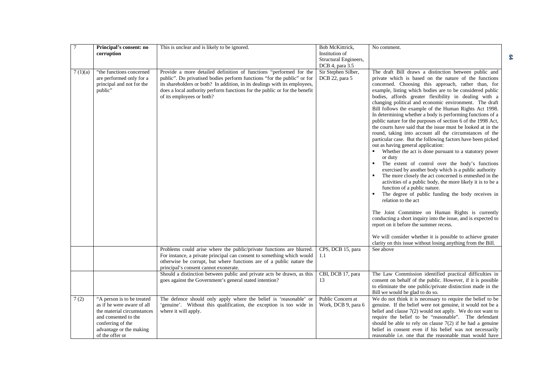| $\overline{7}$ | Principal's consent: no<br>corruption                                                                                                                                             | This is unclear and is likely to be ignored.                                                                                                                                                                                                                                                                                           | Bob McKittrick,<br>Institution of<br>Structural Engineers,<br>DCB 4, para 3.5 | No comment.                                                                                                                                                                                                                                                                                                                                                                                                                                                                                                                                                                                                                                                                                                                                                                                                                                                                                                                                                                                                                                                                                                                                                                                                                                                                                                                                                                                                                                                                                   |
|----------------|-----------------------------------------------------------------------------------------------------------------------------------------------------------------------------------|----------------------------------------------------------------------------------------------------------------------------------------------------------------------------------------------------------------------------------------------------------------------------------------------------------------------------------------|-------------------------------------------------------------------------------|-----------------------------------------------------------------------------------------------------------------------------------------------------------------------------------------------------------------------------------------------------------------------------------------------------------------------------------------------------------------------------------------------------------------------------------------------------------------------------------------------------------------------------------------------------------------------------------------------------------------------------------------------------------------------------------------------------------------------------------------------------------------------------------------------------------------------------------------------------------------------------------------------------------------------------------------------------------------------------------------------------------------------------------------------------------------------------------------------------------------------------------------------------------------------------------------------------------------------------------------------------------------------------------------------------------------------------------------------------------------------------------------------------------------------------------------------------------------------------------------------|
| 7(1)(a)        | "the functions concerned<br>are performed only for a<br>principal and not for the<br>public"                                                                                      | Provide a more detailed definition of functions "performed for the<br>public". Do privatised bodies perform functions "for the public" or for<br>its shareholders or both? In addition, in its dealings with its employees,<br>does a local authority perform functions for the public or for the benefit<br>of its employees or both? | Sir Stephen Silber,<br>DCB 22, para 5                                         | The draft Bill draws a distinction between public and<br>private which is based on the nature of the functions<br>concerned. Choosing this approach, rather than, for<br>example, listing which bodies are to be considered public<br>bodies, affords greater flexibility in dealing with a<br>changing political and economic environment. The draft<br>Bill follows the example of the Human Rights Act 1998.<br>In determining whether a body is performing functions of a<br>public nature for the purposes of section 6 of the 1998 Act,<br>the courts have said that the issue must be looked at in the<br>round, taking into account all the circumstances of the<br>particular case. But the following factors have been picked<br>out as having general application:<br>Whether the act is done pursuant to a statutory power<br>or duty<br>The extent of control over the body's functions<br>exercised by another body which is a public authority<br>The more closely the act concerned is enmeshed in the<br>activities of a public body, the more likely it is to be a<br>function of a public nature.<br>The degree of public funding the body receives in<br>relation to the act<br>The Joint Committee on Human Rights is currently<br>conducting a short inquiry into the issue, and is expected to<br>report on it before the summer recess.<br>We will consider whether it is possible to achieve greater<br>clarity on this issue without losing anything from the Bill. |
|                |                                                                                                                                                                                   | Problems could arise where the public/private functions are blurred.<br>For instance, a private principal can consent to something which would<br>otherwise be corrupt, but where functions are of a public nature the<br>principal's consent cannot exonerate.                                                                        | CPS, DCB 15, para<br>1.1                                                      | See above                                                                                                                                                                                                                                                                                                                                                                                                                                                                                                                                                                                                                                                                                                                                                                                                                                                                                                                                                                                                                                                                                                                                                                                                                                                                                                                                                                                                                                                                                     |
|                |                                                                                                                                                                                   | Should a distinction between public and private acts be drawn, as this<br>goes against the Government's general stated intention?                                                                                                                                                                                                      | CBI, DCB 17, para<br>13                                                       | The Law Commission identified practical difficulties in<br>consent on behalf of the public. However, if it is possible<br>to eliminate the one public/private distinction made in the<br>Bill we would be glad to do so.                                                                                                                                                                                                                                                                                                                                                                                                                                                                                                                                                                                                                                                                                                                                                                                                                                                                                                                                                                                                                                                                                                                                                                                                                                                                      |
| 7(2)           | "A person is to be treated<br>as if he were aware of all<br>the material circumstances<br>and consented to the<br>conferring of the<br>advantage or the making<br>of the offer or | The defence should only apply where the belief is 'reasonable' or<br>'genuine'. Without this qualification, the exception is too wide in<br>where it will apply.                                                                                                                                                                       | Public Concern at<br>Work, DCB 9, para 6                                      | We do not think it is necessary to require the belief to be<br>genuine. If the belief were not genuine, it would not be a<br>belief and clause $7(2)$ would not apply. We do not want to<br>require the belief to be "reasonable". The defendant<br>should be able to rely on clause $7(2)$ if he had a genuine<br>belief in consent even if his belief was not necessarily<br>reasonable <i>i.e.</i> one that the reasonable man would have                                                                                                                                                                                                                                                                                                                                                                                                                                                                                                                                                                                                                                                                                                                                                                                                                                                                                                                                                                                                                                                  |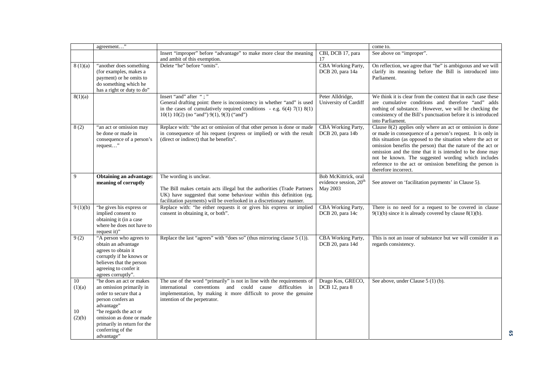|                    | agreement"                                                                                                                                                                   |                                                                                                                                                                                                                                                  |                                                                        | come to.                                                                                                                                                                                                                                                                                                                                                                                                                                                         |
|--------------------|------------------------------------------------------------------------------------------------------------------------------------------------------------------------------|--------------------------------------------------------------------------------------------------------------------------------------------------------------------------------------------------------------------------------------------------|------------------------------------------------------------------------|------------------------------------------------------------------------------------------------------------------------------------------------------------------------------------------------------------------------------------------------------------------------------------------------------------------------------------------------------------------------------------------------------------------------------------------------------------------|
|                    |                                                                                                                                                                              | Insert "improper" before "advantage" to make more clear the meaning<br>and ambit of this exemption.                                                                                                                                              | CBI, DCB 17, para<br>17                                                | See above on "improper".                                                                                                                                                                                                                                                                                                                                                                                                                                         |
| 8(1)(a)            | "another does something<br>(for examples, makes a<br>payment) or he omits to<br>do something which he<br>has a right or duty to do"                                          | Delete "he" before "omits".                                                                                                                                                                                                                      | CBA Working Party,<br>DCB 20, para 14a                                 | On reflection, we agree that "he" is ambiguous and we will<br>clarify its meaning before the Bill is introduced into<br>Parliament.                                                                                                                                                                                                                                                                                                                              |
| 8(1)(a)            |                                                                                                                                                                              | Insert "and" after ";"<br>General drafting point: there is inconsistency in whether "and" is used<br>in the cases of cumulatively required conditions - e.g. $6(4)$ 7(1) $8(1)$<br>$10(1) 10(2)$ (no "and") $9(1)$ , $9(3)$ ("and")              | Peter Alldridge,<br>University of Cardiff                              | We think it is clear from the context that in each case these<br>are cumulative conditions and therefore "and" adds<br>nothing of substance. However, we will be checking the<br>consistency of the Bill's punctuation before it is introduced<br>into Parliament.                                                                                                                                                                                               |
| 8(2)               | "an act or omission may<br>be done or made in<br>consequence of a person's<br>request"                                                                                       | Replace with: "the act or omission of that other person is done or made<br>in consequence of his request (express or implied) or with the result<br>(direct or indirect) that he benefits".                                                      | CBA Working Party,<br>DCB 20, para 14b                                 | Clause $8(2)$ applies only where an act or omission is done<br>or made in consequence of a person's request. It is only in<br>this situation (as opposed to the situation where the act or<br>omission benefits the person) that the nature of the act or<br>omission and the time that it is intended to be done may<br>not be known. The suggested wording which includes<br>reference to the act or omission benefiting the person is<br>therefore incorrect. |
| 9                  | Obtaining an advantage:<br>meaning of corruptly                                                                                                                              | The wording is unclear.<br>The Bill makes certain acts illegal but the authorities (Trade Partners<br>UK) have suggested that some behaviour within this definition (eg.<br>facilitation payments) will be overlooked in a discretionary manner. | Bob McKittrick, oral<br>evidence session, 20 <sup>th</sup><br>May 2003 | See answer on 'facilitation payments' in Clause 5).                                                                                                                                                                                                                                                                                                                                                                                                              |
| 9(1)(b)            | "he gives his express or<br>implied consent to<br>obtaining it (in a case<br>where he does not have to<br>request it)"                                                       | Replace with: "he either requests it or gives his express or implied<br>consent in obtaining it, or both".                                                                                                                                       | CBA Working Party,<br>DCB 20, para 14c                                 | There is no need for a request to be covered in clause<br>$9(1)(b)$ since it is already covered by clause $8(1)(b)$ .                                                                                                                                                                                                                                                                                                                                            |
| 9(2)               | "A person who agrees to<br>obtain an advantage<br>agrees to obtain it<br>corruptly if he knows or<br>believes that the person<br>agreeing to confer it<br>agrees corruptly". | Replace the last "agrees" with "does so" (thus mirroring clause 5 (1)).                                                                                                                                                                          | CBA Working Party,<br>DCB 20, para 14d                                 | This is not an issue of substance but we will consider it as<br>regards consistency.                                                                                                                                                                                                                                                                                                                                                                             |
| 10<br>(1)(a)<br>10 | "he does an act or makes<br>an omission primarily in<br>order to secure that a<br>person confers an<br>advantage"<br>"he regards the act or                                  | The use of the word "primarily" is not in line with the requirements of<br>international conventions and could cause difficulties in<br>implementation, by making it more difficult to prove the genuine<br>intention of the perpetrator.        | Drago Kos, GRECO,<br>DCB 12, para 8                                    | See above, under Clause 5 (1) (b).                                                                                                                                                                                                                                                                                                                                                                                                                               |
| (2)(b)             | omission as done or made<br>primarily in return for the<br>conferring of the<br>advantage"                                                                                   |                                                                                                                                                                                                                                                  |                                                                        |                                                                                                                                                                                                                                                                                                                                                                                                                                                                  |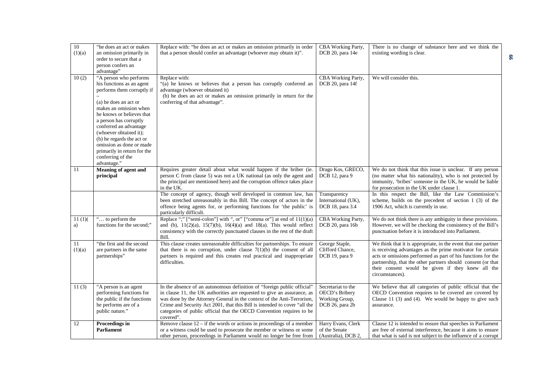| $10\,$<br>(1)(a) | "he does an act or makes<br>an omission primarily in<br>order to secure that a                                                                                                                                                                                                                                                                                              | Replace with: "he does an act or makes an omission primarily in order<br>that a person should confer an advantage (whoever may obtain it)".                                                                                                                                                                                                                                                     | CBA Working Party,<br>DCB 20, para 14e                                    | There is no change of substance here and we think the<br>existing wording is clear.                                                                                                                                                                                                                                                  |
|------------------|-----------------------------------------------------------------------------------------------------------------------------------------------------------------------------------------------------------------------------------------------------------------------------------------------------------------------------------------------------------------------------|-------------------------------------------------------------------------------------------------------------------------------------------------------------------------------------------------------------------------------------------------------------------------------------------------------------------------------------------------------------------------------------------------|---------------------------------------------------------------------------|--------------------------------------------------------------------------------------------------------------------------------------------------------------------------------------------------------------------------------------------------------------------------------------------------------------------------------------|
|                  | person confers an<br>advantage"                                                                                                                                                                                                                                                                                                                                             |                                                                                                                                                                                                                                                                                                                                                                                                 |                                                                           |                                                                                                                                                                                                                                                                                                                                      |
| 10(2)            | "A person who performs<br>his functions as an agent<br>performs them corruptly if<br>(a) he does an act or<br>makes an omission when<br>he knows or believes that<br>a person has corruptly<br>conferred an advantage<br>(whoever obtained it);<br>(b) he regards the act or<br>omission as done or made<br>primarily in return for the<br>conferring of the<br>advantage." | Replace with:<br>"(a) he knows or believes that a person has corruptly conferred an<br>advantage (whoever obtained it)<br>(b) he does an act or makes an omission primarily in return for the<br>conferring of that advantage".                                                                                                                                                                 | CBA Working Party,<br>DCB 20, para 14f                                    | We will consider this.                                                                                                                                                                                                                                                                                                               |
| 11               | Meaning of agent and<br>principal                                                                                                                                                                                                                                                                                                                                           | Requires greater detail about what would happen if the briber (ie.<br>person C from clause 5) was not a UK national (as only the agent and<br>the principal are mentioned here) and the corruption offence takes place<br>in the UK.                                                                                                                                                            | Drago Kos, GRECO,<br>DCB 12, para 9                                       | We do not think that this issue is unclear. If any person<br>(no matter what his nationality), who is not protected by<br>immunity, 'bribes' someone in the UK, he would be liable<br>for prosecution in the UK under clause 1.                                                                                                      |
|                  |                                                                                                                                                                                                                                                                                                                                                                             | The concept of agency, though well developed in common law, has<br>been stretched unreasonably in this Bill. The concept of actors in the<br>offence being agents for, or performing functions for 'the public' is<br>particularly difficult.                                                                                                                                                   | Transparency<br>International (UK),<br>DCB 18, para 3.4                   | In this respect the Bill, like the Law Commission's<br>scheme, builds on the precedent of section $1$ (3) of the<br>1906 Act, which is currently in use.                                                                                                                                                                             |
| 11(1)<br>a)      | " to perform the<br>functions for the second;"                                                                                                                                                                                                                                                                                                                              | Replace ";" ["semi-colon"] with ", or" ["comma or"] at end of 11(1)(a)<br>and (b), $11(2)(a)$ , $15(7)(b)$ , $16(4)(a)$ and $18(a)$ . This would reflect<br>consistency with the correctly punctuated clauses in the rest of the draft<br>Bill.                                                                                                                                                 | <b>CBA Working Party,</b><br>DCB 20, para 16b                             | We do not think there is any ambiguity in these provisions.<br>However, we will be checking the consistency of the Bill's<br>punctuation before it is introduced into Parliament.                                                                                                                                                    |
| 11<br>(1)(a)     | "the first and the second<br>are partners in the same<br>partnerships"                                                                                                                                                                                                                                                                                                      | This clause creates unreasonable difficulties for partnerships. To ensure<br>that there is no corruption, under clause $7(1)(b)$ the consent of all<br>partners is required and this creates real practical and inappropriate<br>difficulties.                                                                                                                                                  | George Staple,<br>Clifford Chance,<br>DCB 19, para 9                      | We think that it is appropriate, in the event that one partner<br>is receiving advantages as the prime motivator for certain<br>acts or omissions performed as part of his functions for the<br>partnership, that the other partners should consent (or that<br>their consent would be given if they knew all the<br>circumstances). |
| 11(3)            | "A person is an agent<br>performing functions for<br>the public if the functions<br>he performs are of a<br>public nature."                                                                                                                                                                                                                                                 | In the absence of an autonomous definition of "foreign public official"<br>in clause 11, the UK authorities are requested to give an assurance, as<br>was done by the Attorney General in the context of the Anti-Terrorism,<br>Crime and Security Act 2001, that this Bill is intended to cover "all the<br>categories of public official that the OECD Convention requires to be<br>covered". | Secretariat to the<br>OECD's Bribery<br>Working Group,<br>DCB 26, para 2b | We believe that all categories of public official that the<br>OECD Convention requires to be covered are covered by<br>Clause 11 $(3)$ and $(4)$ . We would be happy to give such<br>assurance.                                                                                                                                      |
| 12               | Proceedings in<br><b>Parliament</b>                                                                                                                                                                                                                                                                                                                                         | Remove clause $12 - if$ the words or actions in proceedings of a member<br>or a witness could be used to prosecute the member or witness or some<br>other person, proceedings in Parliament would no longer be free from                                                                                                                                                                        | Harry Evans, Clerk<br>of the Senate<br>(Australia), DCB 2,                | Clause 12 is intended to ensure that speeches in Parliament<br>are free of external interference, because it aims to ensure<br>that what is said is not subject to the influence of a corrupt                                                                                                                                        |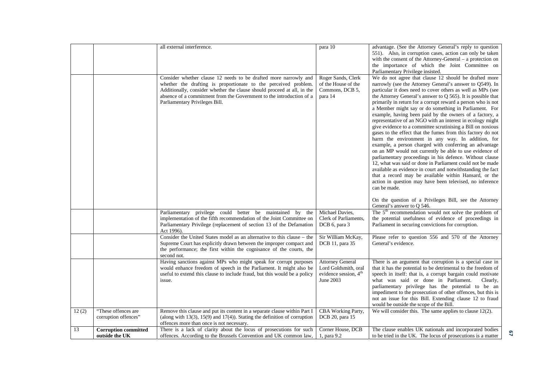|       |                                               | all external interference.                                                                                                                                                                                                                                                                                               | para 10                                                                                           | advantage. (See the Attorney General's reply to question<br>551). Also, in corruption cases, action can only be taken<br>with the consent of the Attorney-General – a protection on<br>the importance of which the Joint Committee on<br>Parliamentary Privilege insisted.                                                                                                                                                                                                                                                                                                                                                                                                                                                                                                                                                                                                                                                                                                                                                                                                                                                                |
|-------|-----------------------------------------------|--------------------------------------------------------------------------------------------------------------------------------------------------------------------------------------------------------------------------------------------------------------------------------------------------------------------------|---------------------------------------------------------------------------------------------------|-------------------------------------------------------------------------------------------------------------------------------------------------------------------------------------------------------------------------------------------------------------------------------------------------------------------------------------------------------------------------------------------------------------------------------------------------------------------------------------------------------------------------------------------------------------------------------------------------------------------------------------------------------------------------------------------------------------------------------------------------------------------------------------------------------------------------------------------------------------------------------------------------------------------------------------------------------------------------------------------------------------------------------------------------------------------------------------------------------------------------------------------|
|       |                                               | Consider whether clause 12 needs to be drafted more narrowly and<br>whether the drafting is proportionate to the perceived problem.<br>Additionally, consider whether the clause should proceed at all, in the<br>absence of a commitment from the Government to the introduction of a<br>Parliamentary Privileges Bill. | Roger Sands, Clerk<br>of the House of the<br>Commons, DCB 5,<br>para 14                           | We do not agree that clause 12 should be drafted more<br>narrowly (see the Attorney General's answer to Q549). In<br>particular it does need to cover others as well as MPs (see<br>the Attorney General's answer to $Q$ 565). It is possible that<br>primarily in return for a corrupt reward a person who is not<br>a Member might say or do something in Parliament. For<br>example, having been paid by the owners of a factory, a<br>representative of an NGO with an interest in ecology might<br>give evidence to a committee scrutinising a Bill on noxious<br>gases to the effect that the fumes from this factory do not<br>harm the environment in any way. In addition, for<br>example, a person charged with conferring an advantage<br>on an MP would not currently be able to use evidence of<br>parliamentary proceedings in his defence. Without clause<br>12, what was said or done in Parliament could not be made<br>available as evidence in court and notwithstanding the fact<br>that a record may be available within Hansard, or the<br>action in question may have been televised, no inference<br>can be made. |
|       |                                               |                                                                                                                                                                                                                                                                                                                          |                                                                                                   | On the question of a Privileges Bill, see the Attorney<br>General's answer to Q 546.                                                                                                                                                                                                                                                                                                                                                                                                                                                                                                                                                                                                                                                                                                                                                                                                                                                                                                                                                                                                                                                      |
|       |                                               | Parliamentary privilege could better be maintained by the<br>implementation of the fifth recommendation of the Joint Committee on<br>Parliamentary Privilege (replacement of section 13 of the Defamation<br>Act 1996).                                                                                                  | Michael Davies,<br>Clerk of Parliaments,<br>DCB 6, para 3                                         | The $5th$ recommendation would not solve the problem of<br>the potential usefulness of evidence of proceedings in<br>Parliament in securing convictions for corruption.                                                                                                                                                                                                                                                                                                                                                                                                                                                                                                                                                                                                                                                                                                                                                                                                                                                                                                                                                                   |
|       |                                               | Consider the United States model as an alternative to this clause - the<br>Supreme Court has explicitly drawn between the improper compact and<br>the performance; the first within the cognisance of the courts, the<br>second not.                                                                                     | Sir William McKay,<br>DCB 11, para 35                                                             | Please refer to question 556 and 570 of the Attorney<br>General's evidence.                                                                                                                                                                                                                                                                                                                                                                                                                                                                                                                                                                                                                                                                                                                                                                                                                                                                                                                                                                                                                                                               |
|       |                                               | Having sanctions against MPs who might speak for corrupt purposes<br>would enhance freedom of speech in the Parliament. It might also be<br>useful to extend this clause to include fraud, but this would be a policy<br>issue.                                                                                          | <b>Attorney General</b><br>Lord Goldsmith, oral<br>evidence session, 4 <sup>th</sup><br>June 2003 | There is an argument that corruption is a special case in<br>that it has the potential to be detrimental to the freedom of<br>speech in itself: that is, a corrupt bargain could motivate<br>what was said or done in Parliament.<br>Clearly,<br>parliamentary privilege has the potential to be an<br>impediment to the prosecution of other offences, but this is<br>not an issue for this Bill. Extending clause 12 to fraud<br>would be outside the scope of the Bill.                                                                                                                                                                                                                                                                                                                                                                                                                                                                                                                                                                                                                                                                |
| 12(2) | "These offences are<br>corruption offences"   | Remove this clause and put its content in a separate clause within Part I<br>(along with $13(3)$ , $15(9)$ and $17(4)$ ). Stating the definition of corruption<br>offences more than once is not necessary.                                                                                                              | CBA Working Party,<br>DCB 20, para 15                                                             | We will consider this. The same applies to clause $12(2)$ .                                                                                                                                                                                                                                                                                                                                                                                                                                                                                                                                                                                                                                                                                                                                                                                                                                                                                                                                                                                                                                                                               |
| 13    | <b>Corruption committed</b><br>outside the UK | There is a lack of clarity about the locus of prosecutions for such<br>offences. According to the Brussels Convention and UK common law,                                                                                                                                                                                 | Corner House, DCB<br>1, para 9.2                                                                  | The clause enables UK nationals and incorporated bodies<br>to be tried in the UK. The locus of prosecutions is a matter                                                                                                                                                                                                                                                                                                                                                                                                                                                                                                                                                                                                                                                                                                                                                                                                                                                                                                                                                                                                                   |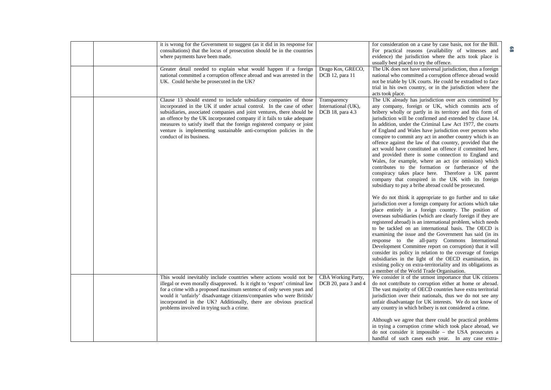|  | it is wrong for the Government to suggest (as it did in its response for<br>consultations) that the locus of prosecution should be in the countries<br>where payments have been made.<br>Greater detail needed to explain what would happen if a foreign                                                                                                                                                                                                                   | Drago Kos, GRECO,                                       | for consideration on a case by case basis, not for the Bill.<br>For practical reasons (availability of witnesses and<br>evidence) the jurisdiction where the acts took place is<br>usually best placed to try the offence.<br>The UK does not have universal jurisdiction, thus a foreign                                                                                                                                                                                                                                                                                                                                                                                                                                                                                                                                                                                                      |
|--|----------------------------------------------------------------------------------------------------------------------------------------------------------------------------------------------------------------------------------------------------------------------------------------------------------------------------------------------------------------------------------------------------------------------------------------------------------------------------|---------------------------------------------------------|------------------------------------------------------------------------------------------------------------------------------------------------------------------------------------------------------------------------------------------------------------------------------------------------------------------------------------------------------------------------------------------------------------------------------------------------------------------------------------------------------------------------------------------------------------------------------------------------------------------------------------------------------------------------------------------------------------------------------------------------------------------------------------------------------------------------------------------------------------------------------------------------|
|  | national committed a corruption offence abroad and was arrested in the<br>UK. Could he/she be prosecuted in the UK?                                                                                                                                                                                                                                                                                                                                                        | DCB 12, para 11                                         | national who committed a corruption offence abroad would<br>not be triable by UK courts. He could be extradited to face<br>trial in his own country, or in the jurisdiction where the<br>acts took place.                                                                                                                                                                                                                                                                                                                                                                                                                                                                                                                                                                                                                                                                                      |
|  | Clause 13 should extend to include subsidiary companies of those<br>incorporated in the UK if under actual control. In the case of other<br>subsidiaries, associated companies and joint ventures, there should be<br>an offence by the UK incorporated company if it fails to take adequate<br>measures to satisfy itself that the foreign registered company or joint<br>venture is implementing sustainable anti-corruption policies in the<br>conduct of its business. | Transparency<br>International (UK),<br>DCB 18, para 4.3 | The UK already has jurisdiction over acts committed by<br>any company, foreign or UK, which commits acts of<br>bribery wholly or partly in its territory and this form of<br>jurisdiction will be confirmed and extended by clause 14.<br>In addition, under the Criminal Law Act 1977, the courts<br>of England and Wales have jurisdiction over persons who<br>conspire to commit any act in another country which is an<br>offence against the law of that country, provided that the<br>act would have constituted an offence if committed here,<br>and provided there is some connection to England and<br>Wales, for example, where an act (or omission) which<br>contributes to the formation or furtherance of the<br>conspiracy takes place here. Therefore a UK parent<br>company that conspired in the UK with its foreign<br>subsidiary to pay a bribe abroad could be prosecuted. |
|  |                                                                                                                                                                                                                                                                                                                                                                                                                                                                            |                                                         | We do not think it appropriate to go further and to take<br>jurisdiction over a foreign company for actions which take<br>place entirely in a foreign country. The position of<br>overseas subsidiaries (which are clearly foreign if they are<br>registered abroad) is an international problem, which needs<br>to be tackled on an international basis. The OECD is<br>examining the issue and the Government has said (in its<br>response to the all-party Commons International<br>Development Committee report on corruption) that it will<br>consider its policy in relation to the coverage of foreign<br>subsidiaries in the light of the OECD examination, its<br>existing policy on extra-territoriality and its obligations as<br>a member of the World Trade Organisation.                                                                                                         |
|  | This would inevitably include countries where actions would not be<br>illegal or even morally disapproved. Is it right to 'export' criminal law<br>for a crime with a proposed maximum sentence of only seven years and<br>would it 'unfairly' disadvantage citizens/companies who were British/<br>incorporated in the UK? Additionally, there are obvious practical<br>problems involved in trying such a crime.                                                         | <b>CBA Working Party,</b><br>DCB 20, para 3 and 4       | We consider it of the utmost importance that UK citizens<br>do not contribute to corruption either at home or abroad.<br>The vast majority of OECD countries have extra territorial<br>jurisdiction over their nationals, thus we do not see any<br>unfair disadvantage for UK interests. We do not know of<br>any country in which bribery is not considered a crime.<br>Although we agree that there could be practical problems<br>in trying a corruption crime which took place abroad, we<br>do not consider it impossible - the USA prosecutes a<br>handful of such cases each year. In any case extra-                                                                                                                                                                                                                                                                                  |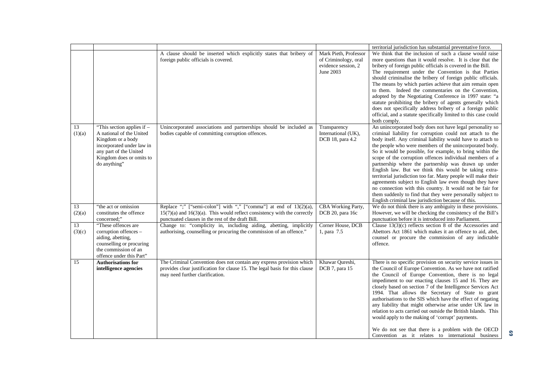|              |                                                                                                                                                                                |                                                                                                                                                                                                         |                                                                                   | territorial jurisdiction has substantial preventative force.                                                                                                                                                                                                                                                                                                                                                                                                                                                                                                                                                                                                                                                                                                                                            |
|--------------|--------------------------------------------------------------------------------------------------------------------------------------------------------------------------------|---------------------------------------------------------------------------------------------------------------------------------------------------------------------------------------------------------|-----------------------------------------------------------------------------------|---------------------------------------------------------------------------------------------------------------------------------------------------------------------------------------------------------------------------------------------------------------------------------------------------------------------------------------------------------------------------------------------------------------------------------------------------------------------------------------------------------------------------------------------------------------------------------------------------------------------------------------------------------------------------------------------------------------------------------------------------------------------------------------------------------|
|              |                                                                                                                                                                                | A clause should be inserted which explicitly states that bribery of<br>foreign public officials is covered.                                                                                             | Mark Pieth, Professor<br>of Criminology, oral<br>evidence session, 2<br>June 2003 | We think that the inclusion of such a clause would raise<br>more questions than it would resolve. It is clear that the<br>bribery of foreign public officials is covered in the Bill.<br>The requirement under the Convention is that Parties<br>should criminalise the bribery of foreign public officials.<br>The means by which parties achieve that aim remain open<br>to them. Indeed the commentaries on the Convention,<br>adopted by the Negotiating Conference in 1997 state: "a<br>statute prohibiting the bribery of agents generally which<br>does not specifically address bribery of a foreign public<br>official, and a statute specifically limited to this case could<br>both comply.                                                                                                  |
| 13<br>(1)(a) | "This section applies if -<br>A national of the United<br>Kingdom or a body<br>incorporated under law in<br>any part of the United<br>Kingdom does or omits to<br>do anything" | Unincorporated associations and partnerships should be included as<br>bodies capable of committing corruption offences.                                                                                 | Transparency<br>International (UK),<br>DCB 18, para 4.2                           | An unincorporated body does not have legal personality so<br>criminal liability for corruption could not attach to the<br>body itself. Any criminal liability would have to attach to<br>the people who were members of the unincorporated body.<br>So it would be possible, for example, to bring within the<br>scope of the corruption offences individual members of a<br>partnership where the partnership was drawn up under<br>English law. But we think this would be taking extra-<br>territorial jurisdiction too far. Many people will make their<br>agreements subject to English law even though they have<br>no connection with this country. It would not be fair for<br>them suddenly to find that they were personally subject to<br>English criminal law jurisdiction because of this. |
| 13<br>(2)(a) | "the act or omission<br>constitutes the offence<br>concerned;"                                                                                                                 | Replace ";" ["semi-colon"] with "," ["comma"] at end of 13(2)(a),<br>$15(7)(a)$ and $16(3)(a)$ . This would reflect consistency with the correctly<br>punctuated clauses in the rest of the draft Bill. | CBA Working Party,<br>DCB 20, para 16c                                            | We do not think there is any ambiguity in these provisions.<br>However, we will be checking the consistency of the Bill's<br>punctuation before it is introduced into Parliament.                                                                                                                                                                                                                                                                                                                                                                                                                                                                                                                                                                                                                       |
| 13<br>(3)(c) | "These offences are<br>corruption offences -<br>aiding, abetting,<br>counselling or procuring<br>the commission of an<br>offence under this Part"                              | Change to: "complicity in, including aiding, abetting, implicitly<br>authorising, counselling or procuring the commission of an offence."                                                               | Corner House, DCB<br>1, para 7.5                                                  | Clause $13(3)(c)$ reflects section 8 of the Accessories and<br>Abettors Act 1861 which makes it an offence to aid, abet,<br>counsel or procure the commission of any indictable<br>offence.                                                                                                                                                                                                                                                                                                                                                                                                                                                                                                                                                                                                             |
| 15           | <b>Authorisations for</b><br>intelligence agencies                                                                                                                             | The Criminal Convention does not contain any express provision which<br>provides clear justification for clause 15. The legal basis for this clause<br>may need further clarification.                  | Khawar Qureshi,<br>DCB 7, para 15                                                 | There is no specific provision on security service issues in<br>the Council of Europe Convention. As we have not ratified<br>the Council of Europe Convention, there is no legal<br>impediment to our enacting clauses 15 and 16. They are<br>closely based on section 7 of the Intelligence Services Act<br>1994. That allows the Secretary of State to grant<br>authorisations to the SIS which have the effect of negating<br>any liability that might otherwise arise under UK law in<br>relation to acts carried out outside the British Islands. This<br>would apply to the making of 'corrupt' payments.<br>We do not see that there is a problem with the OECD<br>Convention as it relates to international business                                                                            |

**69**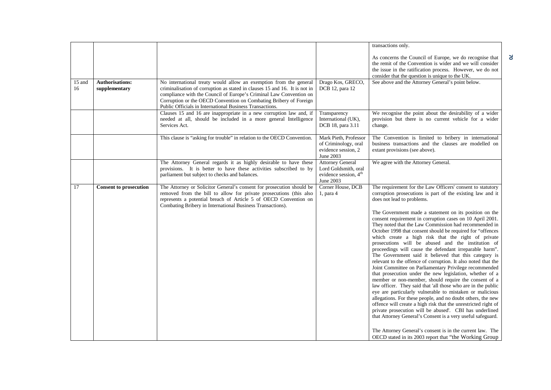|              |                                         |                                                                                                                                                                                                                                                                                                                                                        |                                                                                                   | transactions only.                                                                                                                                                                                                                                                                                                                                                                                                                                                                                                                                                                                                                                                                                                                                                                                                                                                                                                                                                                                                                                                                                                                                                                                                                                                                                                                                                                                 |
|--------------|-----------------------------------------|--------------------------------------------------------------------------------------------------------------------------------------------------------------------------------------------------------------------------------------------------------------------------------------------------------------------------------------------------------|---------------------------------------------------------------------------------------------------|----------------------------------------------------------------------------------------------------------------------------------------------------------------------------------------------------------------------------------------------------------------------------------------------------------------------------------------------------------------------------------------------------------------------------------------------------------------------------------------------------------------------------------------------------------------------------------------------------------------------------------------------------------------------------------------------------------------------------------------------------------------------------------------------------------------------------------------------------------------------------------------------------------------------------------------------------------------------------------------------------------------------------------------------------------------------------------------------------------------------------------------------------------------------------------------------------------------------------------------------------------------------------------------------------------------------------------------------------------------------------------------------------|
|              |                                         |                                                                                                                                                                                                                                                                                                                                                        |                                                                                                   | As concerns the Council of Europe, we do recognise that<br>the remit of the Convention is wider and we will consider<br>the issue in the ratification process. However, we do not<br>consider that the question is unique to the UK.                                                                                                                                                                                                                                                                                                                                                                                                                                                                                                                                                                                                                                                                                                                                                                                                                                                                                                                                                                                                                                                                                                                                                               |
| 15 and<br>16 | <b>Authorisations:</b><br>supplementary | No international treaty would allow an exemption from the general<br>criminalisation of corruption as stated in clauses 15 and 16. It is not in<br>compliance with the Council of Europe's Criminal Law Convention on<br>Corruption or the OECD Convention on Combating Bribery of Foreign<br>Public Officials in International Business Transactions. | Drago Kos, GRECO,<br>DCB 12, para 12                                                              | See above and the Attorney General's point below.                                                                                                                                                                                                                                                                                                                                                                                                                                                                                                                                                                                                                                                                                                                                                                                                                                                                                                                                                                                                                                                                                                                                                                                                                                                                                                                                                  |
|              |                                         | Clauses 15 and 16 are inappropriate in a new corruption law and, if<br>needed at all, should be included in a more general Intelligence<br>Services Act.                                                                                                                                                                                               | Transparency<br>International (UK),<br>DCB 18, para 3.11                                          | We recognise the point about the desirability of a wider<br>provision but there is no current vehicle for a wider<br>change.                                                                                                                                                                                                                                                                                                                                                                                                                                                                                                                                                                                                                                                                                                                                                                                                                                                                                                                                                                                                                                                                                                                                                                                                                                                                       |
|              |                                         | This clause is "asking for trouble" in relation to the OECD Convention.                                                                                                                                                                                                                                                                                | Mark Pieth, Professor<br>of Criminology, oral<br>evidence session, 2<br>June 2003                 | The Convention is limited to bribery in international<br>business transactions and the clauses are modelled on<br>extant provisions (see above).                                                                                                                                                                                                                                                                                                                                                                                                                                                                                                                                                                                                                                                                                                                                                                                                                                                                                                                                                                                                                                                                                                                                                                                                                                                   |
|              |                                         | The Attorney General regards it as highly desirable to have these<br>provisions. It is better to have these activities subscribed to by<br>parliament but subject to checks and balances.                                                                                                                                                              | <b>Attorney General</b><br>Lord Goldsmith, oral<br>evidence session, 4 <sup>th</sup><br>June 2003 | We agree with the Attorney General.                                                                                                                                                                                                                                                                                                                                                                                                                                                                                                                                                                                                                                                                                                                                                                                                                                                                                                                                                                                                                                                                                                                                                                                                                                                                                                                                                                |
| 17           | <b>Consent to prosecution</b>           | The Attorney or Solicitor General's consent for prosecution should be<br>removed from the bill to allow for private prosecutions (this also<br>represents a potential breach of Article 5 of OECD Convention on<br>Combating Bribery in International Business Transactions).                                                                          | Corner House, DCB<br>1, para 4                                                                    | The requirement for the Law Officers' consent to statutory<br>corruption prosecutions is part of the existing law and it<br>does not lead to problems.<br>The Government made a statement on its position on the<br>consent requirement in corruption cases on 10 April 2001.<br>They noted that the Law Commission had recommended in<br>October 1998 that consent should be required for "offences<br>which create a high risk that the right of private<br>prosecutions will be abused and the institution of<br>proceedings will cause the defendant irreparable harm".<br>The Government said it believed that this category is<br>relevant to the offence of corruption. It also noted that the<br>Joint Committee on Parliamentary Privilege recommended<br>that prosecution under the new legislation, whether of a<br>member or non-member, should require the consent of a<br>law officer. They said that 'all those who are in the public<br>eye are particularly vulnerable to mistaken or malicious<br>allegations. For these people, and no doubt others, the new<br>offence will create a high risk that the unrestricted right of<br>private prosecution will be abused'. CBI has underlined<br>that Attorney General's Consent is a very useful safeguard.<br>The Attorney General's consent is in the current law. The<br>OECD stated in its 2003 report that "the Working Group |

**70**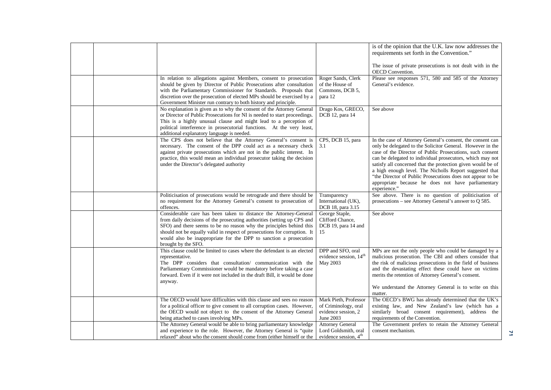|  |                                                                                                                                                                                                                                                                                                                                                                                              |                                                                                                              | is of the opinion that the U.K. law now addresses the<br>requirements set forth in the Convention."<br>The issue of private prosecutions is not dealt with in the<br>OECD Convention.                                                                                                                                                                                                                                                                                                                            |
|--|----------------------------------------------------------------------------------------------------------------------------------------------------------------------------------------------------------------------------------------------------------------------------------------------------------------------------------------------------------------------------------------------|--------------------------------------------------------------------------------------------------------------|------------------------------------------------------------------------------------------------------------------------------------------------------------------------------------------------------------------------------------------------------------------------------------------------------------------------------------------------------------------------------------------------------------------------------------------------------------------------------------------------------------------|
|  | In relation to allegations against Members, consent to prosecution<br>should be given by Director of Public Prosecutions after consultation<br>with the Parliamentary Commissioner for Standards. Proposals that<br>discretion over the prosecution of elected MPs should be exercised by a<br>Government Minister run contrary to both history and principle.                               | Roger Sands, Clerk<br>of the House of<br>Commons, DCB 5,<br>para 12                                          | Please see responses 571, 580 and 585 of the Attorney<br>General's evidence.                                                                                                                                                                                                                                                                                                                                                                                                                                     |
|  | No explanation is given as to why the consent of the Attorney General<br>or Director of Public Prosecutions for NI is needed to start proceedings.<br>This is a highly unusual clause and might lead to a perception of<br>political interference in prosecutorial functions. At the very least,<br>additional explanatory language is needed.                                               | Drago Kos, GRECO,<br>DCB 12, para 14                                                                         | See above                                                                                                                                                                                                                                                                                                                                                                                                                                                                                                        |
|  | The CPS does not believe that the Attorney General's consent is<br>necessary. The consent of the DPP could act as a necessary check<br>against private prosecutions which are not in the public interest. In<br>practice, this would mean an individual prosecutor taking the decision<br>under the Director's delegated authority                                                           | CPS, DCB 15, para<br>3.1                                                                                     | In the case of Attorney General's consent, the consent can<br>only be delegated to the Solicitor General. However in the<br>case of the Director of Public Prosecutions, such consent<br>can be delegated to individual prosecutors, which may not<br>satisfy all concerned that the protection given would be of<br>a high enough level. The Nicholls Report suggested that<br>"the Director of Public Prosecutions does not appear to be<br>appropriate because he does not have parliamentary<br>experience." |
|  | Politicisation of prosecutions would be retrograde and there should be<br>no requirement for the Attorney General's consent to prosecution of<br>offences.                                                                                                                                                                                                                                   | Transparency<br>International (UK),<br>DCB 18, para 3.15                                                     | See above. There is no question of politicisation of<br>prosecutions – see Attorney General's answer to Q 585.                                                                                                                                                                                                                                                                                                                                                                                                   |
|  | Considerable care has been taken to distance the Attorney-General<br>from daily decisions of the prosecuting authorities (setting up CPS and<br>SFO) and there seems to be no reason why the principles behind this<br>should not be equally valid in respect of prosecutions for corruption. It<br>would also be inappropriate for the DPP to sanction a prosecution<br>brought by the SFO. | George Staple,<br>Clifford Chance,<br>DCB 19, para 14 and<br>15                                              | See above                                                                                                                                                                                                                                                                                                                                                                                                                                                                                                        |
|  | This clause could be limited to cases where the defendant is an elected<br>representative.<br>The DPP considers that consultation/ communication with the<br>Parliamentary Commissioner would be mandatory before taking a case<br>forward. Even if it were not included in the draft Bill, it would be done<br>anyway.                                                                      | DPP and SFO, oral<br>evidence session, 14 <sup>th</sup><br>May 2003                                          | MPs are not the only people who could be damaged by a<br>malicious prosecution. The CBI and others consider that<br>the risk of malicious prosecutions in the field of business<br>and the devastating effect these could have on victims<br>merits the retention of Attorney General's consent.<br>We understand the Attorney General is to write on this<br>matter.                                                                                                                                            |
|  | The OECD would have difficulties with this clause and sees no reason<br>for a political officer to give consent to all corruption cases. However,<br>the OECD would not object to the consent of the Attorney General<br>being attached to cases involving MPs.<br>The Attorney General would be able to bring parliamentary knowledge                                                       | Mark Pieth, Professor<br>of Criminology, oral<br>evidence session, 2<br>June 2003<br><b>Attorney General</b> | The OECD's BWG has already determined that the UK's<br>existing law, and New Zealand's law (which has a<br>similarly broad consent requirement), address the<br>requirements of the Convention.<br>The Government prefers to retain the Attorney General                                                                                                                                                                                                                                                         |
|  | and experience to the role. However, the Attorney General is "quite<br>relaxed" about who the consent should come from (either himself or the                                                                                                                                                                                                                                                | Lord Goldsmith, oral<br>evidence session, 4 <sup>th</sup>                                                    | consent mechanism.                                                                                                                                                                                                                                                                                                                                                                                                                                                                                               |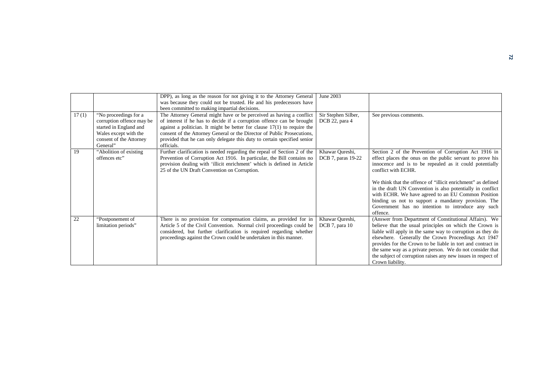|       |                                                                                                                                              | DPP), as long as the reason for not giving it to the Attorney General<br>was because they could not be trusted. He and his predecessors have<br>been committed to making impartial decisions.                                                                                                                                                                                                     | June 2003                             |                                                                                                                                                                                                                                                                                                                                                                                                                                                                                                                   |
|-------|----------------------------------------------------------------------------------------------------------------------------------------------|---------------------------------------------------------------------------------------------------------------------------------------------------------------------------------------------------------------------------------------------------------------------------------------------------------------------------------------------------------------------------------------------------|---------------------------------------|-------------------------------------------------------------------------------------------------------------------------------------------------------------------------------------------------------------------------------------------------------------------------------------------------------------------------------------------------------------------------------------------------------------------------------------------------------------------------------------------------------------------|
| 17(1) | "No proceedings for a<br>corruption offence may be<br>started in England and<br>Wales except with the<br>consent of the Attorney<br>General" | The Attorney General might have or be perceived as having a conflict<br>of interest if he has to decide if a corruption offence can be brought<br>against a politician. It might be better for clause $17(1)$ to require the<br>consent of the Attorney General or the Director of Public Prosecutions,<br>provided that he can only delegate this duty to certain specified senior<br>officials. | Sir Stephen Silber,<br>DCB 22, para 4 | See previous comments.                                                                                                                                                                                                                                                                                                                                                                                                                                                                                            |
| 19    | "Abolition of existing<br>offences etc"                                                                                                      | Further clarification is needed regarding the repeal of Section 2 of the<br>Prevention of Corruption Act 1916. In particular, the Bill contains no<br>provision dealing with 'illicit enrichment' which is defined in Article<br>25 of the UN Draft Convention on Corruption.                                                                                                                     | Khawar Qureshi,<br>DCB 7, paras 19-22 | Section 2 of the Prevention of Corruption Act 1916 in<br>effect places the onus on the public servant to prove his<br>innocence and is to be repealed as it could potentially<br>conflict with ECHR.<br>We think that the offence of "illicit enrichment" as defined<br>in the draft UN Convention is also potentially in conflict<br>with ECHR. We have agreed to an EU Common Position<br>binding us not to support a mandatory provision. The<br>Government has no intention to introduce any such<br>offence. |
| 22    | "Postponement of<br>limitation periods"                                                                                                      | There is no provision for compensation claims, as provided for in<br>Article 5 of the Civil Convention. Normal civil proceedings could be<br>considered, but further clarification is required regarding whether<br>proceedings against the Crown could be undertaken in this manner.                                                                                                             | Khawar Qureshi,<br>DCB 7, para 10     | (Answer from Department of Constitutional Affairs). We<br>believe that the usual principles on which the Crown is<br>liable will apply in the same way to corruption as they do<br>elsewhere. Generally the Crown Proceedings Act 1947<br>provides for the Crown to be liable in tort and contract in<br>the same way as a private person. We do not consider that<br>the subject of corruption raises any new issues in respect of<br>Crown liability.                                                           |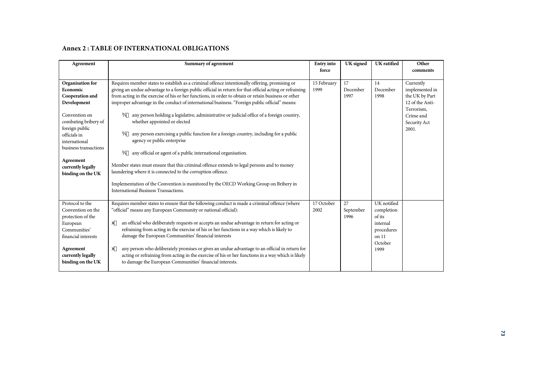#### **Annex 2 : TABLE OF INTERNATIONAL OBLIGATIONS**

| Agreement                                                                                                                                                                                                                                  | <b>Summary of agreement</b>                                                                                                                                                                                                                                                                                                                                                                                                                                                                                                                                                                                                                                                                                                                                                                                                                                                                                                                                                                                                                                 | <b>Entry</b> into<br>force | UK signed               | <b>UK</b> ratified                                                                        | Other<br>comments                                                                                                    |
|--------------------------------------------------------------------------------------------------------------------------------------------------------------------------------------------------------------------------------------------|-------------------------------------------------------------------------------------------------------------------------------------------------------------------------------------------------------------------------------------------------------------------------------------------------------------------------------------------------------------------------------------------------------------------------------------------------------------------------------------------------------------------------------------------------------------------------------------------------------------------------------------------------------------------------------------------------------------------------------------------------------------------------------------------------------------------------------------------------------------------------------------------------------------------------------------------------------------------------------------------------------------------------------------------------------------|----------------------------|-------------------------|-------------------------------------------------------------------------------------------|----------------------------------------------------------------------------------------------------------------------|
| Organisation for<br>Economic<br>Cooperation and<br>Development<br>Convention on<br>combating bribery of<br>foreign public<br>officials in<br>international<br>business transactions<br>Agreement<br>currently legally<br>binding on the UK | Requires member states to establish as a criminal offence intentionally offering, promising or<br>giving an undue advantage to a foreign public official in return for that official acting or refraining<br>from acting in the exercise of his or her functions, in order to obtain or retain business or other<br>improper advantage in the conduct of international business. "Foreign public official" means:<br>any person holding a legislative, administrative or judicial office of a foreign country,<br>Ø<br>whether appointed or elected<br>any person exercising a public function for a foreign country, including for a public<br>Ø<br>agency or public enterprise<br>any official or agent of a public international organisation.<br>Ø<br>Member states must ensure that this criminal offence extends to legal persons and to money<br>laundering where it is connected to the corruption offence.<br>Implementation of the Convention is monitored by the OECD Working Group on Bribery in<br><b>International Business Transactions.</b> | 15 February<br>1999        | 17<br>December<br>1997  | 14<br>December<br>1998                                                                    | Currently<br>implemented in<br>the UK by Part<br>12 of the Anti-<br>Terrorism,<br>Crime and<br>Security Act<br>2001. |
| Protocol to the<br>Convention on the<br>protection of the<br>European<br>Communities'<br>financial interests<br>Agreement<br>currently legally<br>binding on the UK                                                                        | Requires member states to ensure that the following conduct is made a criminal offence (where<br>"official" means any European Community or national official):<br>an official who deliberately requests or accepts an undue advantage in return for acting or<br>#<br>refraining from acting in the exercise of his or her functions in a way which is likely to<br>damage the European Communities' financial interests<br>any person who deliberately promises or gives an undue advantage to an official in return for<br>e#<br>acting or refraining from acting in the exercise of his or her functions in a way which is likely<br>to damage the European Communities' financial interests.                                                                                                                                                                                                                                                                                                                                                           | 17 October<br>2002         | 27<br>September<br>1996 | UK notified<br>completion<br>of its<br>internal<br>procedures<br>on 11<br>October<br>1999 |                                                                                                                      |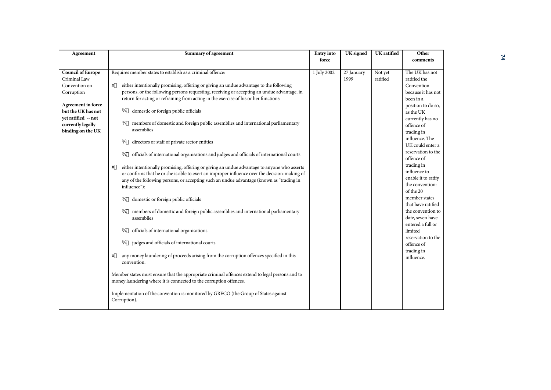| Agreement                                                                                                                                                                            | <b>Summary of agreement</b>                                                                                                                                                                                                                                                                                                                                                                                                                                                                                                                                                                                                                                                                                                                                                                                                                                                                                                                                                                                                  | <b>Entry</b> into    | UK signed          | UK ratified         | Other                                                                                                                                                                                                                                                                                                                                              |
|--------------------------------------------------------------------------------------------------------------------------------------------------------------------------------------|------------------------------------------------------------------------------------------------------------------------------------------------------------------------------------------------------------------------------------------------------------------------------------------------------------------------------------------------------------------------------------------------------------------------------------------------------------------------------------------------------------------------------------------------------------------------------------------------------------------------------------------------------------------------------------------------------------------------------------------------------------------------------------------------------------------------------------------------------------------------------------------------------------------------------------------------------------------------------------------------------------------------------|----------------------|--------------------|---------------------|----------------------------------------------------------------------------------------------------------------------------------------------------------------------------------------------------------------------------------------------------------------------------------------------------------------------------------------------------|
|                                                                                                                                                                                      |                                                                                                                                                                                                                                                                                                                                                                                                                                                                                                                                                                                                                                                                                                                                                                                                                                                                                                                                                                                                                              |                      |                    |                     | comments                                                                                                                                                                                                                                                                                                                                           |
| <b>Council of Europe</b><br>Criminal Law<br>Convention on<br>Corruption<br>Agreement in force<br>but the UK has not<br>yet ratified -- not<br>currently legally<br>binding on the UK | Requires member states to establish as a criminal offence:<br>either intentionally promising, offering or giving an undue advantage to the following<br>#<br>persons, or the following persons requesting, receiving or accepting an undue advantage, in<br>return for acting or refraining from acting in the exercise of his or her functions:<br>domestic or foreign public officials<br>Ø<br>members of domestic and foreign public assemblies and international parliamentary<br>Ø<br>assemblies<br>directors or staff of private sector entities<br>Ø<br>officials of international organisations and judges and officials of international courts<br>Ø<br>either intentionally promising, offering or giving an undue advantage to anyone who asserts<br>∉#<br>or confirms that he or she is able to exert an improper influence over the decision-making of<br>any of the following persons, or accepting such an undue advantage (known as "trading in<br>influence"):<br>domestic or foreign public officials<br>Ø | force<br>1 July 2002 | 27 January<br>1999 | Not yet<br>ratified | The UK has not<br>ratified the<br>Convention<br>because it has not<br>been in a<br>position to do so,<br>as the UK<br>currently has no<br>offence of<br>trading in<br>influence. The<br>UK could enter a<br>reservation to the<br>offence of<br>trading in<br>influence to<br>enable it to ratify<br>the convention:<br>of the 20<br>member states |
|                                                                                                                                                                                      | members of domestic and foreign public assemblies and international parliamentary<br>Ø<br>assemblies<br>officials of international organisations<br>Ø<br>judges and officials of international courts<br>Ø<br>any money laundering of proceeds arising from the corruption offences specified in this<br>#<br>convention.<br>Member states must ensure that the appropriate criminal offences extend to legal persons and to<br>money laundering where it is connected to the corruption offences.<br>Implementation of the convention is monitored by GRECO (the Group of States against<br>Corruption).                                                                                                                                                                                                                                                                                                                                                                                                                    |                      |                    |                     | that have ratified<br>the convention to<br>date, seven have<br>entered a full or<br>limited<br>reservation to the<br>offence of<br>trading in<br>influence.                                                                                                                                                                                        |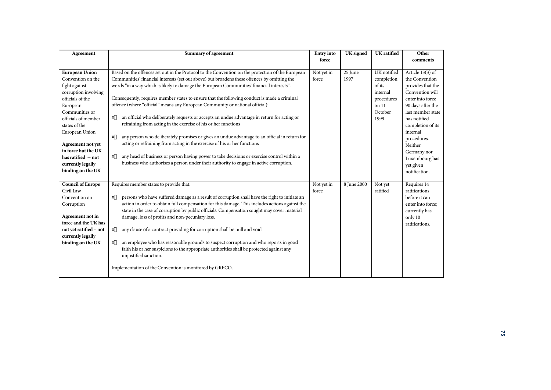| Agreement                                  | Summary of agreement                                                                                                                                                                   | <b>Entry</b> into | <b>UK</b> signed | UK ratified | Other             |
|--------------------------------------------|----------------------------------------------------------------------------------------------------------------------------------------------------------------------------------------|-------------------|------------------|-------------|-------------------|
|                                            |                                                                                                                                                                                        | force             |                  |             | comments          |
| <b>European Union</b>                      | Based on the offences set out in the Protocol to the Convention on the protection of the European                                                                                      | Not yet in        | 25 June          | UK notified | Article 13(3) of  |
| Convention on the                          | Communities' financial interests (set out above) but broadens these offences by omitting the                                                                                           | force             | 1997             | completion  | the Convention    |
| fight against                              | words "in a way which is likely to damage the European Communities' financial interests".                                                                                              |                   |                  | of its      | provides that the |
| corruption involving                       |                                                                                                                                                                                        |                   |                  | internal    | Convention will   |
| officials of the                           | Consequently, requires member states to ensure that the following conduct is made a criminal                                                                                           |                   |                  | procedures  | enter into force  |
| European                                   | offence (where "official" means any European Community or national official):                                                                                                          |                   |                  | on 11       | 90 days after the |
| Communities or                             |                                                                                                                                                                                        |                   |                  | October     | last member state |
| officials of member                        | an official who deliberately requests or accepts an undue advantage in return for acting or<br>#                                                                                       |                   |                  | 1999        | has notified      |
| states of the                              | refraining from acting in the exercise of his or her functions                                                                                                                         |                   |                  |             | completion of its |
| European Union                             |                                                                                                                                                                                        |                   |                  |             | internal          |
|                                            | any person who deliberately promises or gives an undue advantage to an official in return for<br>#<br>acting or refraining from acting in the exercise of his or her functions         |                   |                  |             | procedures.       |
| Agreement not yet                          |                                                                                                                                                                                        |                   |                  |             | Neither           |
| in force but the UK<br>has ratified -- not | any head of business or person having power to take decisions or exercise control within a<br>∉#                                                                                       |                   |                  |             | Germany nor       |
|                                            | business who authorises a person under their authority to engage in active corruption.                                                                                                 |                   |                  |             | Luxembourg has    |
| currently legally<br>binding on the UK     |                                                                                                                                                                                        |                   |                  |             | yet given         |
|                                            |                                                                                                                                                                                        |                   |                  |             | notification.     |
| <b>Council of Europe</b>                   | Requires member states to provide that:                                                                                                                                                | Not yet in        | 8 June 2000      | Not yet     | Requires 14       |
| Civil Law                                  |                                                                                                                                                                                        | force             |                  | ratified    | ratifications     |
| Convention on                              | persons who have suffered damage as a result of corruption shall have the right to initiate an<br>∉#                                                                                   |                   |                  |             | before it can     |
| Corruption                                 | action in order to obtain full compensation for this damage. This includes actions against the                                                                                         |                   |                  |             | enter into force: |
|                                            | state in the case of corruption by public officials. Compensation sought may cover material                                                                                            |                   |                  |             | currently has     |
| Agreement not in                           | damage, loss of profits and non-pecuniary loss.                                                                                                                                        |                   |                  |             | only 10           |
| force and the UK has                       |                                                                                                                                                                                        |                   |                  |             | ratifications.    |
| not yet ratified - not                     | any clause of a contract providing for corruption shall be null and void<br>∉#                                                                                                         |                   |                  |             |                   |
| currently legally                          |                                                                                                                                                                                        |                   |                  |             |                   |
| binding on the UK                          | an employee who has reasonable grounds to suspect corruption and who reports in good<br>#<br>faith his or her suspicions to the appropriate authorities shall be protected against any |                   |                  |             |                   |
|                                            | unjustified sanction.                                                                                                                                                                  |                   |                  |             |                   |
|                                            |                                                                                                                                                                                        |                   |                  |             |                   |
|                                            | Implementation of the Convention is monitored by GRECO.                                                                                                                                |                   |                  |             |                   |
|                                            |                                                                                                                                                                                        |                   |                  |             |                   |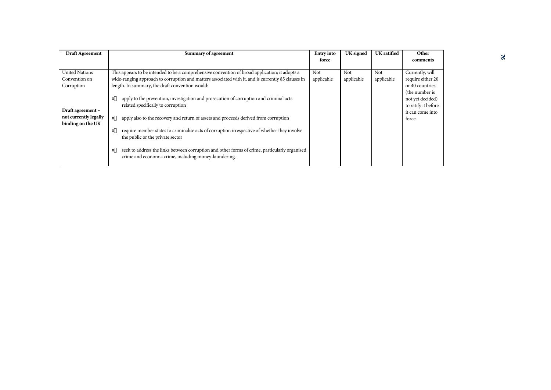| <b>Draft Agreement</b> | Summary of agreement                                                                                | <b>Entry</b> into | UK signed  | <b>UK</b> ratified | Other               |
|------------------------|-----------------------------------------------------------------------------------------------------|-------------------|------------|--------------------|---------------------|
|                        |                                                                                                     | force             |            |                    | comments            |
|                        |                                                                                                     |                   |            |                    |                     |
| <b>United Nations</b>  | This appears to be intended to be a comprehensive convention of broad application; it adopts a      | Not               | Not        | Not                | Currently, will     |
| Convention on          | wide-ranging approach to corruption and matters associated with it, and is currently 85 clauses in  | applicable        | applicable | applicable         | require either 20   |
| Corruption             | length. In summary, the draft convention would:                                                     |                   |            |                    | or 40 countries     |
|                        |                                                                                                     |                   |            |                    | (the number is      |
|                        | apply to the prevention, investigation and prosecution of corruption and criminal acts<br>∉#        |                   |            |                    | not yet decided)    |
|                        | related specifically to corruption                                                                  |                   |            |                    | to ratify it before |
| Draft agreement -      |                                                                                                     |                   |            |                    | it can come into    |
| not currently legally  | apply also to the recovery and return of assets and proceeds derived from corruption<br>∉#          |                   |            |                    | force.              |
| binding on the UK      |                                                                                                     |                   |            |                    |                     |
|                        | require member states to criminalise acts of corruption irrespective of whether they involve<br>∉#  |                   |            |                    |                     |
|                        | the public or the private sector                                                                    |                   |            |                    |                     |
|                        |                                                                                                     |                   |            |                    |                     |
|                        | seek to address the links between corruption and other forms of crime, particularly organised<br>∉# |                   |            |                    |                     |
|                        | crime and economic crime, including money-laundering.                                               |                   |            |                    |                     |
|                        |                                                                                                     |                   |            |                    |                     |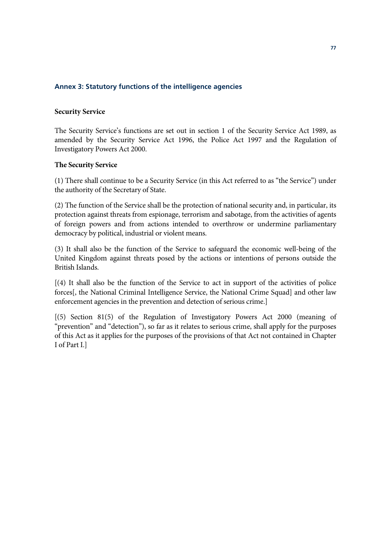## **Annex 3: Statutory functions of the intelligence agencies**

#### **Security Service**

The Security Service's functions are set out in section 1 of the Security Service Act 1989, as amended by the Security Service Act 1996, the Police Act 1997 and the Regulation of Investigatory Powers Act 2000.

## **The Security Service**

(1) There shall continue to be a Security Service (in this Act referred to as "the Service") under the authority of the Secretary of State.

(2) The function of the Service shall be the protection of national security and, in particular, its protection against threats from espionage, terrorism and sabotage, from the activities of agents of foreign powers and from actions intended to overthrow or undermine parliamentary democracy by political, industrial or violent means.

(3) It shall also be the function of the Service to safeguard the economic well-being of the United Kingdom against threats posed by the actions or intentions of persons outside the British Islands.

[(4) It shall also be the function of the Service to act in support of the activities of police forces[, the National Criminal Intelligence Service, the National Crime Squad] and other law enforcement agencies in the prevention and detection of serious crime.]

[(5) Section 81(5) of the Regulation of Investigatory Powers Act 2000 (meaning of "prevention" and "detection"), so far as it relates to serious crime, shall apply for the purposes of this Act as it applies for the purposes of the provisions of that Act not contained in Chapter I of Part I.]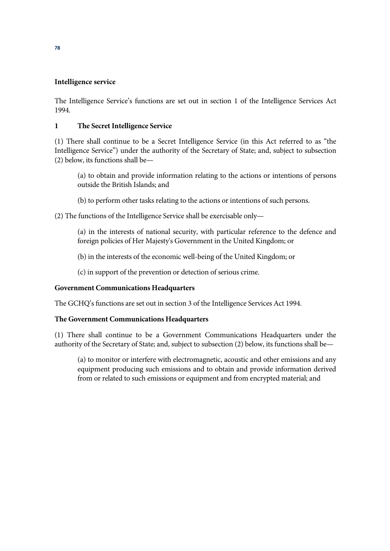# **Intelligence service**

The Intelligence Service's functions are set out in section 1 of the Intelligence Services Act 1994.

# **1 The Secret Intelligence Service**

(1) There shall continue to be a Secret Intelligence Service (in this Act referred to as "the Intelligence Service") under the authority of the Secretary of State; and, subject to subsection (2) below, its functions shall be—

(a) to obtain and provide information relating to the actions or intentions of persons outside the British Islands; and

(b) to perform other tasks relating to the actions or intentions of such persons.

(2) The functions of the Intelligence Service shall be exercisable only—

(a) in the interests of national security, with particular reference to the defence and foreign policies of Her Majesty's Government in the United Kingdom; or

(b) in the interests of the economic well-being of the United Kingdom; or

(c) in support of the prevention or detection of serious crime.

# **Government Communications Headquarters**

The GCHQ's functions are set out in section 3 of the Intelligence Services Act 1994.

# **The Government Communications Headquarters**

(1) There shall continue to be a Government Communications Headquarters under the authority of the Secretary of State; and, subject to subsection (2) below, its functions shall be—

(a) to monitor or interfere with electromagnetic, acoustic and other emissions and any equipment producing such emissions and to obtain and provide information derived from or related to such emissions or equipment and from encrypted material; and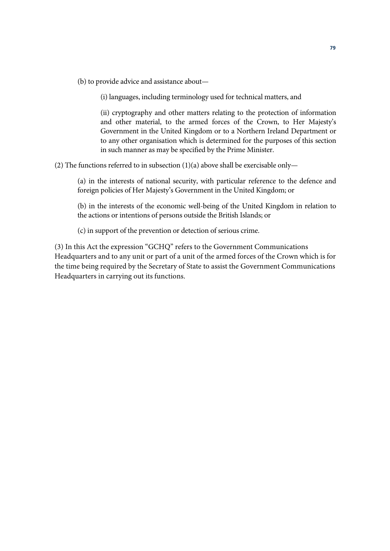(b) to provide advice and assistance about—

(i) languages, including terminology used for technical matters, and

(ii) cryptography and other matters relating to the protection of information and other material, to the armed forces of the Crown, to Her Majesty's Government in the United Kingdom or to a Northern Ireland Department or to any other organisation which is determined for the purposes of this section in such manner as may be specified by the Prime Minister.

(2) The functions referred to in subsection (1)(a) above shall be exercisable only—

(a) in the interests of national security, with particular reference to the defence and foreign policies of Her Majesty's Government in the United Kingdom; or

(b) in the interests of the economic well-being of the United Kingdom in relation to the actions or intentions of persons outside the British Islands; or

(c) in support of the prevention or detection of serious crime.

(3) In this Act the expression "GCHQ" refers to the Government Communications Headquarters and to any unit or part of a unit of the armed forces of the Crown which is for the time being required by the Secretary of State to assist the Government Communications Headquarters in carrying out its functions.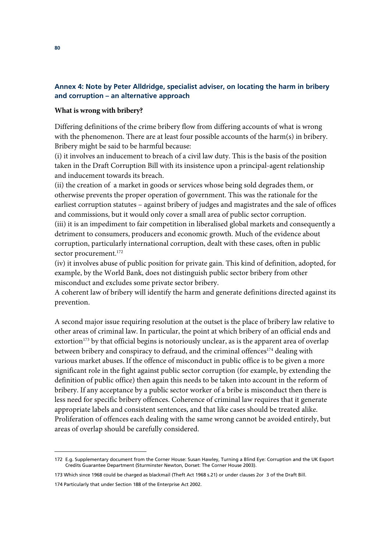# **Annex 4: Note by Peter Alldridge, specialist adviser, on locating the harm in bribery and corruption – an alternative approach**

#### **What is wrong with bribery?**

Differing definitions of the crime bribery flow from differing accounts of what is wrong with the phenomenon. There are at least four possible accounts of the harm(s) in bribery. Bribery might be said to be harmful because:

(i) it involves an inducement to breach of a civil law duty. This is the basis of the position taken in the Draft Corruption Bill with its insistence upon a principal-agent relationship and inducement towards its breach.

(ii) the creation of a market in goods or services whose being sold degrades them, or otherwise prevents the proper operation of government. This was the rationale for the earliest corruption statutes – against bribery of judges and magistrates and the sale of offices and commissions, but it would only cover a small area of public sector corruption. (iii) it is an impediment to fair competition in liberalised global markets and consequently a detriment to consumers, producers and economic growth. Much of the evidence about corruption, particularly international corruption, dealt with these cases, often in public sector procurement.<sup>172</sup>

(iv) it involves abuse of public position for private gain. This kind of definition, adopted, for example, by the World Bank, does not distinguish public sector bribery from other misconduct and excludes some private sector bribery.

A coherent law of bribery will identify the harm and generate definitions directed against its prevention.

A second major issue requiring resolution at the outset is the place of bribery law relative to other areas of criminal law. In particular, the point at which bribery of an official ends and extortion<sup>173</sup> by that official begins is notoriously unclear, as is the apparent area of overlap between bribery and conspiracy to defraud, and the criminal offences<sup>174</sup> dealing with various market abuses. If the offence of misconduct in public office is to be given a more significant role in the fight against public sector corruption (for example, by extending the definition of public office) then again this needs to be taken into account in the reform of bribery. If any acceptance by a public sector worker of a bribe is misconduct then there is less need for specific bribery offences. Coherence of criminal law requires that it generate appropriate labels and consistent sentences, and that like cases should be treated alike. Proliferation of offences each dealing with the same wrong cannot be avoided entirely, but areas of overlap should be carefully considered.

<sup>172</sup> E.g. Supplementary document from the Corner House: Susan Hawley, Turning a Blind Eye: Corruption and the UK Export Credits Guarantee Department (Sturminster Newton, Dorset: The Corner House 2003).

<sup>173</sup> Which since 1968 could be charged as blackmail (Theft Act 1968 s.21) or under clauses 2or 3 of the Draft Bill.

<sup>174</sup> Particularly that under Section 188 of the Enterprise Act 2002.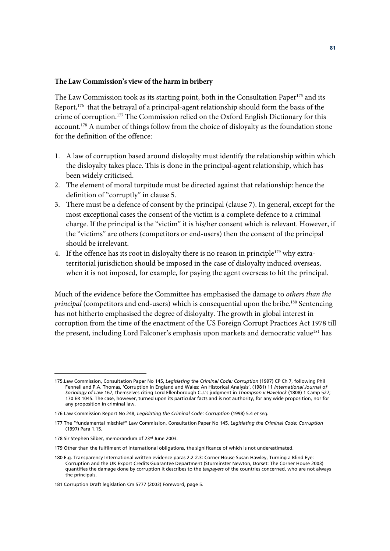#### **The Law Commission's view of the harm in bribery**

The Law Commission took as its starting point, both in the Consultation Paper<sup>175</sup> and its Report,176 that the betrayal of a principal-agent relationship should form the basis of the crime of corruption.177 The Commission relied on the Oxford English Dictionary for this account.178 A number of things follow from the choice of disloyalty as the foundation stone for the definition of the offence:

- 1. A law of corruption based around disloyalty must identify the relationship within which the disloyalty takes place. This is done in the principal-agent relationship, which has been widely criticised.
- 2. The element of moral turpitude must be directed against that relationship: hence the definition of "corruptly" in clause 5.
- 3. There must be a defence of consent by the principal (clause 7). In general, except for the most exceptional cases the consent of the victim is a complete defence to a criminal charge. If the principal is the "victim" it is his/her consent which is relevant. However, if the "victims" are others (competitors or end-users) then the consent of the principal should be irrelevant.
- 4. If the offence has its root in disloyalty there is no reason in principle<sup>179</sup> why extraterritorial jurisdiction should be imposed in the case of disloyalty induced overseas, when it is not imposed, for example, for paying the agent overseas to hit the principal.

Much of the evidence before the Committee has emphasised the damage to *others than the principal* (competitors and end-users) which is consequential upon the bribe.<sup>180</sup> Sentencing has not hitherto emphasised the degree of disloyalty. The growth in global interest in corruption from the time of the enactment of the US Foreign Corrupt Practices Act 1978 till the present, including Lord Falconer's emphasis upon markets and democratic value<sup>181</sup> has

<sup>175.</sup>Law Commission, Consultation Paper No 145, *Legislating the Criminal Code: Corruption* (1997) CP Ch 7, following Phil Fennell and P.A. Thomas, 'Corruption in England and Wales: An Historical Analysis', (1981) 11 *International Journal of Sociology of Law* 167, themselves citing Lord Ellenborough C.J.'s judgment in *Thompson v Havelock* (1808) 1 Camp 527; 170 ER 1045. The case, however, turned upon its particular facts and is not authority, for any wide proposition, nor for any proposition in criminal law.

<sup>176</sup> Law Commission Report No 248, *Legislating the Criminal Code: Corruption* (1998) 5.4 *et seq.*

<sup>177</sup> The "fundamental mischief" Law Commission, Consultation Paper No 145, *Legislating the Criminal Code: Corruption* (1997) Para 1.15.

<sup>178</sup> Sir Stephen Silber, memorandum of 23rd June 2003.

<sup>179</sup> Other than the fulfilment of international obligations, the significance of which is not underestimated.

<sup>180</sup> E.g. Transparency International written evidence paras 2.2-2.3: Corner House Susan Hawley, Turning a Blind Eye: Corruption and the UK Export Credits Guarantee Department (Sturminster Newton, Dorset: The Corner House 2003) quantifies the damage done by corruption it describes to the *taxpayers* of the countries concerned, who are not always the principals.

<sup>181</sup> Corruption Draft legislation Cm 5777 (2003) Foreword, page 5.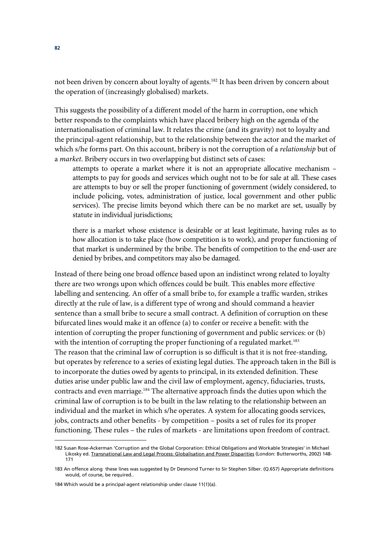not been driven by concern about loyalty of agents.<sup>182</sup> It has been driven by concern about the operation of (increasingly globalised) markets.

This suggests the possibility of a different model of the harm in corruption, one which better responds to the complaints which have placed bribery high on the agenda of the internationalisation of criminal law. It relates the crime (and its gravity) not to loyalty and the principal-agent relationship, but to the relationship between the actor and the market of which s/he forms part. On this account, bribery is not the corruption of a *relationship* but of a *market*. Bribery occurs in two overlapping but distinct sets of cases:

attempts to operate a market where it is not an appropriate allocative mechanism – attempts to pay for goods and services which ought not to be for sale at all. These cases are attempts to buy or sell the proper functioning of government (widely considered, to include policing, votes, administration of justice, local government and other public services). The precise limits beyond which there can be no market are set, usually by statute in individual jurisdictions;

there is a market whose existence is desirable or at least legitimate, having rules as to how allocation is to take place (how competition is to work), and proper functioning of that market is undermined by the bribe. The benefits of competition to the end-user are denied by bribes, and competitors may also be damaged.

Instead of there being one broad offence based upon an indistinct wrong related to loyalty there are two wrongs upon which offences could be built. This enables more effective labelling and sentencing. An offer of a small bribe to, for example a traffic warden, strikes directly at the rule of law, is a different type of wrong and should command a heavier sentence than a small bribe to secure a small contract. A definition of corruption on these bifurcated lines would make it an offence (a) to confer or receive a benefit: with the intention of corrupting the proper functioning of government and public services: or (b) with the intention of corrupting the proper functioning of a regulated market.<sup>183</sup> The reason that the criminal law of corruption is so difficult is that it is not free-standing, but operates by reference to a series of existing legal duties. The approach taken in the Bill is to incorporate the duties owed by agents to principal, in its extended definition. These duties arise under public law and the civil law of employment, agency, fiduciaries, trusts, contracts and even marriage.184 The alternative approach finds the duties upon which the criminal law of corruption is to be built in the law relating to the relationship between an individual and the market in which s/he operates. A system for allocating goods services, jobs, contracts and other benefits - by competition – posits a set of rules for its proper functioning. These rules – the rules of markets - are limitations upon freedom of contract.

<sup>182</sup> Susan Rose-Ackerman 'Corruption and the Global Corporation: Ethical Obligations and Workable Strategies' in Michael Likosky ed. Transnational Law and Legal Process: Globalisation and Power Disparities (London: Butterworths, 2002) 148- 171

<sup>183</sup> An offence along these lines was suggested by Dr Desmond Turner to Sir Stephen Silber. (Q.657) Appropriate definitions would, of course, be required..

<sup>184</sup> Which would be a principal-agent relationship under clause 11(1)(a).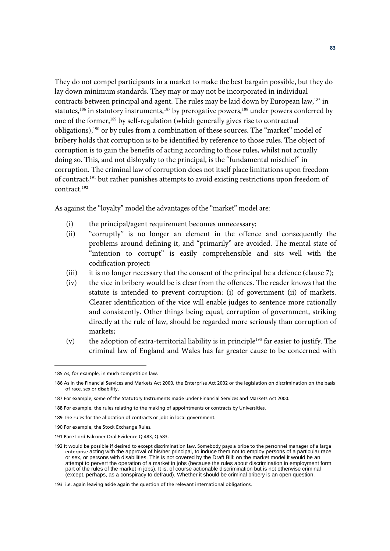They do not compel participants in a market to make the best bargain possible, but they do lay down minimum standards. They may or may not be incorporated in individual contracts between principal and agent. The rules may be laid down by European law,<sup>185</sup> in statutes,<sup>186</sup> in statutory instruments,<sup>187</sup> by prerogative powers,<sup>188</sup> under powers conferred by one of the former,189 by self-regulation (which generally gives rise to contractual obligations),190 or by rules from a combination of these sources. The "market" model of bribery holds that corruption is to be identified by reference to those rules. The object of corruption is to gain the benefits of acting according to those rules, whilst not actually doing so. This, and not disloyalty to the principal, is the "fundamental mischief" in corruption. The criminal law of corruption does not itself place limitations upon freedom of contract,<sup>191</sup> but rather punishes attempts to avoid existing restrictions upon freedom of contract.192

As against the "loyalty" model the advantages of the "market" model are:

- (i) the principal/agent requirement becomes unnecessary;
- (ii) "corruptly" is no longer an element in the offence and consequently the problems around defining it, and "primarily" are avoided. The mental state of "intention to corrupt" is easily comprehensible and sits well with the codification project;
- (iii) it is no longer necessary that the consent of the principal be a defence (clause 7);
- (iv) the vice in bribery would be is clear from the offences. The reader knows that the statute is intended to prevent corruption: (i) of government (ii) of markets. Clearer identification of the vice will enable judges to sentence more rationally and consistently. Other things being equal, corruption of government, striking directly at the rule of law, should be regarded more seriously than corruption of markets;
- (v) the adoption of extra-territorial liability is in principle<sup>193</sup> far easier to justify. The criminal law of England and Wales has far greater cause to be concerned with

<sup>185</sup> As, for example, in much competition law.

<sup>186</sup> As in the Financial Services and Markets Act 2000, the Enterprise Act 2002 or the legislation on discrimination on the basis of race. sex or disability.

<sup>187</sup> For example, some of the Statutory Instruments made under Financial Services and Markets Act 2000.

<sup>188</sup> For example, the rules relating to the making of appointments or contracts by Universities.

<sup>189</sup> The rules for the allocation of contracts or jobs in local government.

<sup>190</sup> For example, the Stock Exchange Rules.

<sup>191</sup> Pace Lord Falconer Oral Evidence Q 483, Q.583.

<sup>192</sup> It would be possible if desired to except discrimination law. Somebody pays a bribe to the personnel manager of a large enterprise acting with the approval of his/her principal, to induce them not to employ persons of a particular race or sex, or persons with disabilities. This is not covered by the Draft Bill: on the market model it would be an attempt to pervert the operation of a market in jobs (because the rules about discrimination in employment form part of the rules of the market in jobs). It is, of course actionable discrimination but is not otherwise criminal (except, perhaps, as a conspiracy to defraud). Whether it should be criminal bribery is an open question.

<sup>193</sup> i.e. again leaving aside again the question of the relevant international obligations.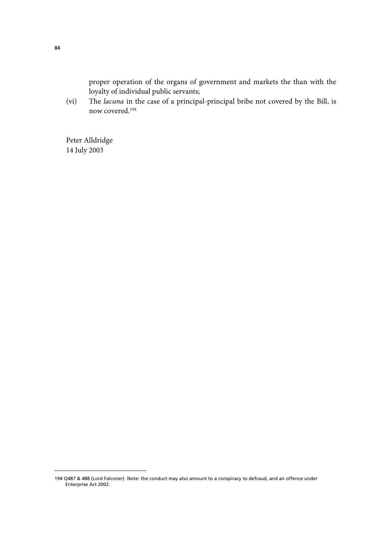proper operation of the organs of government and markets the than with the loyalty of individual public servants;

(vi) The *lacuna* in the case of a principal-principal bribe not covered by the Bill, is now covered.194

Peter Alldridge 14 July 2003

<sup>194</sup> Q487 & 488 (Lord Falconer) Note: the conduct may also amount to a conspiracy to defraud, and an offence under Enterprise Act 2002.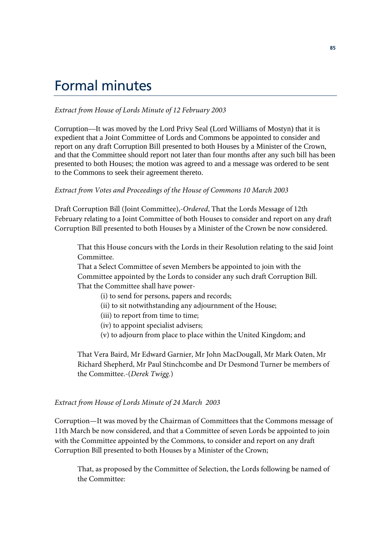# Formal minutes

#### *Extract from House of Lords Minute of 12 February 2003*

Corruption—It was moved by the Lord Privy Seal (Lord Williams of Mostyn) that it is expedient that a Joint Committee of Lords and Commons be appointed to consider and report on any draft Corruption Bill presented to both Houses by a Minister of the Crown, and that the Committee should report not later than four months after any such bill has been presented to both Houses; the motion was agreed to and a message was ordered to be sent to the Commons to seek their agreement thereto.

#### *Extract from Votes and Proceedings of the House of Commons 10 March 2003*

Draft Corruption Bill (Joint Committee),-*Ordered*, That the Lords Message of 12th February relating to a Joint Committee of both Houses to consider and report on any draft Corruption Bill presented to both Houses by a Minister of the Crown be now considered.

That this House concurs with the Lords in their Resolution relating to the said Joint Committee.

That a Select Committee of seven Members be appointed to join with the Committee appointed by the Lords to consider any such draft Corruption Bill. That the Committee shall have power-

- (i) to send for persons, papers and records;
- (ii) to sit notwithstanding any adjournment of the House;
- (iii) to report from time to time;
- (iv) to appoint specialist advisers;
- (v) to adjourn from place to place within the United Kingdom; and

That Vera Baird, Mr Edward Garnier, Mr John MacDougall, Mr Mark Oaten, Mr Richard Shepherd, Mr Paul Stinchcombe and Dr Desmond Turner be members of the Committee.-(*Derek Twigg.*)

#### *Extract from House of Lords Minute of 24 March 2003*

Corruption—It was moved by the Chairman of Committees that the Commons message of 11th March be now considered, and that a Committee of seven Lords be appointed to join with the Committee appointed by the Commons, to consider and report on any draft Corruption Bill presented to both Houses by a Minister of the Crown;

That, as proposed by the Committee of Selection, the Lords following be named of the Committee: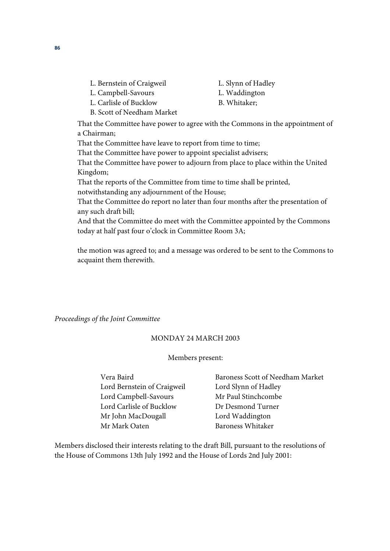- L. Bernstein of Craigweil
- L. Campbell-Savours L. Carlisle of Bucklow
- L. Slynn of Hadley
- L. Waddington
- B. Whitaker;
- B. Scott of Needham Market

That the Committee have power to agree with the Commons in the appointment of a Chairman;

That the Committee have leave to report from time to time;

That the Committee have power to appoint specialist advisers;

That the Committee have power to adjourn from place to place within the United Kingdom;

That the reports of the Committee from time to time shall be printed,

notwithstanding any adjournment of the House;

That the Committee do report no later than four months after the presentation of any such draft bill;

And that the Committee do meet with the Committee appointed by the Commons today at half past four o'clock in Committee Room 3A;

the motion was agreed to; and a message was ordered to be sent to the Commons to acquaint them therewith.

*Proceedings of the Joint Committee* 

# MONDAY 24 MARCH 2003

#### Members present:

 Lord Bernstein of Craigweil Lord Slynn of Hadley Lord Campbell-Savours Mr Paul Stinchcombe Lord Carlisle of Bucklow Dr Desmond Turner Mr John MacDougall **Lord Waddington** Mr Mark Oaten Baroness Whitaker

Vera Baird Baroness Scott of Needham Market

Members disclosed their interests relating to the draft Bill, pursuant to the resolutions of the House of Commons 13th July 1992 and the House of Lords 2nd July 2001: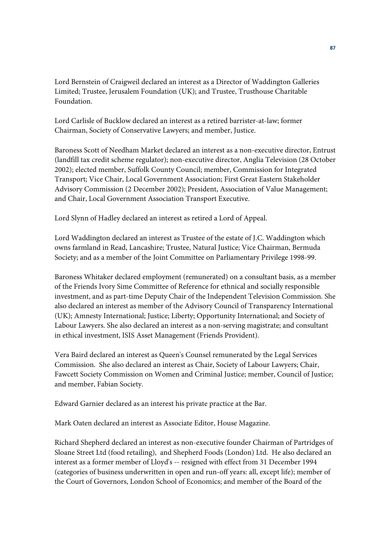Lord Bernstein of Craigweil declared an interest as a Director of Waddington Galleries Limited; Trustee, Jerusalem Foundation (UK); and Trustee, Trusthouse Charitable Foundation.

Lord Carlisle of Bucklow declared an interest as a retired barrister-at-law; former Chairman, Society of Conservative Lawyers; and member, Justice.

Baroness Scott of Needham Market declared an interest as a non-executive director, Entrust (landfill tax credit scheme regulator); non-executive director, Anglia Television (28 October 2002); elected member, Suffolk County Council; member, Commission for Integrated Transport; Vice Chair, Local Government Association; First Great Eastern Stakeholder Advisory Commission (2 December 2002); President, Association of Value Management; and Chair, Local Government Association Transport Executive.

Lord Slynn of Hadley declared an interest as retired a Lord of Appeal.

Lord Waddington declared an interest as Trustee of the estate of J.C. Waddington which owns farmland in Read, Lancashire; Trustee, Natural Justice; Vice Chairman, Bermuda Society; and as a member of the Joint Committee on Parliamentary Privilege 1998-99.

Baroness Whitaker declared employment (remunerated) on a consultant basis, as a member of the Friends Ivory Sime Committee of Reference for ethnical and socially responsible investment, and as part-time Deputy Chair of the Independent Television Commission. She also declared an interest as member of the Advisory Council of Transparency International (UK); Amnesty International; Justice; Liberty; Opportunity International; and Society of Labour Lawyers. She also declared an interest as a non-serving magistrate; and consultant in ethical investment, ISIS Asset Management (Friends Provident).

Vera Baird declared an interest as Queen's Counsel remunerated by the Legal Services Commission. She also declared an interest as Chair, Society of Labour Lawyers; Chair, Fawcett Society Commission on Women and Criminal Justice; member, Council of Justice; and member, Fabian Society.

Edward Garnier declared as an interest his private practice at the Bar.

Mark Oaten declared an interest as Associate Editor, House Magazine.

Richard Shepherd declared an interest as non-executive founder Chairman of Partridges of Sloane Street Ltd (food retailing), and Shepherd Foods (London) Ltd. He also declared an interest as a former member of Lloyd's -- resigned with effect from 31 December 1994 (categories of business underwritten in open and run-off years: all, except life); member of the Court of Governors, London School of Economics; and member of the Board of the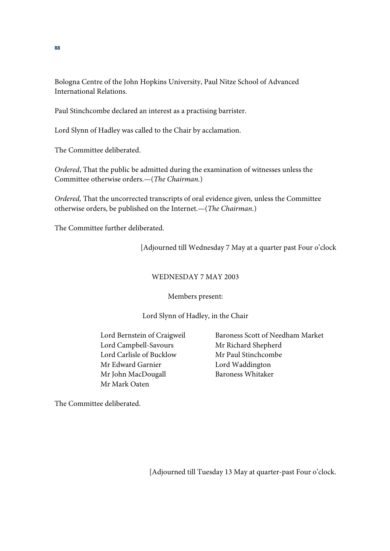Bologna Centre of the John Hopkins University, Paul Nitze School of Advanced International Relations.

Paul Stinchcombe declared an interest as a practising barrister.

Lord Slynn of Hadley was called to the Chair by acclamation.

The Committee deliberated.

*Ordered*, That the public be admitted during the examination of witnesses unless the Committee otherwise orders.—(*The Chairman.*)

*Ordered,* That the uncorrected transcripts of oral evidence given, unless the Committee otherwise orders, be published on the Internet.—(*The Chairman.*)

The Committee further deliberated.

[Adjourned till Wednesday 7 May at a quarter past Four o'clock

# WEDNESDAY 7 MAY 2003

# Members present:

# Lord Slynn of Hadley, in the Chair

Lord Campbell-Savours Mr Richard Shepherd Lord Carlisle of Bucklow Mr Paul Stinchcombe Mr Edward Garnier Lord Waddington Mr John MacDougall Baroness Whitaker Mr Mark Oaten

Lord Bernstein of Craigweil Baroness Scott of Needham Market

The Committee deliberated.

[Adjourned till Tuesday 13 May at quarter-past Four o'clock.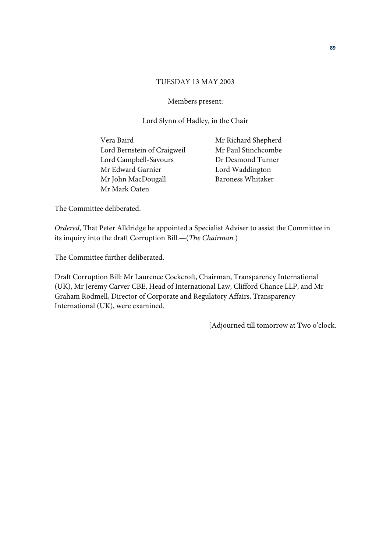#### TUESDAY 13 MAY 2003

#### Members present:

#### Lord Slynn of Hadley, in the Chair

Vera Baird Mr Richard Shepherd Lord Bernstein of Craigweil Mr Paul Stinchcombe Lord Campbell-Savours Dr Desmond Turner Mr Edward Garnier **Lord Waddington** Mr John MacDougall Baroness Whitaker Mr Mark Oaten

The Committee deliberated.

*Ordered*, That Peter Alldridge be appointed a Specialist Adviser to assist the Committee in its inquiry into the draft Corruption Bill.—(*The Chairman.*)

The Committee further deliberated.

Draft Corruption Bill: Mr Laurence Cockcroft, Chairman, Transparency International (UK), Mr Jeremy Carver CBE, Head of International Law, Clifford Chance LLP, and Mr Graham Rodmell, Director of Corporate and Regulatory Affairs, Transparency International (UK), were examined.

[Adjourned till tomorrow at Two o'clock.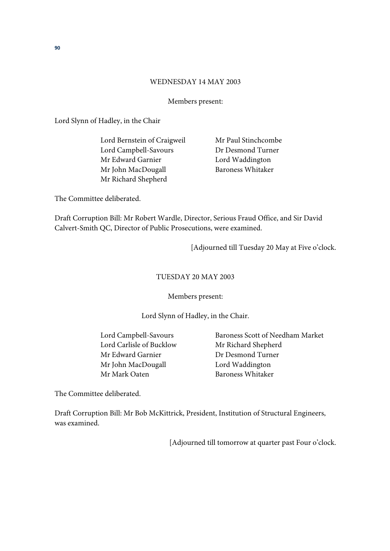#### WEDNESDAY 14 MAY 2003

Members present:

Lord Slynn of Hadley, in the Chair

Lord Bernstein of Craigweil Mr Paul Stinchcombe Lord Campbell-Savours Dr Desmond Turner Mr Edward Garnier Lord Waddington Mr John MacDougall Baroness Whitaker Mr Richard Shepherd

The Committee deliberated.

Draft Corruption Bill: Mr Robert Wardle, Director, Serious Fraud Office, and Sir David Calvert-Smith QC, Director of Public Prosecutions, were examined.

[Adjourned till Tuesday 20 May at Five o'clock.

## TUESDAY 20 MAY 2003

Members present:

Lord Slynn of Hadley, in the Chair.

 Lord Carlisle of Bucklow Mr Richard Shepherd Mr Edward Garnier **Dr Desmond Turner** Mr John MacDougall Lord Waddington Mr Mark Oaten Baroness Whitaker

Lord Campbell-Savours Baroness Scott of Needham Market

The Committee deliberated.

Draft Corruption Bill: Mr Bob McKittrick, President, Institution of Structural Engineers, was examined.

[Adjourned till tomorrow at quarter past Four o'clock.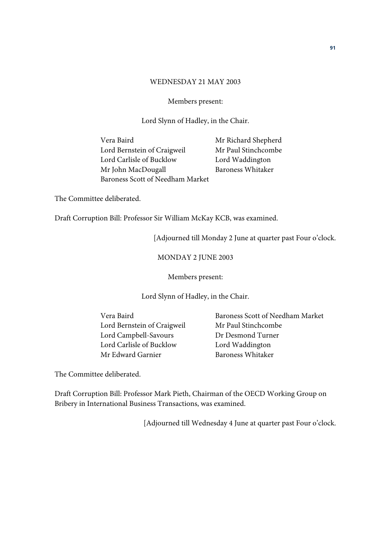#### WEDNESDAY 21 MAY 2003

#### Members present:

Lord Slynn of Hadley, in the Chair.

Vera Baird Mr Richard Shepherd Lord Bernstein of Craigweil Mr Paul Stinchcombe Lord Carlisle of Bucklow Lord Waddington Mr John MacDougall Baroness Whitaker Baroness Scott of Needham Market

The Committee deliberated.

Draft Corruption Bill: Professor Sir William McKay KCB, was examined.

[Adjourned till Monday 2 June at quarter past Four o'clock.

# MONDAY 2 JUNE 2003

Members present:

Lord Slynn of Hadley, in the Chair.

 Lord Bernstein of Craigweil Mr Paul Stinchcombe Lord Campbell-Savours Dr Desmond Turner Lord Carlisle of Bucklow Lord Waddington Mr Edward Garnier Baroness Whitaker

Vera Baird Baroness Scott of Needham Market

The Committee deliberated.

Draft Corruption Bill: Professor Mark Pieth, Chairman of the OECD Working Group on Bribery in International Business Transactions, was examined.

[Adjourned till Wednesday 4 June at quarter past Four o'clock.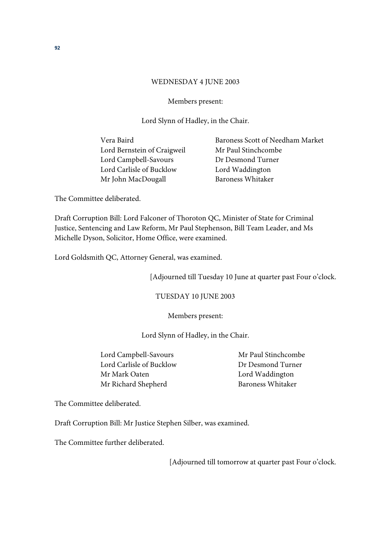#### WEDNESDAY 4 JUNE 2003

Members present:

Lord Slynn of Hadley, in the Chair.

Lord Bernstein of Craigweil Mr Paul Stinchcombe Lord Campbell-Savours Dr Desmond Turner Lord Carlisle of Bucklow Lord Waddington Mr John MacDougall Baroness Whitaker

Vera Baird Baroness Scott of Needham Market

The Committee deliberated.

Draft Corruption Bill: Lord Falconer of Thoroton QC, Minister of State for Criminal Justice, Sentencing and Law Reform, Mr Paul Stephenson, Bill Team Leader, and Ms Michelle Dyson, Solicitor, Home Office, were examined.

Lord Goldsmith QC, Attorney General, was examined.

[Adjourned till Tuesday 10 June at quarter past Four o'clock.

TUESDAY 10 JUNE 2003

Members present:

Lord Slynn of Hadley, in the Chair.

Lord Campbell-Savours Mr Paul Stinchcombe Lord Carlisle of Bucklow Dr Desmond Turner Mr Mark Oaten **Lord Waddington** Mr Richard Shepherd Baroness Whitaker

The Committee deliberated.

Draft Corruption Bill: Mr Justice Stephen Silber, was examined.

The Committee further deliberated.

[Adjourned till tomorrow at quarter past Four o'clock.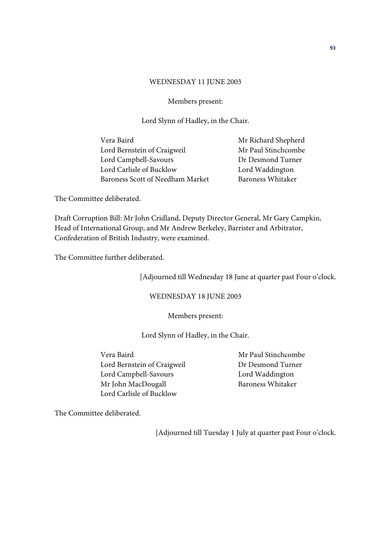#### WEDNESDAY 11 JUNE 2003

#### Members present:

Lord Slynn of Hadley, in the Chair.

| Vera Baird                       | Mr Richard Shepherd      |
|----------------------------------|--------------------------|
| Lord Bernstein of Craigweil      | Mr Paul Stinchcombe      |
| Lord Campbell-Savours            | Dr Desmond Turner        |
| Lord Carlisle of Bucklow         | Lord Waddington          |
| Baroness Scott of Needham Market | <b>Baroness Whitaker</b> |
|                                  |                          |

The Committee deliberated.

Draft Corruption Bill: Mr John Cridland, Deputy Director General, Mr Gary Campkin, Head of International Group, and Mr Andrew Berkeley, Barrister and Arbitrator, Confederation of British Industry, were examined.

The Committee further deliberated.

[Adjourned till Wednesday 18 June at quarter past Four o'clock.

WEDNESDAY 18 JUNE 2003

Members present:

Lord Slynn of Hadley, in the Chair.

 Vera Baird Mr Paul Stinchcombe Lord Bernstein of Craigweil Dr Desmond Turner Lord Campbell-Savours Lord Waddington Mr John MacDougall Baroness Whitaker Lord Carlisle of Bucklow

The Committee deliberated.

[Adjourned till Tuesday 1 July at quarter past Four o'clock.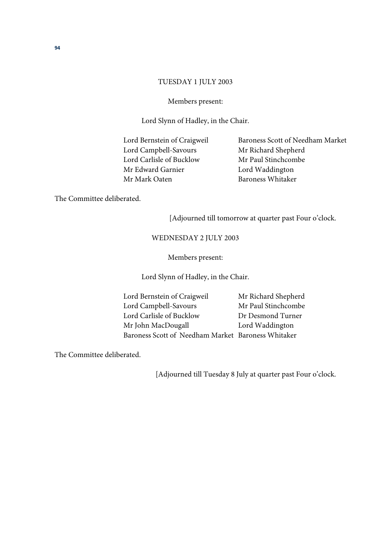#### TUESDAY 1 JULY 2003

#### Members present:

Lord Slynn of Hadley, in the Chair.

Lord Campbell-Savours Mr Richard Shepherd Lord Carlisle of Bucklow Mr Paul Stinchcombe Mr Edward Garnier Lord Waddington Mr Mark Oaten Baroness Whitaker

Lord Bernstein of Craigweil Baroness Scott of Needham Market

The Committee deliberated.

[Adjourned till tomorrow at quarter past Four o'clock.

#### WEDNESDAY 2 JULY 2003

#### Members present:

Lord Slynn of Hadley, in the Chair.

Lord Bernstein of Craigweil Mr Richard Shepherd Lord Campbell-Savours Mr Paul Stinchcombe Lord Carlisle of Bucklow Dr Desmond Turner Mr John MacDougall Lord Waddington Baroness Scott of Needham Market Baroness Whitaker

The Committee deliberated.

[Adjourned till Tuesday 8 July at quarter past Four o'clock.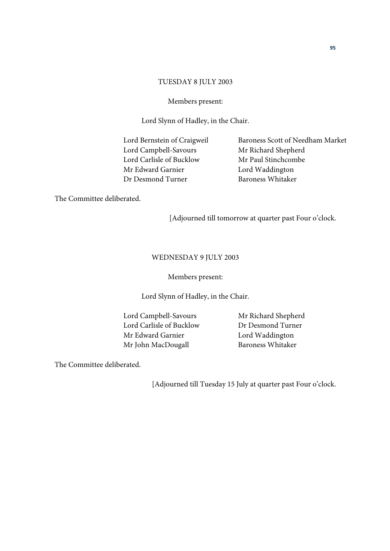#### TUESDAY 8 JULY 2003

#### Members present:

Lord Slynn of Hadley, in the Chair.

Lord Campbell-Savours Mr Richard Shepherd Lord Carlisle of Bucklow Mr Paul Stinchcombe Mr Edward Garnier **Lord Waddington** Dr Desmond Turner Baroness Whitaker

Lord Bernstein of Craigweil Baroness Scott of Needham Market

The Committee deliberated.

[Adjourned till tomorrow at quarter past Four o'clock.

#### WEDNESDAY 9 JULY 2003

Members present:

Lord Slynn of Hadley, in the Chair.

 Lord Campbell-Savours Mr Richard Shepherd Lord Carlisle of Bucklow Dr Desmond Turner Mr Edward Garnier Lord Waddington Mr John MacDougall Baroness Whitaker

The Committee deliberated.

[Adjourned till Tuesday 15 July at quarter past Four o'clock.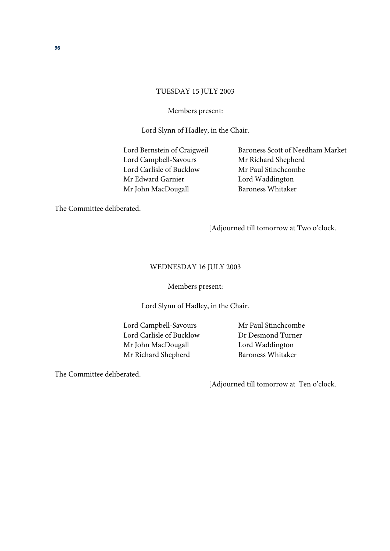#### TUESDAY 15 JULY 2003

#### Members present:

Lord Slynn of Hadley, in the Chair.

Lord Campbell-Savours Mr Richard Shepherd Lord Carlisle of Bucklow Mr Paul Stinchcombe Mr Edward Garnier Lord Waddington Mr John MacDougall Baroness Whitaker

Lord Bernstein of Craigweil Baroness Scott of Needham Market

The Committee deliberated.

[Adjourned till tomorrow at Two o'clock.

#### WEDNESDAY 16 JULY 2003

#### Members present:

Lord Slynn of Hadley, in the Chair.

Lord Campbell-Savours Mr Paul Stinchcombe Lord Carlisle of Bucklow Dr Desmond Turner Mr John MacDougall **Lord Waddington** Mr Richard Shepherd Baroness Whitaker

The Committee deliberated.

[Adjourned till tomorrow at Ten o'clock.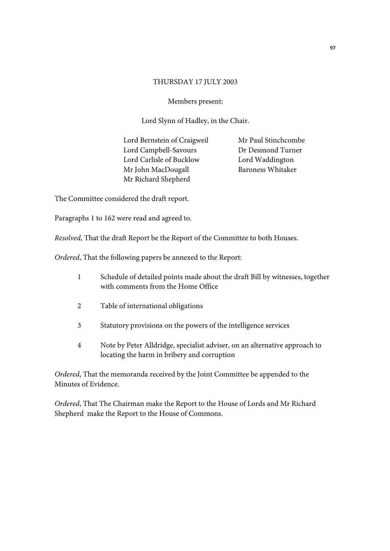#### THURSDAY 17 JULY 2003

## Members present:

Lord Slynn of Hadley, in the Chair.

Lord Bernstein of Craigweil Mr Paul Stinchcombe Lord Campbell-Savours Dr Desmond Turner Lord Carlisle of Bucklow Lord Waddington Mr John MacDougall Baroness Whitaker Mr Richard Shepherd

The Committee considered the draft report.

Paragraphs 1 to 162 were read and agreed to.

*Resolved*, That the draft Report be the Report of the Committee to both Houses.

*Ordered*, That the following papers be annexed to the Report:

- 1 Schedule of detailed points made about the draft Bill by witnesses, together with comments from the Home Office
- 2 Table of international obligations
- 3 Statutory provisions on the powers of the intelligence services
- 4 Note by Peter Alldridge, specialist adviser, on an alternative approach to locating the harm in bribery and corruption

*Ordered*, That the memoranda received by the Joint Committee be appended to the Minutes of Evidence.

*Ordered*, That The Chairman make the Report to the House of Lords and Mr Richard Shepherd make the Report to the House of Commons.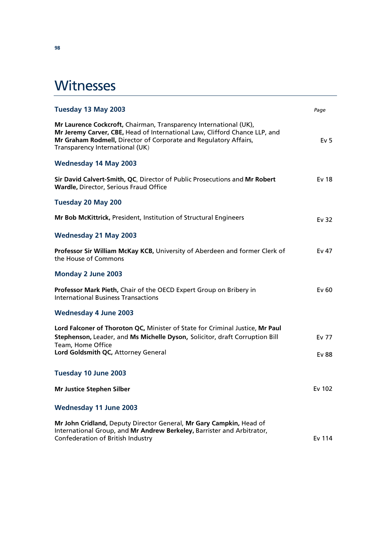# **Witnesses**

| Tuesday 13 May 2003                                                                                                                                                                                                                                    | Page            |
|--------------------------------------------------------------------------------------------------------------------------------------------------------------------------------------------------------------------------------------------------------|-----------------|
| Mr Laurence Cockcroft, Chairman, Transparency International (UK),<br>Mr Jeremy Carver, CBE, Head of International Law, Clifford Chance LLP, and<br>Mr Graham Rodmell, Director of Corporate and Regulatory Affairs,<br>Transparency International (UK) | Ev <sub>5</sub> |
| <b>Wednesday 14 May 2003</b>                                                                                                                                                                                                                           |                 |
| Sir David Calvert-Smith, QC, Director of Public Prosecutions and Mr Robert<br>Wardle, Director, Serious Fraud Office                                                                                                                                   | Ev 18           |
| <b>Tuesday 20 May 200</b>                                                                                                                                                                                                                              |                 |
| Mr Bob McKittrick, President, Institution of Structural Engineers                                                                                                                                                                                      | Ev 32           |
| <b>Wednesday 21 May 2003</b>                                                                                                                                                                                                                           |                 |
| Professor Sir William McKay KCB, University of Aberdeen and former Clerk of<br>the House of Commons                                                                                                                                                    | Ev 47           |
| Monday 2 June 2003                                                                                                                                                                                                                                     |                 |
| Professor Mark Pieth, Chair of the OECD Expert Group on Bribery in<br><b>International Business Transactions</b>                                                                                                                                       | Ev60            |
| <b>Wednesday 4 June 2003</b>                                                                                                                                                                                                                           |                 |
| Lord Falconer of Thoroton QC, Minister of State for Criminal Justice, Mr Paul<br>Stephenson, Leader, and Ms Michelle Dyson, Solicitor, draft Corruption Bill<br>Team, Home Office                                                                      | Ev 77           |
| Lord Goldsmith QC, Attorney General                                                                                                                                                                                                                    | Ev 88           |
| Tuesday 10 June 2003                                                                                                                                                                                                                                   |                 |
| <b>Mr Justice Stephen Silber</b>                                                                                                                                                                                                                       | Ev 102          |
| <b>Wednesday 11 June 2003</b>                                                                                                                                                                                                                          |                 |
| Mr John Cridland, Deputy Director General, Mr Gary Campkin, Head of<br>International Group, and Mr Andrew Berkeley, Barrister and Arbitrator,<br>Confederation of British Industry                                                                     | Ev 114          |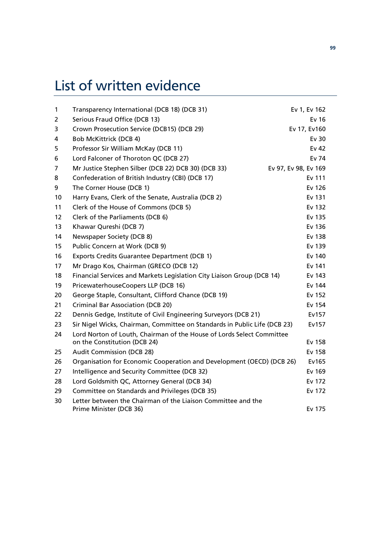# List of written evidence

| $\mathbf{1}$ | Transparency International (DCB 18) (DCB 31)                                            | Ev 1, Ev 162         |
|--------------|-----------------------------------------------------------------------------------------|----------------------|
| 2            | Serious Fraud Office (DCB 13)                                                           | Ev 16                |
| 3            | Crown Prosecution Service (DCB15) (DCB 29)                                              | Ev 17, Ev160         |
| 4            | Bob McKittrick (DCB 4)                                                                  | Ev 30                |
| 5            | Professor Sir William McKay (DCB 11)                                                    | Ev 42                |
| 6            | Lord Falconer of Thoroton QC (DCB 27)                                                   | Ev 74                |
| 7            | Mr Justice Stephen Silber (DCB 22) DCB 30) (DCB 33)                                     | Ev 97, Ev 98, Ev 169 |
| 8            | Confederation of British Industry (CBI) (DCB 17)                                        | Ev 111               |
| 9            | The Corner House (DCB 1)                                                                | Ev 126               |
| 10           | Harry Evans, Clerk of the Senate, Australia (DCB 2)                                     | Ev 131               |
| 11           | Clerk of the House of Commons (DCB 5)                                                   | Ev 132               |
| 12           | Clerk of the Parliaments (DCB 6)                                                        | Ev 135               |
| 13           | Khawar Qureshi (DCB 7)                                                                  | Ev 136               |
| 14           | Newspaper Society (DCB 8)                                                               | Ev 138               |
| 15           | Public Concern at Work (DCB 9)                                                          | Ev 139               |
| 16           | <b>Exports Credits Guarantee Department (DCB 1)</b>                                     | Ev 140               |
| 17           | Mr Drago Kos, Chairman (GRECO (DCB 12)                                                  | Ev 141               |
| 18           | Financial Services and Markets Legislation City Liaison Group (DCB 14)                  | Ev 143               |
| 19           | PricewaterhouseCoopers LLP (DCB 16)                                                     | Ev 144               |
| 20           | George Staple, Consultant, Clifford Chance (DCB 19)                                     | Ev 152               |
| 21           | <b>Criminal Bar Association (DCB 20)</b>                                                | Ev 154               |
| 22           | Dennis Gedge, Institute of Civil Engineering Surveyors (DCB 21)                         | Ev157                |
| 23           | Sir Nigel Wicks, Chairman, Committee on Standards in Public Life (DCB 23)               | Ev157                |
| 24           | Lord Norton of Louth, Chairman of the House of Lords Select Committee                   |                      |
|              | on the Constitution (DCB 24)                                                            | Ev 158               |
| 25           | <b>Audit Commission (DCB 28)</b>                                                        | Ev 158               |
| 26           | Organisation for Economic Cooperation and Development (OECD) (DCB 26)                   | Ev165                |
| 27           | Intelligence and Security Committee (DCB 32)                                            | Ev 169               |
| 28           | Lord Goldsmith QC, Attorney General (DCB 34)                                            | Ev 172               |
| 29           | Committee on Standards and Privileges (DCB 35)                                          | Ev 172               |
| 30           | Letter between the Chairman of the Liaison Committee and the<br>Prime Minister (DCB 36) | Ev 175               |